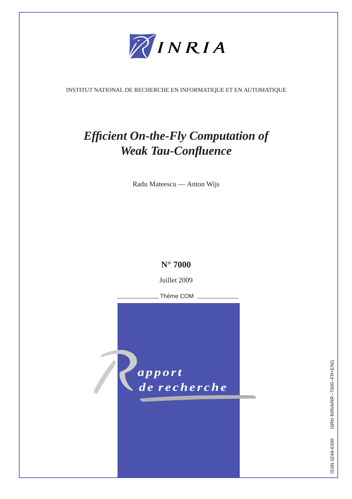

INSTITUT NATIONAL DE RECHERCHE EN INFORMATIQUE ET EN AUTOMATIQUE

# *Efficient On-the-Fly Computation of Weak Tau-Confluence*

Radu Mateescu — Anton Wijs



Juillet 2009

Thème COM

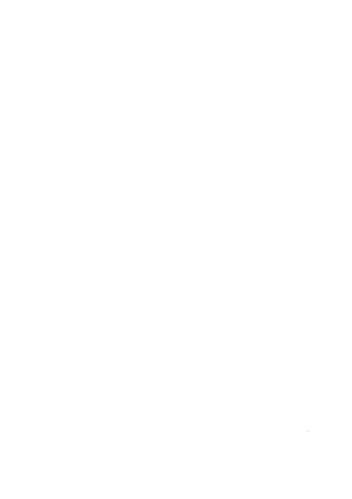$\label{eq:2.1} \frac{1}{\sqrt{2\pi}}\int_{0}^{\infty}\frac{1}{\sqrt{2\pi}}\left(\frac{1}{\sqrt{2\pi}}\right)^{2\alpha} \frac{1}{\sqrt{2\pi}}\int_{0}^{\infty}\frac{1}{\sqrt{2\pi}}\frac{1}{\sqrt{2\pi}}\frac{1}{\sqrt{2\pi}}\frac{1}{\sqrt{2\pi}}\frac{1}{\sqrt{2\pi}}\frac{1}{\sqrt{2\pi}}\frac{1}{\sqrt{2\pi}}\frac{1}{\sqrt{2\pi}}\frac{1}{\sqrt{2\pi}}\frac{1}{\sqrt{2\pi}}\frac{1}{\sqrt{2\pi}}\frac{$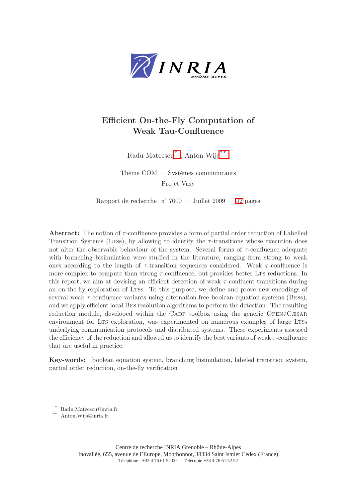

## Efficient On-the-Fly Computation of Weak Tau-Confluence

Radu Mateescu $^*$ , Anton Wijs $^{**}$ 

Thème  $COM -$  Systèmes communicants Projet Vasy

Rapport de recherche n° 7000 — Juillet  $2009 - 42$  $2009 - 42$  pages

Abstract: The notion of  $\tau$ -confluence provides a form of partial order reduction of Labelled Transition Systems (LTss), by allowing to identify the  $\tau$ -transitions whose execution does not alter the observable behaviour of the system. Several forms of  $\tau$ -confluence adequate with branching bisimulation were studied in the literature, ranging from strong to weak ones according to the length of  $\tau$ -transition sequences considered. Weak  $\tau$ -confluence is more complex to compute than strong  $\tau$ -confluence, but provides better LTS reductions. In this report, we aim at devising an efficient detection of weak  $\tau$ -confluent transitions during an on-the-fly exploration of Ltss. To this purpose, we define and prove new encodings of several weak  $\tau$ -confluence variants using alternation-free boolean equation systems (Bess), and we apply efficient local Bes resolution algorithms to perform the detection. The resulting reduction module, developed within the CADP toolbox using the generic OPEN/CÆSAR environment for Lts exploration, was experimented on numerous examples of large Ltss underlying communication protocols and distributed systems. These experiments assessed the efficiency of the reduction and allowed us to identify the best variants of weak  $\tau$ -confluence that are useful in practice.

Key-words: boolean equation system, branching bisimulation, labeled transition system, partial order reduction, on-the-fly verification

\* Radu.Mateescu@inria.fr

\*\* Anton.Wijs@inria.fr

Centre de recherche INRIA Grenoble – Rhône-Alpes Inovallée, 655, avenue de l'Europe, Montbonnot, 38334 Saint Ismier Cedex (France) Téléphone : +33 4 76 61 52 00 — Télécopie +33 4 76 61 52 52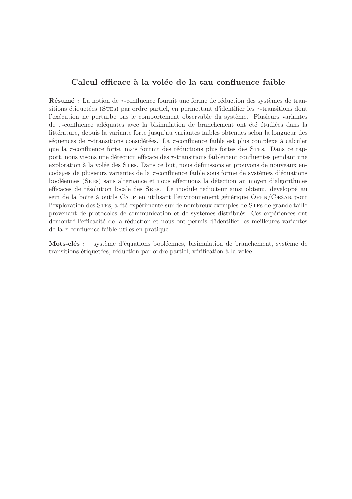## Calcul efficace à la volée de la tau-confluence faible

 $R$ ésumé : La notion de  $\tau$ -confluence fournit une forme de réduction des systèmes de transitions étiquetées (STEs) par ordre partiel, en permettant d'identifier les  $\tau$ -transitions dont l'exécution ne perturbe pas le comportement observable du système. Plusieurs variantes de  $\tau$ -confluence adéquates avec la bisimulation de branchement ont été étudiées dans la littérature, depuis la variante forte jusqu'au variantes faibles obtenues selon la longueur des séquences de  $\tau$ -transitions considérées. La  $\tau$ -confluence faible est plus complexe à calculer que la  $\tau$ -confluence forte, mais fournit des réductions plus fortes des STEs. Dans ce rapport, nous visons une détection efficace des  $\tau$ -transitions faiblement confluentes pendant une exploration à la volée des STEs. Dans ce but, nous définissons et prouvons de nouveaux encodages de plusieurs variantes de la  $\tau$ -confluence faible sous forme de systèmes d'équations bool´eennes (Sebs) sans alternance et nous effectuons la d´etection au moyen d'algorithmes efficaces de résolution locale des SEBs. Le module reducteur ainsi obtenu, developpé au sein de la boîte à outils CADP en utilisant l'environnement générique OPEN/CÆSAR pour l'exploration des STEs, a été expérimenté sur de nombreux exemples de STEs de grande taille provenant de protocoles de communication et de systèmes distribués. Ces expériences ont demontré l'efficacité de la réduction et nous ont permis d'identifier les meilleures variantes de la  $\tau$ -confluence faible utiles en pratique.

Mots-clés : système d'équations booléennes, bisimulation de branchement, système de transitions étiquetées, réduction par ordre partiel, vérification à la volée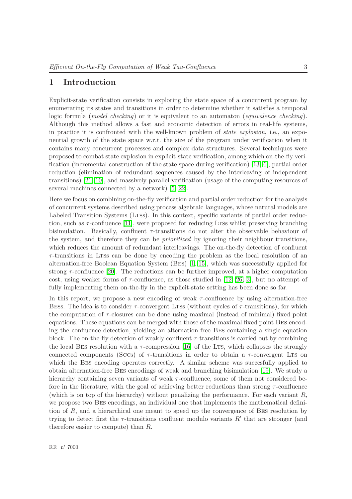#### 1 Introduction

Explicit-state verification consists in exploring the state space of a concurrent program by enumerating its states and transitions in order to determine whether it satisfies a temporal logic formula (model checking) or it is equivalent to an automaton (equivalence checking). Although this method allows a fast and economic detection of errors in real-life systems, in practice it is confronted with the well-known problem of state explosion, i.e., an exponential growth of the state space w.r.t. the size of the program under verification when it contains many concurrent processes and complex data structures. Several techniques were proposed to combat state explosion in explicit-state verification, among which on-the-fly verification (incremental construction of the state space during verification) [\[13,](#page-16-0) [6\]](#page-16-1), partial order reduction (elimination of redundant sequences caused by the interleaving of independent transitions) [\[21,](#page-17-0) [10\]](#page-16-2), and massively parallel verification (usage of the computing resources of several machines connected by a network) [\[5,](#page-16-3) [22\]](#page-17-1).

Here we focus on combining on-the-fly verification and partial order reduction for the analysis of concurrent systems described using process algebraic languages, whose natural models are Labeled Transition Systems (LTSs). In this context, specific variants of partial order reduction, such as  $\tau$ -confluence [\[11\]](#page-16-4), were proposed for reducing LTSs whilst preserving branching bisimulation. Basically, confluent  $\tau$ -transitions do not alter the observable behaviour of the system, and therefore they can be prioritized by ignoring their neighbour transitions, which reduces the amount of redundant interleavings. The on-the-fly detection of confluent  $\tau$ -transitions in LTSs can be done by encoding the problem as the local resolution of an alternation-free Boolean Equation System (Bes) [\[1,](#page-15-0) [15\]](#page-16-5), which was successfully applied for strong  $\tau$ -confluence [\[20\]](#page-17-2). The reductions can be further improved, at a higher computation cost, using weaker forms of  $\tau$ -confluence, as those studied in [\[12,](#page-16-6) [26,](#page-17-3) [3\]](#page-15-1), but no attempt of fully implementing them on-the-fly in the explicit-state setting has been done so far.

In this report, we propose a new encoding of weak  $\tau$ -confluence by using alternation-free BESS. The idea is to consider  $\tau$ -convergent LTSs (without cycles of  $\tau$ -transitions), for which the computation of  $\tau$ -closures can be done using maximal (instead of minimal) fixed point equations. These equations can be merged with those of the maximal fixed point Bes encoding the confluence detection, yielding an alternation-free Bes containing a single equation block. The on-the-fly detection of weakly confluent  $\tau$ -transitions is carried out by combining the local BES resolution with a  $\tau$ -compression [\[16\]](#page-16-7) of the LTS, which collapses the strongly connected components (Sccs) of  $\tau$ -transitions in order to obtain a  $\tau$ -convergent LTS on which the BES encoding operates correctly. A similar scheme was succesfully applied to obtain alternation-free Bes encodings of weak and branching bisimulation [\[19\]](#page-17-4). We study a hierarchy containing seven variants of weak  $\tau$ -confluence, some of them not considered before in the literature, with the goal of achieving better reductions than strong  $\tau$ -confluence (which is on top of the hierarchy) without penalizing the performance. For each variant  $R$ , we propose two Bes encodings, an individual one that implements the mathematical definition of R, and a hierarchical one meant to speed up the convergence of Bes resolution by trying to detect first the  $\tau$ -transitions confluent modulo variants  $R'$  that are stronger (and therefore easier to compute) than R.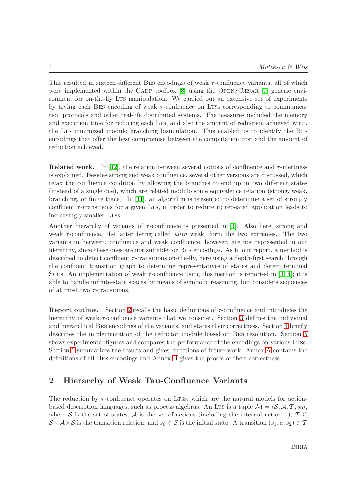This resulted in sixteen different BES encodings of weak  $\tau$ -confluence variants, all of which were implemented within the CADP toolbox  $[8]$  using the OPEN/CÆSAR  $[7]$  generic environment for on-the-fly LTS manipulation. We carried out an extensive set of experiments by trying each BES encoding of weak  $\tau$ -confluence on LTSs corresponding to communication protocols and other real-life distributed systems. The measures included the memory and execution time for reducing each LTS, and also the amount of reduction achieved w.r.t. the Lts minimized modulo branching bisimulation. This enabled us to identify the Bes encodings that offer the best compromise between the computation cost and the amount of reduction achieved.

**Related work.** In [\[12\]](#page-16-6), the relation between several notions of confluence and  $\tau$ -inertness is explained. Besides strong and weak confluence, several other versions are discussed, which relax the confluence condition by allowing the branches to end up in two different states (instead of a single one), which are related modulo some equivalence relation (strong, weak, branching, or finite trace). In [\[11\]](#page-16-4), an algorithm is presented to determine a set of strongly confluent  $\tau$ -transitions for a given LTs, in order to reduce it; repeated application leads to increasingly smaller LTSs.

Another hierarchy of variants of  $\tau$ -confluence is presented in [\[3\]](#page-15-1). Also here, strong and weak  $\tau$ -confluence, the latter being called *ultra* weak, form the two extremes. The two variants in between, confluence and weak confluence, however, are not represented in our hierarchy, since these ones are not suitable for BES encodings. As in our report, a method is described to detect confluent  $\tau$ -transitions on-the-fly, here using a depth-first search through the confluent transition graph to determine representatives of states and detect terminal Sccs. An implementation of weak  $\tau$ -confluence using this method is reported in [\[3,](#page-15-1) [4\]](#page-15-2); it is able to handle infinite-state spaces by means of symbolic reasoning, but considers sequences of at most two  $\tau$ -transitions.

**Report outline.** Section [2](#page-5-0) recalls the basic definitions of  $\tau$ -confluence and introduces the hierarchy of weak  $\tau$ -confluence variants that we consider. Section [3](#page-6-0) defines the individual and hierarchical Bes encodings of the variants, and states their correctness. Section [4](#page-10-0) briefly describes the implementation of the reductor module based on Bes resolution. Section [5](#page-12-0) shows experimental figures and compares the performance of the encodings on various LTSs. Section [6](#page-15-3) summarizes the results and gives directions of future work. Annex [A](#page-18-0) contains the definitions of all Bes encodings and Annex [B](#page-35-0) gives the proofs of their correctness.

### <span id="page-5-0"></span>2 Hierarchy of Weak Tau-Confluence Variants

The reduction by  $\tau$ -confluence operates on LTSs, which are the natural models for actionbased description languages, such as process algebras. An LTs is a tuple  $\mathcal{M} = \langle \mathcal{S}, \mathcal{A}, \mathcal{T}, s_0 \rangle$ , where S is the set of states, A is the set of actions (including the internal action  $\tau$ ),  $\mathcal{T} \subseteq$  $S \times A \times S$  is the transition relation, and  $s_0 \in S$  is the initial state. A transition  $(s_1, a, s_2) \in T$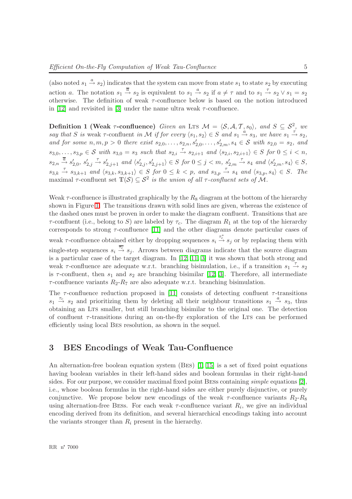(also noted  $s_1 \stackrel{a}{\rightarrow} s_2$ ) indicates that the system can move from state  $s_1$  to state  $s_2$  by executing action a. The notation  $s_1 \stackrel{\overline{a}}{\rightarrow} s_2$  is equivalent to  $s_1 \stackrel{a}{\rightarrow} s_2$  if  $a \neq \tau$  and to  $s_1 \stackrel{\tau}{\rightarrow} s_2 \vee s_1 = s_2$ otherwise. The definition of weak  $\tau$ -confluence below is based on the notion introduced in [\[12\]](#page-16-6) and revisited in [\[3\]](#page-15-1) under the name ultra weak  $\tau$ -confluence.

**Definition 1 (Weak**  $\tau$ **-confluence)** Given an LTS  $\mathcal{M} = \langle \mathcal{S}, \mathcal{A}, \mathcal{T}, s_0 \rangle$ , and  $S \subseteq S^2$ , we say that S is weak  $\tau$ -confluent in M if for every  $\langle s_1, s_2 \rangle \in S$  and  $s_1 \stackrel{a}{\rightarrow} s_3$ , we have  $s_1 \stackrel{\tau}{\rightarrow} s_2$ , and for some  $n, m, p > 0$  there exist  $s_{2,0}, \ldots, s_{2,n}, s'_{2,0}, \ldots, s'_{2,m}, s_4 \in S$  with  $s_{2,0} = s_2$ , and  $s_{3,0},\ldots,s_{3,p}\in\mathcal{S}$  with  $s_{3,0}=s_3$  such that  $s_{2,i}\stackrel{\tau}{\rightarrow}s_{2,i+1}$  and  $\langle s_{2,i},s_{2,i+1}\rangle\in S$  for  $0\leq i< n$ ,  $s_{2,n} \stackrel{\overline{a}}{\rightarrow} s'_{2,0}, s'_{2,j} \stackrel{\tau}{\rightarrow} s'_{2,j+1}$  and  $\langle s'_{2,j}, s'_{2,j+1} \rangle \in S$  for  $0 \leq j < m$ ,  $s'_{2,m} \stackrel{\tau}{\rightarrow} s_4$  and  $\langle s'_{2,m}, s_4 \rangle \in S$ ,  $s_{3,k} \stackrel{\tau}{\rightarrow} s_{3,k+1}$  and  $\langle s_{3,k}, s_{3,k+1} \rangle \in S$  for  $0 \leq k \leq p$ , and  $s_{3,p} \stackrel{\tau}{\rightarrow} s_4$  and  $\langle s_{3,p}, s_4 \rangle \in S$ . The maximal  $\tau$ -confluent set  $\mathbb{T}(\mathcal{S}) \subseteq \mathcal{S}^2$  is the union of all  $\tau$ -confluent sets of  $\mathcal{M}$ .

Weak  $\tau$ -confluence is illustrated graphically by the  $R_8$  diagram at the bottom of the hierarchy shown in Figure [1.](#page-7-0) The transitions drawn with solid lines are given, whereas the existence of the dashed ones must be proven in order to make the diagram confluent. Transitions that are  $\tau$ -confluent (i.e., belong to S) are labeled by  $\tau_c$ . The diagram  $R_1$  at the top of the hierarchy corresponds to strong  $\tau$ -confluence [\[11\]](#page-16-4) and the other diagrams denote particular cases of weak  $\tau$ -confluence obtained either by dropping sequences  $s_i \stackrel{\tau_c^*}{\to} s_j$  or by replacing them with single-step sequences  $s_i \stackrel{\overline{\tau_c}}{\rightarrow} s_j$ . Arrows between diagrams indicate that the source diagram is a particular case of the target diagram. In [\[12,](#page-16-6) [11,](#page-16-4) [3\]](#page-15-1) it was shown that both strong and weak  $\tau$ -confluence are adequate w.r.t. branching bisimulation, i.e., if a transition  $s_1 \stackrel{\tau}{\rightarrow} s_2$ is  $\tau$ -confluent, then  $s_1$  and  $s_2$  are branching bisimilar [\[12,](#page-16-6) [3\]](#page-15-1). Therefore, all intermediate  $\tau$ -confluence variants  $R_2$ - $R_7$  are also adequate w.r.t. branching bisimulation.

The  $\tau$ -confluence reduction proposed in [\[11\]](#page-16-4) consists of detecting confluent  $\tau$ -transitions  $s_1 \stackrel{\tau_c}{\rightarrow} s_2$  and prioritizing them by deleting all their neighbour transitions  $s_1 \stackrel{a}{\rightarrow} s_3$ , thus obtaining an Lts smaller, but still branching bisimilar to the original one. The detection of confluent  $\tau$ -transitions during an on-the-fly exploration of the LTS can be performed efficiently using local Bes resolution, as shown in the sequel.

#### <span id="page-6-0"></span>3 BES Encodings of Weak Tau-Confluence

An alternation-free boolean equation system (Bes) [\[1,](#page-15-0) [15\]](#page-16-5) is a set of fixed point equations having boolean variables in their left-hand sides and boolean formulas in their right-hand sides. For our purpose, we consider maximal fixed point BESs containing *simple* equations [\[2\]](#page-15-4), i.e., whose boolean formulas in the right-hand sides are either purely disjunctive, or purely conjunctive. We propose below new encodings of the weak  $\tau$ -confluence variants  $R_2-R_8$ using alternation-free BESS. For each weak  $\tau$ -confluence variant  $R_i$ , we give an individual encoding derived from its definition, and several hierarchical encodings taking into account the variants stronger than  $R_i$  present in the hierarchy.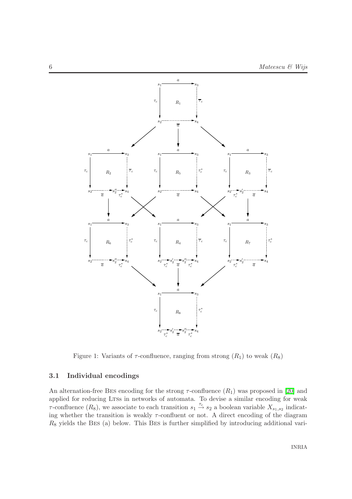

<span id="page-7-0"></span>Figure 1: Variants of  $\tau$ -confluence, ranging from strong  $(R_1)$  to weak  $(R_8)$ 

#### <span id="page-7-1"></span>3.1 Individual encodings

An alternation-free BES encoding for the strong  $\tau$ -confluence  $(R_1)$  was proposed in [\[20\]](#page-17-2) and applied for reducing LTSs in networks of automata. To devise a similar encoding for weak  $\tau$ -confluence  $(R_8)$ , we associate to each transition  $s_1 \stackrel{\tau_c}{\rightarrow} s_2$  a boolean variable  $X_{s_1,s_2}$  indicating whether the transition is weakly  $\tau$ -confluent or not. A direct encoding of the diagram  $R_8$  yields the BES (a) below. This BES is further simplified by introducing additional vari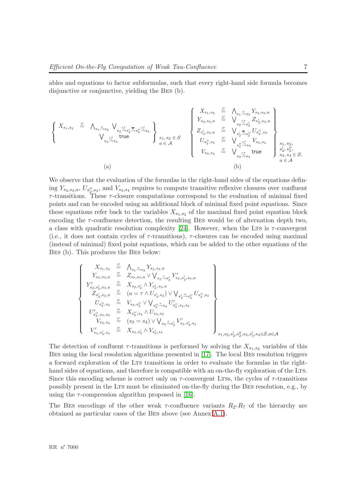ables and equations to factor subformulas, such that every right-hand side formula becomes disjunctive or conjunctive, yielding the Bes (b).

$$
\left\{\begin{array}{ccc} X_{s_1,s_2} & \stackrel{\nu}{=}& \bigwedge_{s_1\stackrel{a}{\to}s_3} \bigvee_{s_2\stackrel{\tau_{\tilde{c}}^*}{\to}s_2'\stackrel{\tau_{\tilde{c}}^*}{\to}s_2'\stackrel{\tau_{\tilde{c}}^*}{\to}s_4} \\ \bigvee_{s_3\stackrel{\tau_{\tilde{c}}^*}{\to}s_4} \text{true} & & \bigvee_{s_1,s_2\in\mathcal{S}} \end{array}\right\}\n\right\}\n\right\}\n\left\{\n\begin{array}{ccc} X_{s_1,s_2} & \stackrel{\nu}{=}& \bigwedge_{s_1\stackrel{a}{\to}s_3} Y_{s_2,s_3,a} \\ \text{Z}_{s_2,s_3,a} & \stackrel{\nu}{=}& \bigvee_{s_2\stackrel{\tau_{\tilde{c}}^*}{\to}s_2''} Z_{s_2',s_3,a} \\ \text{Z}_{s_2',s_3,a} & \stackrel{\nu}{=}& \bigvee_{s_2'\stackrel{\tau_{\tilde{c}}^*}{\to}s_2''} U_{s_2'',s_3} \\ \text{Z}_{s_2',s_3,a} & \stackrel{\nu}{=}& \bigvee_{s_2'\stackrel{\tau_{\tilde{c}}^*}{\to}s_4''} V_{s_3,s_4} \\ \text{Z}_{s_2',s_3,a} & \stackrel{\nu}{=}& \bigvee_{s_2'\stackrel{\tau_{\tilde{c}}^*}{\to}s_4''} V_{s_3,s_4} \\ \text{Z}_{s_2',s_3,a} & \stackrel{\nu}{=}& \bigvee_{s_2'\stackrel{\tau_{\tilde{c}}^*}{\to}s_4''} \text{true} & & \bigwedge_{s_2',s_2'',s_3''} s_2, \text{Z}_{s_2',s_3',a} \\ \text{Z}_{s_2',s_3,a} & \stackrel{\nu}{=}& \bigvee_{s_2'\stackrel{\tau_{\tilde{c}}^*}{\to}s_4''} V_{s_3,s_4} \\ \text{Z}_{s_2',s_3,a} & \stackrel{\nu}{=}& \bigvee_{s_2'\stackrel{\tau_{\tilde{c}}^*}{\to}s_4''} V_{s_3,s_4} \\ \text{Z}_{s_2',s_3,a} & \stackrel{\nu}{=}& \bigvee_{s
$$

We observe that the evaluation of the formulas in the right-hand sides of the equations defining  $Y_{s_2,s_3,a}$ ,  $U_{s_2',s_3}$ , and  $V_{s_3,s_4}$  requires to compute transitive reflexive closures over confluent  $\tau$ -transitions. These  $\tau$ -closure computations correspond to the evaluation of minimal fixed points and can be encoded using an additional block of minimal fixed point equations. Since these equations refer back to the variables  $X_{s_1,s_2}$  of the maximal fixed point equation block encoding the  $\tau$ -confluence detection, the resulting BES would be of alternation depth two, a class with quadratic resolution complexity [\[24\]](#page-17-5). However, when the LTs is  $\tau$ -convergent (i.e., it does not contain cycles of  $\tau$ -transitions),  $\tau$ -closures can be encoded using maximal (instead of minimal) fixed point equations, which can be added to the other equations of the Bes (b). This produces the Bes below:

$$
\left\{\begin{array}{c}X_{s_1,s_2} \cong \bigwedge_{s_1 \xrightarrow{a} s_3} Y_{s_2,s_3,a} \\ Y_{s_2,s_3,a} \cong Z_{s_2,s_3,a} \vee \bigvee_{s_2 \xrightarrow{r} s'_2} Y'_{s_2,s'_2,s_3,a} \\ Y'_{s_2,s'_2,s_3,a} \cong X_{s_2,s'_2} \wedge Y_{s'_2,s_3,a} \\ Z_{s'_2,s_3,a} \cong (a = \tau \wedge U_{s'_2,s_3}) \vee \bigvee_{s'_2 \xrightarrow{a} s''_2} U_{s''_2,s_3} \\ U'_{s''_2,s_3} \cong V_{s_3,s''_2} \vee \bigvee_{s''_2 \xrightarrow{r} s_4} U'_{s''_2,s_4,s_3} \\ U'_{s''_2,s_4,s_3} \cong X_{s''_2,s_4} \wedge U_{s_4,s_3} \\ V_{s_3,s_4} \cong (s_3 = s_4) \vee \bigvee_{s_3 \xrightarrow{r} s'_3} V'_{s_3,s'_3,s_4} \\ V'_{s_3,s'_3,s_4} \cong X_{s_3,s'_3} \wedge V_{s'_3,s_4} \end{array}\right\}_{s_1,s_2,s'_2,s''_2,s_3,s'_3,s_4 \in \mathcal{S}, a \in \mathcal{A}
$$

The detection of confluent  $\tau$ -transitions is performed by solving the  $X_{s_1,s_2}$  variables of this Bes using the local resolution algorithms presented in [\[17\]](#page-16-10). The local Bes resolution triggers a forward exploration of the Lts transitions in order to evaluate the formulas in the righthand sides of equations, and therefore is compatible with an on-the-fly exploration of the LTs. Since this encoding scheme is correct only on  $\tau$ -convergent LTSs, the cycles of  $\tau$ -transitions possibly present in the Lts must be eliminated on-the-fly during the Bes resolution, e.g., by using the  $\tau$ -compression algorithm proposed in [\[16\]](#page-16-7).

The BES encodings of the other weak  $\tau$ -confluence variants  $R_2-R_7$  of the hierarchy are obtained as particular cases of the Bes above (see Annex [A.1\)](#page-18-1).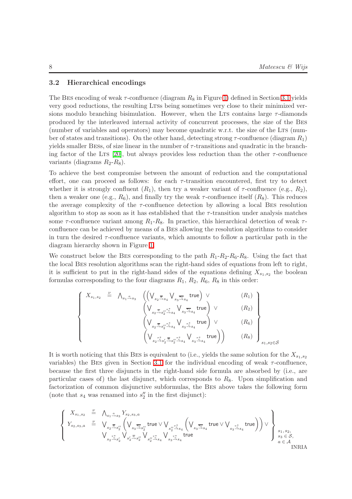#### 3.2 Hierarchical encodings

The BES encoding of weak  $\tau$ -confluence (diagram  $R_8$  in Figure [1\)](#page-7-0) defined in Section [3.1](#page-7-1) yields very good reductions, the resulting Ltss being sometimes very close to their minimized versions modulo branching bisimulation. However, when the LTS contains large  $\tau$ -diamonds produced by the interleaved internal activity of concurrent processes, the size of the Bes (number of variables and operators) may become quadratic w.r.t. the size of the LTS (number of states and transitions). On the other hand, detecting strong  $\tau$ -confluence (diagram  $R_1$ ) yields smaller BESS, of size linear in the number of  $\tau$ -transitions and quadratic in the branch-ing factor of the LTS [\[20\]](#page-17-2), but always provides less reduction than the other  $\tau$ -confluence variants (diagrams  $R_2-R_8$ ).

To achieve the best compromise between the amount of reduction and the computational effort, one can proceed as follows: for each  $\tau$ -transition encountered, first try to detect whether it is strongly confluent  $(R_1)$ , then try a weaker variant of  $\tau$ -confluence (e.g.,  $R_2$ ), then a weaker one (e.g.,  $R_6$ ), and finally try the weak  $\tau$ -confluence itself  $(R_8)$ . This reduces the average complexity of the  $\tau$ -confluence detection by allowing a local BES resolution algorithm to stop as soon as it has established that the  $\tau$ -transition under analysis matches some  $\tau$ -confluence variant among  $R_1$ - $R_8$ . In practice, this hierarchical detection of weak  $\tau$ confluence can be achieved by means of a Bes allowing the resolution algorithms to consider in turn the desired  $\tau$ -confluence variants, which amounts to follow a particular path in the diagram hierarchy shown in Figure [1.](#page-7-0)

We construct below the BES corresponding to the path  $R_1-R_2-R_6-R_8$ . Using the fact that the local Bes resolution algorithms scan the right-hand sides of equations from left to right, it is sufficient to put in the right-hand sides of the equations defining  $X_{s_1,s_2}$  the boolean formulas corresponding to the four diagrams  $R_1$ ,  $R_2$ ,  $R_6$ ,  $R_8$  in this order:

$$
\begin{cases}\nX_{s_1,s_2} = \Lambda_{s_1 \xrightarrow{a} s_3} \left( \left( \bigvee_{s_2 \xrightarrow{\overline{a}} s_4} \bigvee_{s_3 \xrightarrow{\overline{r}_c} s_4} \text{true} \right) \vee \right) & (R_1) \\
\left( \bigvee_{s_2 \xrightarrow{\overline{a}} s_2'' \xrightarrow{\overline{r}_c} s_4} \bigvee_{s_3 \xrightarrow{\overline{r}_c} s_4} \text{true} \right) \vee & (R_2) \\
\left( \bigvee_{s_2 \xrightarrow{\overline{a}} s_2'' \xrightarrow{\overline{r}_c} s_4} \bigvee_{s_3 \xrightarrow{\overline{r}_c} s_4} \text{true} \right) \vee & (R_6) \\
\left( \bigvee_{s_2 \xrightarrow{\overline{r}_c} s_2' \xrightarrow{\overline{a}} s_2'' \xrightarrow{\overline{r}_c} s_4} \bigvee_{s_3 \xrightarrow{\overline{r}_c} s_4} \text{true} \right) \right) & (R_8)\n\end{cases}_{s_1, s_2 \in S}\n\right)
$$

It is worth noticing that this BES is equivalent to (i.e., yields the same solution for the  $X_{s_1,s_2}$ variables) the BES given in Section [3.1](#page-7-1) for the individual encoding of weak  $\tau$ -confluence, because the first three disjuncts in the right-hand side formula are absorbed by (i.e., are particular cases of) the last disjunct, which corresponds to  $R_8$ . Upon simplification and factorization of common disjunctive subformulas, the Bes above takes the following form (note that  $s_4$  was renamed into  $s_2''$  in the first disjunct):

$$
\left\{\begin{array}{ccc} X_{s_1,s_2} & \stackrel{\nu}{=} & \bigwedge_{s_1 \stackrel{a}{\rightarrow} s_3} Y_{s_2,s_3,a} \\ Y_{s_2,s_3,a} & \stackrel{\nu}{=} & \bigvee_{s_2 \stackrel{\overline{\alpha}}{\rightarrow} s_2^{\prime\prime}} \left(\bigvee_{s_3 \stackrel{\overline{\tau}_{c}}{\rightarrow} s_2^{\prime\prime}} \text{true} \vee \bigvee_{s_2^{\prime\prime} \stackrel{\overline{\tau}_{c}^*}{\rightarrow} s_4} \left(\bigvee_{s_3 \stackrel{\overline{\tau}_{c}^*}{\rightarrow} s_4} \text{true} \vee \bigvee_{s_3 \stackrel{\overline{\tau}_{c}^*}{\rightarrow} s_4} \text{true} \right)\right) \vee \\ V_{s_2 \stackrel{\tau_{c}^*}{\rightarrow} s_2^{\prime}} \bigvee_{s_2^{\prime\prime} \stackrel{\overline{\alpha}}{\rightarrow} s_2^{\prime\prime}} \bigvee_{s_2^{\prime\prime} \stackrel{\overline{\tau}_{c}^*}{\rightarrow} s_4} \text{true} \end{array}\right\} \text{true}
$$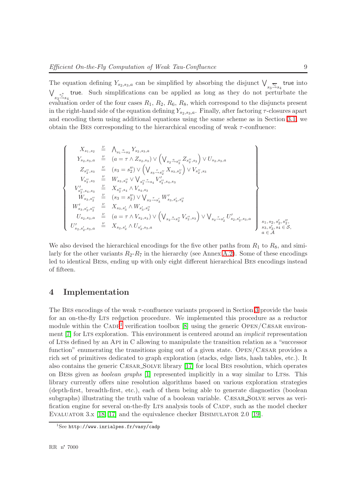The equation defining  $Y_{s_2,s_3,a}$  can be simplified by absorbing the disjunct  $\bigvee_{s_3\overline{s}_3\cdots s_4}$  true into  $\bigvee_{s_3 \stackrel{\tau_c^*}{\rightarrow} s_4}$  true. Such simplifications can be applied as long as they do not perturbate the evaluation order of the four cases  $R_1, R_2, R_6, R_8$ , which correspond to the disjuncts present in the right-hand side of the equation defining  $Y_{s_2,s_3,a}$ . Finally, after factoring  $\tau$ -closures apart and encoding them using additional equations using the same scheme as in Section [3.1,](#page-7-1) we obtain the BES corresponding to the hierarchical encoding of weak  $\tau$ -confluence:

$$
\left\{\begin{array}{lll} &X_{s_1,s_2}&\stackrel{\nu}{=}&\bigwedge_{s_1\stackrel{a}{\to}s_3}Y_{s_2,s_3,a}\\ &Y_{s_2,s_3,a}&\stackrel{\nu}{=}&(a=\tau\wedge Z_{s_2,s_3})\vee\left(\bigvee_{s_2\stackrel{\tau}{\to}s_2''}Z_{s_2'',s_3}\right)\vee U_{s_2,s_3,a}\\ &Z_{s_2'',s_3}&\stackrel{\nu}{=}&(s_3=s_2'')\vee\left(\bigvee_{s_3\stackrel{\tau}{\to}s_2''}X_{s_3,s_2''}\right)\vee V_{s_2'',s_3}\\ &V_{s_2'',s_3}&\stackrel{\nu}{=}&W_{s_3,s_2''}\vee\bigvee_{s_2''\stackrel{\tau}{\to}s_4}V_{s_2'',s_4,s_3''} \\ &V_{s_2'',s_4,s_3}&\stackrel{\nu}{=}&X_{s_2'',s_4}\wedge V_{s_4,s_3}\\ &W_{s_3,s_2'',s_2''}&\stackrel{\nu}{=}&X_{s_3,s_3'}\wedge W_{s_3',s_2''}\\ &W_{s_3,s_3',s_2''}&\stackrel{\nu}{=}&X_{s_3,s_3'}\wedge W_{s_3',s_2''}\\ &U_{s_2,s_3,a}&\stackrel{\nu}{=}&X_{s_2,s_2'}\wedge U_{s_2',s_3,a}\\ &U_{s_2,s_3',s_4}&\stackrel{\nu}{=}&X_{s_2,s_2'}\wedge U_{s_2',s_3,a}\\ &\stackrel{\nu}{a\in\mathcal{A}}\end{array}\right\}
$$

We also devised the hierarchical encodings for the five other paths from  $R_1$  to  $R_8$ , and similarly for the other variants  $R_2-R_7$  in the hierarchy (see Annex [A.2\)](#page-22-0). Some of these encodings led to identical Bess, ending up with only eight different hierarchical Bes encodings instead of fifteen.

#### <span id="page-10-0"></span>4 Implementation

The BES encodings of the weak  $\tau$ -confluence variants proposed in Section [3](#page-6-0) provide the basis for an on-the-fly LTS reduction procedure. We implemented this procedure as a reductor module within the  $\text{Cap}^1$  $\text{Cap}^1$  verification toolbox [\[8\]](#page-16-8) using the generic  $\text{Open}/\text{C}$  exames environ-ment [\[7\]](#page-16-9) for LTS exploration. This environment is centered around an *implicit* representation of Ltss defined by an Api in C allowing to manipulate the transition relation as a "successor function" enumerating the transitions going out of a given state. Open/Cæsar provides a rich set of primitives dedicated to graph exploration (stacks, edge lists, hash tables, etc.). It also contains the generic Cæsar Solve library [\[17\]](#page-16-10) for local Bes resolution, which operates on BESs given as *boolean graphs* [\[1\]](#page-15-0) represented implicitly in a way similar to LTSs. This library currently offers nine resolution algorithms based on various exploration strategies (depth-first, breadth-first, etc.), each of them being able to generate diagnostics (boolean subgraphs) illustrating the truth value of a boolean variable. CÆSAR\_SOLVE serves as verification engine for several on-the-fly LTS analysis tools of CADP, such as the model checker EVALUATOR 3.x [\[18,](#page-16-11) [17\]](#page-16-10) and the equivalence checker BISIMULATOR 2.0 [\[19\]](#page-17-4).

<span id="page-10-1"></span> $^1$ See http://www.inrialpes.fr/vasy/cadp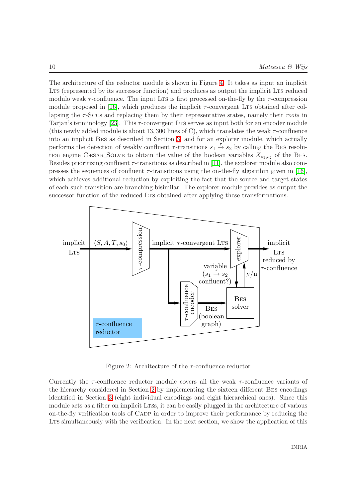The architecture of the reductor module is shown in Figure [4.](#page-10-0) It takes as input an implicit LTS (represented by its successor function) and produces as output the implicit LTS reduced modulo weak  $\tau$ -confluence. The input LTS is first processed on-the-fly by the  $\tau$ -compression module proposed in [\[16\]](#page-16-7), which produces the implicit  $\tau$ -convergent LTs obtained after collapsing the  $\tau$ -Sccs and replacing them by their representative states, namely their *roots* in Tarjan's terminology [\[23\]](#page-17-6). This  $\tau$ -convergent LTS serves as input both for an encoder module (this newly added module is about 13, 300 lines of C), which translates the weak  $\tau$ -confluence into an implicit Bes as described in Section [3,](#page-6-0) and for an explorer module, which actually performs the detection of weakly confluent  $\tau$ -transitions  $s_1 \stackrel{\tau}{\rightarrow} s_2$  by calling the BES resolution engine CÆSAR\_SOLVE to obtain the value of the boolean variables  $X_{s_1,s_2}$  of the BES. Besides prioritizing confluent  $\tau$ -transitions as described in [\[11\]](#page-16-4), the explorer module also compresses the sequences of confluent  $\tau$ -transitions using the on-the-fly algorithm given in [\[16\]](#page-16-7), which achieves additional reduction by exploiting the fact that the source and target states of each such transition are branching bisimilar. The explorer module provides as output the successor function of the reduced LTs obtained after applying these transformations.



Figure 2: Architecture of the  $\tau$ -confluence reductor

Currently the  $\tau$ -confluence reductor module covers all the weak  $\tau$ -confluence variants of the hierarchy considered in Section [2](#page-5-0) by implementing the sixteen different Bes encodings identified in Section [3](#page-6-0) (eight individual encodings and eight hierarchical ones). Since this module acts as a filter on implicit LTSs, it can be easily plugged in the architecture of various on-the-fly verification tools of Cadp in order to improve their performance by reducing the LTS simultaneously with the verification. In the next section, we show the application of this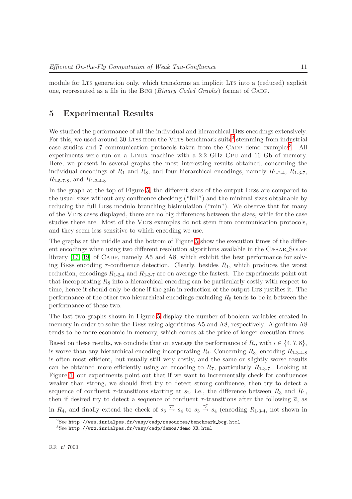module for LTS generation only, which transforms an implicit LTS into a (reduced) explicit one, represented as a file in the Bcg (*Binary Coded Graphs*) format of CADP.

### <span id="page-12-0"></span>5 Experimental Results

We studied the performance of all the individual and hierarchical Bes encodings extensively. For this, we used around 30 LTSs from the VLTS benchmark suite<sup>[2](#page-12-1)</sup> stemming from industrial case studies and 7 communication protocols taken from the CADP demo examples<sup>[3](#page-12-2)</sup>. All experiments were run on a Linux machine with a 2.2 GHz Cpu and 16 Gb of memory. Here, we present in several graphs the most interesting results obtained, concerning the individual encodings of  $R_1$  and  $R_8$ , and four hierarchical encodings, namely  $R_{1-2-4}$ ,  $R_{1-3-7}$ ,  $R_{1-5-7-8}$ , and  $R_{1-3-4-8}$ .

In the graph at the top of Figure [5,](#page-12-0) the different sizes of the output LTSs are compared to the usual sizes without any confluence checking ("full") and the minimal sizes obtainable by reducing the full LTSs modulo branching bisimulation ("min"). We observe that for many of the Vlts cases displayed, there are no big differences between the sizes, while for the case studies there are. Most of the VLTS examples do not stem from communication protocols, and they seem less sensitive to which encoding we use.

The graphs at the middle and the bottom of Figure [5](#page-12-0) show the execution times of the different encodings when using two different resolution algorithms available in the Cæsar Solve library [\[17,](#page-16-10) [19\]](#page-17-4) of CADP, namely A5 and A8, which exhibit the best performance for solving BESS encoding  $\tau$ -confluence detection. Clearly, besides  $R_1$ , which produces the worst reduction, encodings  $R_{1-2-4}$  and  $R_{1-3-7}$  are on average the fastest. The experiments point out that incorporating  $R_8$  into a hierarchical encoding can be particularly costly with respect to time, hence it should only be done if the gain in reduction of the output LTS justifies it. The performance of the other two hierarchical encodings excluding  $R_8$  tends to be in between the performance of these two.

The last two graphs shown in Figure [5](#page-13-0) display the number of boolean variables created in memory in order to solve the BESs using algorithms A5 and A8, respectively. Algorithm A8 tends to be more economic in memory, which comes at the price of longer execution times.

Based on these results, we conclude that on average the performance of  $R_i$ , with  $i \in \{4, 7, 8\}$ , is worse than any hierarchical encoding incorporating  $R_i$ . Concerning  $R_8$ , encoding  $R_{1-3-4-8}$ is often most efficient, but usually still very costly, and the same or slightly worse results can be obtained more efficiently using an encoding to  $R_7$ , particularly  $R_{1-3-7}$ . Looking at Figure [1,](#page-7-0) our experiments point out that if we want to incrementally check for confluences weaker than strong, we should first try to detect strong confluence, then try to detect a sequence of confluent  $\tau$ -transitions starting at  $s_2$ , i.e., the difference between  $R_3$  and  $R_1$ , then if desired try to detect a sequence of confluent  $\tau$ -transitions after the following  $\bar{a}$ , as in  $R_4$ , and finally extend the check of  $s_3 \xrightarrow{\tau_c} s_4$  to  $s_3 \xrightarrow{\tau_c} s_4$  (encoding  $R_{1-3-4}$ , not shown in

<span id="page-12-1"></span> $2$ See http://www.inrialpes.fr/vasy/cadp/resources/benchmark\_bcg.html

<span id="page-12-2"></span> ${}^{3}$ See http://www.inrialpes.fr/vasy/cadp/demos/demo\_XX.html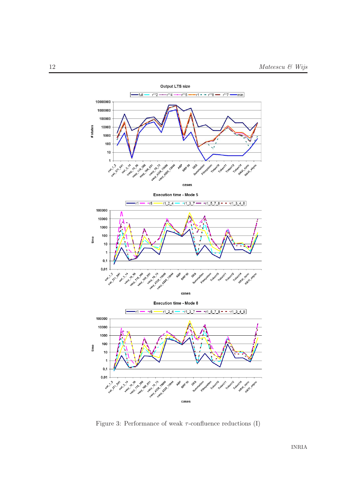

<span id="page-13-0"></span>Figure 3: Performance of weak  $\tau$ -confluence reductions (I)

INRIA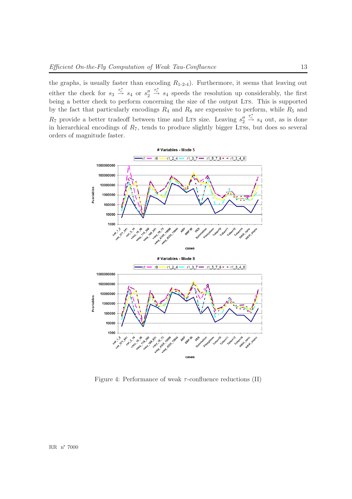the graphs, is usually faster than encoding  $R_{1-2-4}$ ). Furthermore, it seems that leaving out either the check for  $s_3 \stackrel{\tau_c^*}{\rightarrow} s_4$  or  $s_2''$  $\tau_{\frac{c}{2}}^{*}$  s<sub>4</sub> speeds the resolution up considerably, the first being a better check to perform concerning the size of the output LTS. This is supported by the fact that particularly encodings  $R_4$  and  $R_8$  are expensive to perform, while  $R_5$  and  $R_7$  provide a better tradeoff between time and LTS size. Leaving  $s_2''$  $\stackrel{\tau_c^*}{\rightarrow} s_4$  out, as is done in hierarchical encodings of  $R_7$ , tends to produce slightly bigger LTss, but does so several orders of magnitude faster.



Figure 4: Performance of weak  $\tau$ -confluence reductions (II)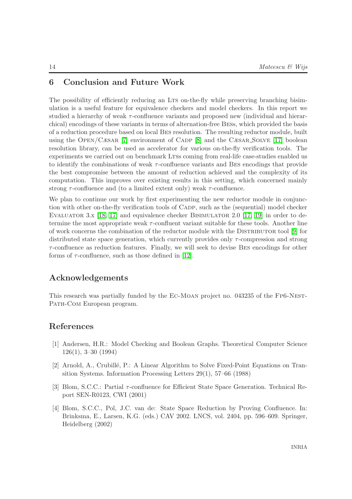## <span id="page-15-3"></span>6 Conclusion and Future Work

The possibility of efficiently reducing an LTS on-the-fly while preserving branching bisimulation is a useful feature for equivalence checkers and model checkers. In this report we studied a hierarchy of weak  $\tau$ -confluence variants and proposed new (individual and hierarchical) encodings of these variants in terms of alternation-free Bess, which provided the basis of a reduction procedure based on local Bes resolution. The resulting reductor module, built using the Open/Cæsar [\[7\]](#page-16-9) environment of Cadp [\[8\]](#page-16-8) and the Cæsar Solve [\[17\]](#page-16-10) boolean resolution library, can be used as accelerator for various on-the-fly verification tools. The experiments we carried out on benchmark LTSs coming from real-life case-studies enabled us to identify the combinations of weak  $\tau$ -confluence variants and BES encodings that provide the best compromise between the amount of reduction achieved and the complexity of its computation. This improves over existing results in this setting, which concerned mainly strong  $\tau$ -confluence and (to a limited extent only) weak  $\tau$ -confluence.

We plan to continue our work by first experimenting the new reductor module in conjunction with other on-the-fly verification tools of Cadp, such as the (sequential) model checker EVALUATOR 3.x [\[18,](#page-16-11) [17\]](#page-16-10) and equivalence checker BISIMULATOR 2.0 [\[17,](#page-16-10) [19\]](#page-17-4) in order to determine the most appropriate weak  $\tau$ -confluent variant suitable for these tools. Another line of work concerns the combination of the reductor module with the DISTRIBUTOR tool [\[9\]](#page-16-12) for distributed state space generation, which currently provides only  $\tau$ -compression and strong  $\tau$ -confluence as reduction features. Finally, we will seek to devise BES encodings for other forms of  $\tau$ -confluence, such as those defined in [\[12\]](#page-16-6).

### Acknowledgements

This research was partially funded by the Ec-Moan project no. 043235 of the Fp6-Nest-PATH-COM European program.

#### <span id="page-15-0"></span>References

- <span id="page-15-4"></span>[1] Andersen, H.R.: Model Checking and Boolean Graphs. Theoretical Computer Science 126(1), 3–30 (1994)
- [2] Arnold, A., Crubillé, P.: A Linear Algorithm to Solve Fixed-Point Equations on Transition Systems. Information Processing Letters 29(1), 57–66 (1988)
- <span id="page-15-1"></span>[3] Blom, S.C.C.: Partial  $\tau$ -confluence for Efficient State Space Generation. Technical Report SEN-R0123, CWI (2001)
- <span id="page-15-2"></span>[4] Blom, S.C.C., Pol, J.C. van de: State Space Reduction by Proving Confluence. In: Brinksma, E., Larsen, K.G. (eds.) CAV 2002. LNCS, vol. 2404, pp. 596–609. Springer, Heidelberg (2002)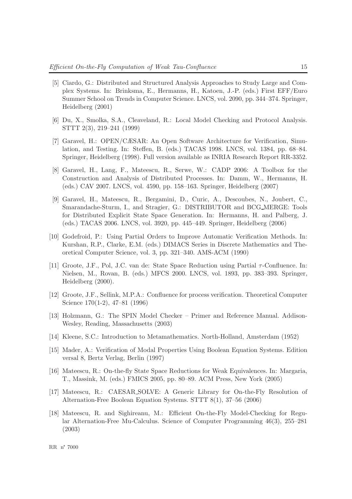- <span id="page-16-3"></span>[5] Ciardo, G.: Distributed and Structured Analysis Approaches to Study Large and Complex Systems. In: Brinksma, E., Hermanns, H., Katoen, J.-P. (eds.) First EFF/Euro Summer School on Trends in Computer Science. LNCS, vol. 2090, pp. 344–374. Springer, Heidelberg (2001)
- <span id="page-16-1"></span>[6] Du, X., Smolka, S.A., Cleaveland, R.: Local Model Checking and Protocol Analysis. STTT 2(3), 219–241 (1999)
- <span id="page-16-9"></span>[7] Garavel, H.: OPEN/CÆSAR: An Open Software Architecture for Verification, Simulation, and Testing. In: Steffen, B. (eds.) TACAS 1998. LNCS, vol. 1384, pp. 68–84. Springer, Heidelberg (1998). Full version available as INRIA Research Report RR-3352.
- <span id="page-16-8"></span>[8] Garavel, H., Lang, F., Mateescu, R., Serwe, W.: CADP 2006: A Toolbox for the Construction and Analysis of Distributed Processes. In: Damm, W., Hermanns, H. (eds.) CAV 2007. LNCS, vol. 4590, pp. 158–163. Springer, Heidelberg (2007)
- <span id="page-16-12"></span>[9] Garavel, H., Mateescu, R., Bergamini, D., Curic, A., Descoubes, N., Joubert, C., Smarandache-Sturm, I., and Stragier, G.: DISTRIBUTOR and BCG MERGE: Tools for Distributed Explicit State Space Generation. In: Hermanns, H. and Palberg, J. (eds.) TACAS 2006. LNCS, vol. 3920, pp. 445–449. Springer, Heidelberg (2006)
- <span id="page-16-2"></span>[10] Godefroid, P.: Using Partial Orders to Improve Automatic Verification Methods. In: Kurshan, R.P., Clarke, E.M. (eds.) DIMACS Series in Discrete Mathematics and Theoretical Computer Science, vol. 3, pp. 321–340. AMS-ACM (1990)
- <span id="page-16-4"></span>[11] Groote, J.F., Pol, J.C. van de: State Space Reduction using Partial  $\tau$ -Confluence. In: Nielsen, M., Rovan, B. (eds.) MFCS 2000. LNCS, vol. 1893, pp. 383–393. Springer, Heidelberg (2000).
- <span id="page-16-6"></span>[12] Groote, J.F., Sellink, M.P.A.: Confluence for process verification. Theoretical Computer Science 170(1-2), 47–81 (1996)
- <span id="page-16-0"></span>[13] Holzmann, G.: The SPIN Model Checker – Primer and Reference Manual. Addison-Wesley, Reading, Massachusetts (2003)
- <span id="page-16-13"></span><span id="page-16-5"></span>[14] Kleene, S.C.: Introduction to Metamathematics. North-Holland, Amsterdam (1952)
- [15] Mader, A.: Verification of Modal Properties Using Boolean Equation Systems. Edition versal 8, Bertz Verlag, Berlin (1997)
- <span id="page-16-7"></span>[16] Mateescu, R.: On-the-fly State Space Reductions for Weak Equivalences. In: Margaria, T., Massink, M. (eds.) FMICS 2005, pp. 80–89. ACM Press, New York (2005)
- <span id="page-16-10"></span>[17] Mateescu, R.: CAESAR SOLVE: A Generic Library for On-the-Fly Resolution of Alternation-Free Boolean Equation Systems. STTT 8(1), 37–56 (2006)
- <span id="page-16-11"></span>[18] Mateescu, R. and Sighireanu, M.: Efficient On-the-Fly Model-Checking for Regular Alternation-Free Mu-Calculus. Science of Computer Programming 46(3), 255–281 (2003)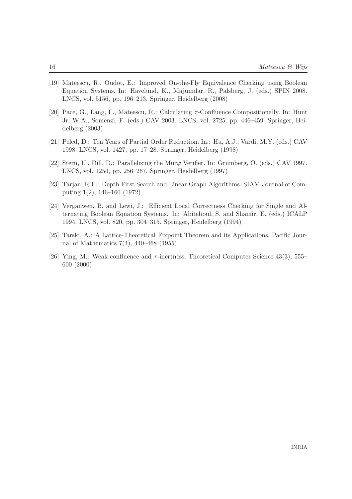- <span id="page-17-4"></span>[19] Mateescu, R., Oudot, E.: Improved On-the-Fly Equivalence Checking using Boolean Equation Systems. In: Havelund, K., Majumdar, R., Palsberg, J. (eds.) SPIN 2008. LNCS, vol. 5156, pp. 196–213. Springer, Heidelberg (2008)
- <span id="page-17-2"></span>[20] Pace, G., Lang, F., Mateescu, R.: Calculating  $\tau$ -Confluence Compositionally. In: Hunt Jr, W.A., Somenzi, F. (eds.) CAV 2003. LNCS, vol. 2725, pp. 446–459. Springer, Heidelberg (2003)
- <span id="page-17-0"></span>[21] Peled, D.: Ten Years of Partial Order Reduction. In.: Hu, A.J., Vardi, M.Y. (eds.) CAV 1998. LNCS, vol. 1427, pp. 17–28. Springer, Heidelberg (1998)
- <span id="page-17-1"></span>[22] Stern, U., Dill, D.: Parallelizing the Mur $\varphi$  Verifier. In: Grumberg, O. (eds.) CAV 1997. LNCS, vol. 1254, pp. 256–267. Springer, Heidelberg (1997)
- <span id="page-17-6"></span>[23] Tarjan, R.E.: Depth First Search and Linear Graph Algorithms. SIAM Journal of Computing 1(2), 146–160 (1972)
- <span id="page-17-5"></span>[24] Vergauwen, B. and Lewi, J.: Efficient Local Correctness Checking for Single and Alternating Boolean Equation Systems. In: Abiteboul, S. and Shamir, E. (eds.) ICALP 1994. LNCS, vol. 820, pp. 304–315. Springer, Heidelberg (1994)
- <span id="page-17-7"></span>[25] Tarski, A.: A Lattice-Theoretical Fixpoint Theorem and its Applications. Pacific Journal of Mathematics 7(4), 440–468 (1955)
- <span id="page-17-3"></span>[26] Ying, M.: Weak confluence and  $\tau$ -inertness. Theoretical Computer Science 43(3), 555– 600 (2000)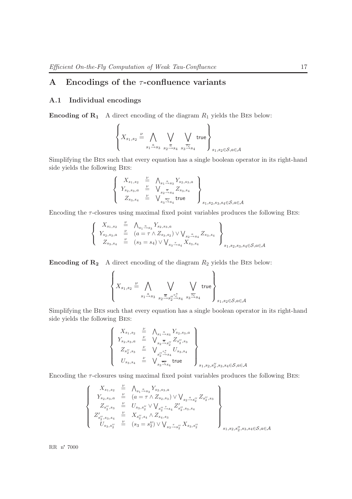## <span id="page-18-1"></span><span id="page-18-0"></span>A Encodings of the  $\tau$ -confluence variants

#### A.1 Individual encodings

**Encoding of R<sub>1</sub>** A direct encoding of the diagram  $R_1$  yields the BES below:

$$
\left\{ X_{s_1, s_2} \stackrel{\nu}{=} \bigwedge_{s_1 \stackrel{a}{\rightarrow} s_3} \bigvee_{s_2 \stackrel{\overline{a}}{\rightarrow} s_4} \bigvee_{s_3 \stackrel{\overline{r}_c}{\rightarrow} s_4} \text{true} \right\}_{s_1, s_2 \in \mathcal{S}, a \in \mathcal{A}}
$$

Simplifying the Bes such that every equation has a single boolean operator in its right-hand side yields the following Bes:

$$
\left\{\begin{array}{ccc} X_{s_1,s_2} & \stackrel{\nu}{=} & \bigwedge_{s_1\stackrel{a}{\to}s_3} Y_{s_2,s_3,a} \\ Y_{s_2,s_3,a} & \stackrel{\nu}{=} & \bigvee_{s_2\stackrel{\pi}{\to}s_4} Z_{s_3,s_4} \\ Z_{s_3,s_4} & \stackrel{\nu}{=} & \bigvee_{s_3\stackrel{\pi}{\to}s_4} \text{true} \end{array}\right\}_{s_1,s_2,s_3,s_4 \in \mathcal{S}, a \in \mathcal{A}}
$$

Encoding the  $\tau$ -closures using maximal fixed point variables produces the following Bes:

$$
\left\{\begin{array}{ccc} X_{s_1,s_2} & \xrightarrow{\nu} & \bigwedge_{s_1 \xrightarrow{s_3} } Y_{s_2,s_3,a} \\ Y_{s_2,s_3,a} & \xrightarrow{\nu} & (a = \tau \wedge Z_{s_3,s_2}) \vee \bigvee_{s_2 \xrightarrow{a} s_4 } Z_{s_3,s_4} \\ Z_{s_3,s_4} & \xrightarrow{\nu} & (s_3 = s_4) \vee \bigvee_{s_3 \xrightarrow{r} s_4 } X_{s_3,s_4} \end{array}\right\}_{s_1,s_2,s_3,s_4 \in \mathcal{S}, a \in \mathcal{A}}
$$

**Encoding of R<sub>2</sub>** A direct encoding of the diagram  $R_2$  yields the BES below:

$$
\left\{ X_{s_1, s_2} \stackrel{\nu}{=} \bigwedge_{s_1 \stackrel{a}{\rightarrow} s_3} \bigvee_{s_2 \stackrel{\overline{a}}{\rightarrow} s_2'' \stackrel{\tau^*}{\rightarrow} s_4} \bigvee_{s_3 \stackrel{\overline{c}}{\rightarrow} s_4} \text{true} \right\}_{s_1, s_2 \in \mathcal{S}, a \in \mathcal{A}}
$$

Simplifying the Bes such that every equation has a single boolean operator in its right-hand side yields the following Bes:

$$
\begin{cases}\nX_{s_1,s_2} & \stackrel{\nu}{=} \bigwedge_{s_1 \stackrel{a}{\to} s_3} Y_{s_2,s_3,a} \\
Y_{s_2,s_3,a} & \stackrel{\nu}{=} \bigvee_{s_2 \stackrel{\pi}{\to} s_2''} Z_{s_2'',s_3} \\
Z_{s_2'',s_3} & \stackrel{\nu}{=} \bigvee_{s_2'' \stackrel{\tau}{\to} s_4} U_{s_3,s_4} \\
U_{s_3,s_4} & \stackrel{\nu}{=} \bigvee_{s_3 \stackrel{\pi}{\to} s_4} \text{true}\n\end{cases}\n\right\}_{s_1,s_2,s_2'',s_3,s_4 \in \mathcal{S}, a \in \mathcal{A}
$$

Encoding the  $\tau$ -closures using maximal fixed point variables produces the following BES:

$$
\left\{\begin{array}{c}X_{s_1,s_2} \geq \lambda_{s_1\overset{a}{\to}s_3} Y_{s_2,s_3,a} \\ Y_{s_2,s_3,a} \geq (a=\tau\wedge Z_{s_2,s_3})\vee \bigvee_{s_2\overset{a}{\to}s_2'} Z_{s_2'',s_3} \\ Z_{s_2'',s_3} \geq U_{s_3,s_2''} \vee \bigvee_{s_2''\overset{\tau}{\to}s_4} Z'_{s_2'',s_3,s_4} \\ Z'_{s_2'',s_3,s_4} \geq X_{s_2'',s_4}\wedge Z_{s_4,s_3} \\ U_{s_3,s_2''} \geq (s_3=s_2'')\vee \bigvee_{s_3\overset{\tau}{\to}s_2''} X_{s_3,s_2''} \end{array}\right\}_{s_1,s_2,s_2'',s_3,s_4\in\mathcal{S},a\in\mathcal{A}}
$$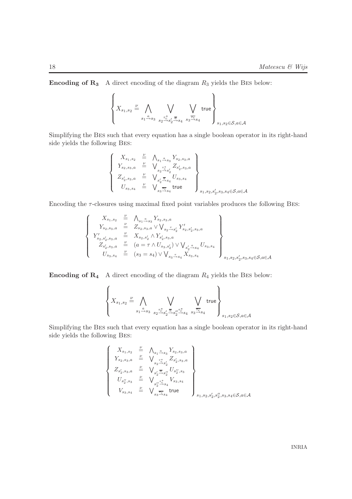**Encoding of R<sub>3</sub>** A direct encoding of the diagram  $R_3$  yields the BES below:

$$
\left\{X_{s_1,s_2} \stackrel{\nu}{=} \bigwedge_{s_1 \stackrel{a}{\rightarrow} s_3} \bigvee_{s_2 \stackrel{\tau_{c}^*}{\rightarrow} s_2' \stackrel{\overline{a}}{\rightarrow} s_4} \bigvee_{s_3 \stackrel{\overline{\tau_{c}}}{\rightarrow} s_4} \text{true}\right\}_{s_1,s_2 \in \mathcal{S}, a \in \mathcal{A}}
$$

Simplifying the Bes such that every equation has a single boolean operator in its right-hand side yields the following Bes:

 X<sup>s</sup>1,s<sup>2</sup> ν= V s1 <sup>a</sup>→s<sup>3</sup> Y<sup>s</sup>2,s3,a Y<sup>s</sup>2,s3,a ν= W s2 τ∗ →c s ′ 2 Zs ′ 2 ,s3,a Zs ′ 2 ,s3,a ν= W s ′ 2 <sup>a</sup>→s<sup>4</sup> U<sup>s</sup>3,s<sup>4</sup> U<sup>s</sup>3,s<sup>4</sup> ν= W s3→ τc s4 true s1,s2,s′ 2 ,s3,s4∈S,a∈A

Encoding the  $\tau$ -closures using maximal fixed point variables produces the following BES:

$$
\begin{cases}\nX_{s_1,s_2} & \stackrel{\nu}{=} \bigwedge_{s_1 \stackrel{a}{\to} s_3} Y_{s_2,s_3,a} \\
Y_{s_2,s_3,a} & \stackrel{\nu}{=} Z_{s_2,s_3,a} \lor \bigvee_{s_2 \stackrel{\tau}{\to} s'_2} Y'_{s_2,s'_2,s_3,a} \\
Y'_{s_2,s'_2,s_3,a} & \stackrel{\nu}{=} X_{s_2,s'_2} \land Y_{s'_2,s_3,a} \\
Z_{s'_2,s_3,a} & \stackrel{\nu}{=} (a = \tau \land U_{s_3,s'_2}) \lor \bigvee_{s'_2 \stackrel{a}{\to} s_4} U_{s_3,s_4} \\
U_{s_3,s_4} & \stackrel{\nu}{=} (s_3 = s_4) \lor \bigvee_{s_3 \stackrel{\tau}{\to} s_4} X_{s_3,s_4}\n\end{cases}
$$

**Encoding of R<sub>4</sub>** A direct encoding of the diagram  $R_4$  yields the BES below:

$$
\left\{X_{s_1,s_2} \stackrel{\nu}{=} \bigwedge_{s_1 \stackrel{a}{\rightarrow} s_3} \bigvee_{s_2 \stackrel{\tau^*_{\bullet}}{\rightarrow} s'_2 \stackrel{\overline{a}}{\rightarrow} s''_2 \stackrel{\tau^*_{\bullet}}{\rightarrow} s_4} \bigvee_{s_3 \stackrel{\overline{\tau}_{\bullet}}{\rightarrow} s_4} \text{true}\right\}_{s_1,s_2 \in \mathcal{S}, a \in \mathcal{A}}
$$

Simplifying the Bes such that every equation has a single boolean operator in its right-hand side yields the following Bes:

$$
\left\{\begin{array}{c} X_{s_1,s_2} & \stackrel{\nu}{=} \bigwedge_{s_1 \stackrel{a}{\to} s_3} Y_{s_2,s_3,a} \\ Y_{s_2,s_3,a} & \stackrel{\nu}{=} \bigvee_{s_2 \stackrel{\tau^*}{\to} s_2'} Z_{s_2',s_3,a} \\ Z_{s_2',s_3,a} & \stackrel{\nu}{=} \bigvee_{s_2' \stackrel{\pi}{\to} s_2''} U_{s_2'',s_3} \\ U_{s_2'',s_3} & \stackrel{\nu}{=} \bigvee_{s_2' \stackrel{\tau^*}{\to} s_4} V_{s_3,s_4} \\ V_{s_3,s_4} & \stackrel{\nu}{=} \bigvee_{s_3 \stackrel{\tau}{\to} s_4} \text{true} \end{array}\right\}_{s_1,s_2,s_2',s_3'',s_3,s_4 \in \mathcal{S}, a \in \mathcal{A}}
$$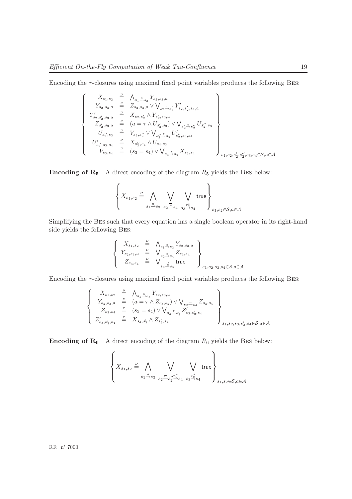Encoding the  $\tau$ -closures using maximal fixed point variables produces the following Bes:

$$
\begin{cases}\nX_{s_1,s_2} & \stackrel{\nu}{=} \bigwedge_{s_1 \stackrel{a}{\to} s_3} Y_{s_2,s_3,a} \\
Y_{s_2,s_3,a} & \stackrel{\nu}{=} Z_{s_2,s_3,a} \vee \bigvee_{s_2 \stackrel{\tau}{\to} s'_2} Y'_{s_2,s'_2,s_3,a} \\
Y'_{s_2,s'_2,s_3,a} & \stackrel{\nu}{=} X_{s_2,s'_2} \wedge Y_{s'_2,s_3,a} \\
Z_{s'_2,s_3,a} & \stackrel{\nu}{=} (a = \tau \wedge U_{s'_2,s_3}) \vee \bigvee_{s'_2 \stackrel{a}{\to} s'_2} U_{s''_2,s_3} \\
U_{s''_2,s_3} & \stackrel{\nu}{=} Y_{s_3,s''_2} \vee \bigvee_{s''_2 \stackrel{\tau}{\to} s_4} U'_{s''_2,s_3,s_4} \\
U'_{s_2,s_3,s_4} & \stackrel{\nu}{=} X_{s''_2,s_4} \wedge U_{s_4,s_3} \\
Y_{s_3,s_4} & \stackrel{\nu}{=} (s_3 = s_4) \vee \bigvee_{s_3 \stackrel{\tau}{\to} s_4} X_{s_3,s_4}\n\end{cases}
$$

**Encoding of R<sub>5</sub>** A direct encoding of the diagram  $R_5$  yields the BES below:

$$
\left\{ X_{s_1, s_2} \stackrel{\nu}{=} \bigwedge_{s_1 \stackrel{a}{\longrightarrow} s_3} \bigvee_{s_2 \stackrel{\overline{a}}{\longrightarrow} s_4} \bigvee_{s_3 \stackrel{\overline{r}_c^*}{\longrightarrow} s_4} \text{true} \right\}_{s_1, s_2 \in \mathcal{S}, a \in \mathcal{A}}
$$

Simplifying the Bes such that every equation has a single boolean operator in its right-hand side yields the following Bes:

$$
\left\{\begin{array}{ccl} X_{s_1,s_2} & \xleftarrow{\nu} & \bigwedge_{s_1\xrightarrow{s_3}}Y_{s_2,s_3,a} \\ Y_{s_2,s_3,a} & \xleftarrow{\nu} & \bigvee_{s_2\xrightarrow{\pi}s_4}Z_{s_3,s_4} \\ Z_{s_3,s_4} & \xleftarrow{\nu} & \bigvee_{s_3\xrightarrow{s_4}} \text{true} \end{array}\right\}_{s_1,s_2,s_3,s_4\in\mathcal{S},a\in\mathcal{A}}
$$

Encoding the  $\tau$ -closures using maximal fixed point variables produces the following BES:

$$
\left\{\begin{array}{c}X_{s_1,s_2} \stackrel{\nu}{=} \bigwedge_{s_1 \stackrel{a}{\to} s_3} Y_{s_2,s_3,a} \\ Y_{s_2,s_3,a} \stackrel{\nu}{=} (a = \tau \wedge Z_{s_3,s_2}) \vee \bigvee_{s_2 \stackrel{a}{\to} s_4} Z_{s_3,s_4} \\ Z_{s_3,s_4} \stackrel{\nu}{=} (s_3 = s_4) \vee \bigvee_{s_3 \stackrel{\tau}{\to} s'_3} Z'_{s_3,s'_3,s_4} \\ Z'_{s_3,s'_3,s_4} \stackrel{\nu}{=} X_{s_3,s'_3} \wedge Z_{s'_3,s_4} \end{array}\right\}_{s_1,s_2,s_3,s'_3,s_4 \in \mathcal{S}, a \in \mathcal{A}}
$$

**Encoding of R<sub>6</sub>** A direct encoding of the diagram  $R_6$  yields the BES below:

$$
\left\{ X_{s_1, s_2} \stackrel{\nu}{=} \bigwedge_{s_1 \stackrel{a}{\rightarrow} s_3} \bigvee_{s_2 \stackrel{\overline{a}}{\rightarrow} s'_2 \stackrel{\tau_c^*}{\rightarrow} s_4} \bigvee_{s_3 \stackrel{\tau_c^*}{\rightarrow} s_4} \text{true} \right\}_{s_1, s_2 \in \mathcal{S}, a \in \mathcal{A}}
$$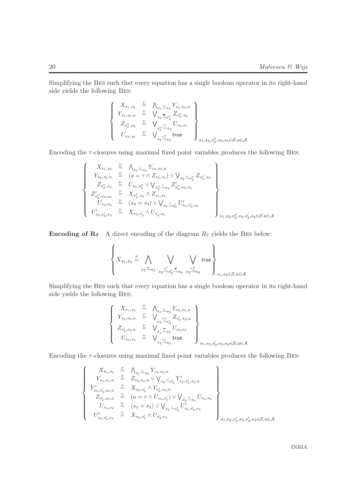Simplifying the Bes such that every equation has a single boolean operator in its right-hand side yields the following Bes:

$$
\begin{cases}\nX_{s_1,s_2} & \stackrel{\nu}{=} \bigwedge_{s_1 \stackrel{a}{\to} s_3} Y_{s_2,s_3,a} \\
Y_{s_2,s_3,a} & \stackrel{\nu}{=} \bigvee_{s_2 \stackrel{\pi}{\to} s_2''} Z_{s_2'',s_3} \\
Z_{s_2'',s_3} & \stackrel{\nu}{=} \bigvee_{s_2' \stackrel{\tau^*}{\to} s_4} U_{s_3,s_4} \\
U_{s_3,s_4} & \stackrel{\nu}{=} \bigvee_{s_3 \stackrel{\tau^*}{\to} s_4} \text{true}\n\end{cases}
$$

Encoding the  $\tau$ -closures using maximal fixed point variables produces the following BES:

$$
\begin{cases}\nX_{s_1,s_2} \stackrel{\nu}{=} \bigwedge_{s_1 \stackrel{a}{\to} s_3} Y_{s_2,s_3,a} \\
Y_{s_2,s_3,a} \stackrel{\nu}{=} (a = \tau \wedge Z_{s_2,s_3}) \vee \bigvee_{s_2 \stackrel{a}{\to} s_2''} Z_{s_2'',s_3} \\
Z_{s_2'',s_3} \stackrel{\nu}{=} U_{s_3,s_2''} \vee \bigvee_{s_2'' \stackrel{\tau}{\to} s_4} Z'_{s_2'',s_3,s_4} \\
Z'_{s_2'',s_3,s_4} \stackrel{\nu}{=} X_{s_2'',s_4} \wedge Z_{s_4,s_3} \\
U_{s_3,s_4} \stackrel{\nu}{=} X_{s_3,s_3'} \wedge U_{s_3',s_4}\n\end{cases}
$$
\n
$$
\left\{\n\begin{array}{ccc}\nX_{s_1,s_2} & \stackrel{\nu}{\to} & X_{s_3,s_3'} \wedge Z_{s_4,s_4} \\
U'_{s_3,s_4',s_4} & \stackrel{\nu}{\to} & X_{s_3,s_4'} \wedge U_{s_3',s_4}\n\end{array}\n\right\}_{s_1,s_2,s_2'',s_3,s_3',s_4 \in \mathcal{S}, a \in \mathcal{A}
$$

**Encoding of R<sub>7</sub>** A direct encoding of the diagram  $R_7$  yields the BES below:

$$
\left\{X_{s_1,s_2} \stackrel{\nu}{=} \bigwedge_{s_1 \stackrel{a}{\rightarrow} s_3} \bigvee_{s_2 \stackrel{\tau^*}{\rightarrow} s'_2 \stackrel{\overline{a}}{\rightarrow} s_4} \bigvee_{s_3 \stackrel{\tau^*}{\rightarrow} s_4} \text{true}\right\}_{s_1,s_2 \in \mathcal{S}, a \in \mathcal{A}}
$$

Simplifying the Bes such that every equation has a single boolean operator in its right-hand side yields the following Bes:

$$
\left\{\begin{array}{c} X_{s_1,s_2} \xrightarrow{\underline{\nu}} \quad {\bigwedge}_{s_1 \xrightarrow{\alpha}_{s_3}} Y_{s_2,s_3,a} \\ Y_{s_2,s_3,a} \xrightarrow{\underline{\nu}} \quad {\bigvee}_{s_2 \xrightarrow{\tau}_{s_2}^*} Z_{s_2',s_3,a} \\ Z_{s_2',s_3,a} \xrightarrow{\underline{\nu}} \quad {\bigvee}_{s_2' \xrightarrow{\pi}_{s_4}} U_{s_3,s_4} \\ U_{s_3,s_4} \xrightarrow{\underline{\nu}} \quad {\bigvee}_{s_3 \xrightarrow{\tau}_{s_4}^*} \text{true} \end{array}\right\}_{s_1,s_2,s_2',s_3,s_4 \in \mathcal{S}, a \in \mathcal{A}}
$$

Encoding the  $\tau$ -closures using maximal fixed point variables produces the following BES:

$$
\begin{Bmatrix}\nX_{s_1,s_2} & \xrightarrow{\nu} & \wedge_{s_1 \xrightarrow{s_3}} Y_{s_2,s_3,a} \\
Y_{s_2,s_3,a} & \xrightarrow{\nu} & Z_{s_2,s_3,a} \vee \bigvee_{s_2 \xrightarrow{\tau} s'_2} Y'_{s_2,s'_2,s_3,a} \\
Y'_{s_2,s'_2,s_3,a} & \xrightarrow{\nu} & X_{s_2,s'_2} \wedge Y_{s'_2,s_3,a} \\
Z_{s'_2,s_3,a} & \xrightarrow{\nu} & (a = \tau \wedge U_{s_3,s'_2}) \vee \bigvee_{s'_2 \xrightarrow{a} s_4} U_{s_3,s_4} \\
U_{s_3,s_4} & \xrightarrow{\nu} & (s_3 = s_4) \vee \bigvee_{s_3 \xrightarrow{\tau} s'_3} U'_{s_3,s'_3,s_4} \\
U'_{s_3,s'_3,s_4} & \xrightarrow{\nu} & X_{s_3,s'_3} \wedge U_{s'_3,s_4}\n\end{Bmatrix}_{s_1,s_2,s'_2,s_3,s'_3,s_4 \in S, a \in A}
$$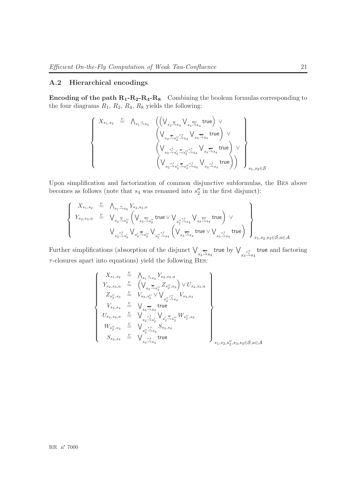#### <span id="page-22-0"></span>A.2 Hierarchical encodings

**Encoding of the path**  $R_1-R_2-R_4-R_8$  Combining the boolean formulas corresponding to the four diagrams  $R_1$ ,  $R_2$ ,  $R_4$ ,  $R_8$  yields the following:

$$
\left\{\begin{array}{ccccc}X_{s_1,s_2} & \stackrel{\nu}{=} & \bigwedge_{s_1\xrightarrow{a}s_3} & \left(\left(\bigvee_{s_2\xrightarrow{\overline{a}},s_4}\bigvee_{s_3\xrightarrow{\overline{r_c}}\text{true}}\right)\vee\right.\\ & & \left. \left(\bigvee_{s_2\xrightarrow{\overline{a}},s_2'\xrightarrow{\overline{r_c}}s_4}\bigvee_{s_3\xrightarrow{\overline{r_c}}s_4}\text{true}\right)\vee\right.\\ & & \left. \left(\bigvee_{s_2\xrightarrow{\overline{r_c}}s_2'\xrightarrow{\overline{a}},s_2'\xrightarrow{\overline{r_c}}s_4}\bigvee_{s_3\xrightarrow{\overline{r_c}}s_4}\text{true}\right)\vee\right.\\ & & \left. \left(\bigvee_{s_2\xrightarrow{\overline{r_c}}s_2'\xrightarrow{\overline{a}},s_2'\xrightarrow{\overline{r_c}}s_4}\bigvee_{s_3\xrightarrow{\overline{r_c}}s_4}\text{true}\right)\right) & \right\}_{s_1,s_2\in\mathcal{S}}\end{array}\right.
$$

Upon simplification and factorization of common disjunctive subformulas, the Bes above becomes as follows (note that  $s_4$  was renamed into  $s_2''$  in the first disjunct):

$$
\left\{\begin{array}{ccc} X_{s_1,s_2} & \stackrel{\nu}{=} & \bigwedge_{s_1 \stackrel{a}{\rightarrow} s_3} Y_{s_2,s_3,a} \\ Y_{s_2,s_3,a} & \stackrel{\nu}{=} & \bigvee_{s_2 \stackrel{\overline{a}}{\rightarrow} s_2^{\prime\prime}} \left(\bigvee_{s_3 \stackrel{\overline{\tau}_6}{\rightarrow} s_2^{\prime\prime}} \text{true} \vee \bigvee_{s_2^{\prime\prime} \stackrel{\tau^*}{\rightarrow} s_4} \bigvee_{s_3 \stackrel{\overline{\tau}_6}{\rightarrow} s_4} \text{true} \right) \vee \\ V_{s_2 \stackrel{\tau^*}{\rightarrow} s_2^{\prime}} \bigvee_{s_2^{\prime} \stackrel{\overline{a}}{\rightarrow} s_2^{\prime\prime}} \bigvee_{s_2^{\prime\prime} \stackrel{\tau^*}{\rightarrow} s_4} \left(\bigvee_{s_3 \stackrel{\overline{\tau}_6}{\rightarrow} s_4} \text{true} \vee \bigvee_{s_3 \stackrel{\tau^*}{\rightarrow} s_4} \text{true} \right)\end{array}\right\}_{s_1,s_2,s_3 \in \mathcal{S}, a \in \mathcal{A}}
$$

Further simplifications (absorption of the disjunct  $\bigvee_{s_3\overline{\tau}\underset{s}{\to}_{s_4}}$  true by  $\bigvee_{s_3\overline{\tau}\underset{s}{\to}_{s_4}}$  true and factoring  $\tau$ -closures apart into equations) yield the following BES:

$$
\left\{\begin{array}{c} X_{s_1,s_2} \stackrel{\nu}{=} \bigwedge_{s_1 \xrightarrow{s} s_3} Y_{s_2,s_3,a} \\ Y_{s_2,s_3,a} \stackrel{\nu}{=} \left(\bigvee_{s_2 \xrightarrow{s} s_2'} Z_{s_2',s_3} \right) \vee U_{s_2,s_3,a} \\ Z_{s_2',s_3} \stackrel{\nu}{=} \bigvee_{s_3,s_2'} \vee \bigvee_{s_2' \xrightarrow{\tau^*_{c}} s_4} V_{s_3,s_4} \\ V_{s_3,s_4} \stackrel{\nu}{=} \bigvee_{s_2 \xrightarrow{\tau^*_{c}} s_2} \bigvee_{s_2' \xrightarrow{\pi_{s_2'}}} W_{s_2',s_3} \\ W_{s_2',s_3} \stackrel{\nu}{=} \bigvee_{s_2' \xrightarrow{\tau^*_{c}} s_4} S_{s_3,s_4} \\ S_{s_3,s_4} \stackrel{\nu}{=} \bigvee_{s_3 \xrightarrow{\tau^*_{c}} s_4} \text{true} \end{array}\right\}_{s_1,s_2,s_2'',s_3,s_4 \in \mathcal{S}, a \in \mathcal{A}}
$$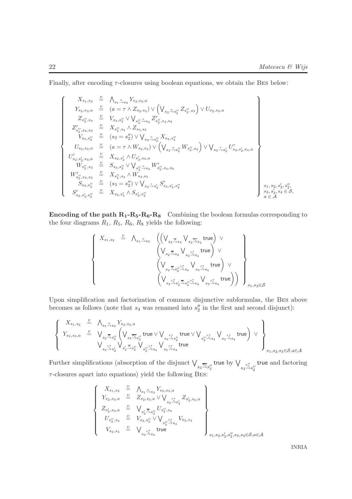Finally, after encoding  $\tau$ -closures using boolean equations, we obtain the BES below:

$$
\begin{cases}\nX_{s_1,s_2} & \stackrel{\nu}{=} \bigwedge_{s_1 \xrightarrow{\alpha}_{s_3}} Y_{s_2,s_3,a} \\
Y_{s_2,s_3,a} & \stackrel{\nu}{=} (a = \tau \wedge Z_{s_2,s_3}) \vee \left( \bigvee_{s_2 \xrightarrow{\alpha}_{s_2}} Z_{s_2'',s_3} \right) \vee U_{s_2,s_3,a} \\
Z_{s_2'',s_4} & \stackrel{\nu}{=} Y_{s_3,s_2''} \vee \bigvee_{s_2'' \xrightarrow{r}_{s_4}} Z'_{s_2'',s_4,s_3} \\
Z'_{s_2'',s_4,s_3} & \stackrel{\nu}{=} X_{s_2'',s_4} \wedge Z_{s_4,s_3} \\
V_{s_3,s_2''} & \stackrel{\nu}{=} (s_3 = s_2'') \vee \bigvee_{s_3 \xrightarrow{\tau}_{s_2''}} X_{s_3,s_2''} \\
U_{s_2,s_3,a} & \stackrel{\nu}{=} (a = \tau \wedge W_{s_2,s_3}) \vee \left( \bigvee_{s_2 \xrightarrow{\alpha}_{s_2''}} W_{s_2'',s_3} \right) \vee \bigvee_{s_2 \xrightarrow{\tau}_{s_2}} U'_{s_2,s_2',s_3,a} \\
W_{s_2'',s_3} & \stackrel{\nu}{=} X_{s_2,s_2'} \wedge U_{s_2'',s_4} W'_{s_2'',s_4,s_3} \\
W'_{s_2'',s_4,s_3} & \stackrel{\nu}{=} X_{s_2'',s_4} \wedge W_{s_4,s_3} \\
S_{s_3,s_2''} & \stackrel{\nu}{=} (s_3 = s_2'') \vee \bigvee_{s_3 \xrightarrow{\tau}_{s_3}} S'_{s_3,s_3',s_2''} \\
s_3, s_3', s_4 \in S,\n\end{cases}
$$
\n
$$
\begin{cases}\n\frac{X_{s_1,s_2} & \stackrel{\nu}{\nu} \\
\frac{X_{s_2,s_3}}{X_{s_3,s_3'} & \stackrel{\nu}{\nu} \\
\frac{X_{s_2,s_4}}{X_{s_3,s_4'}} & \stackrel{\nu}{\nu} \\
\frac{X_{s_2,s_4}}{X_{s_3,s_4'}} & \stackrel{\nu}{\nu} \\
\frac{X_{s_2,s_4}}{X_{s_2,s
$$

**Encoding of the path R<sub>1</sub>-R<sub>5</sub>-R<sub>6</sub>-R<sub>8</sub>** Combining the boolean formulas corresponding to the four diagrams  $R_1$ ,  $R_5$ ,  $R_6$ ,  $R_8$  yields the following:

$$
\left\{\begin{array}{ccl}X_{s_1,s_2}&\stackrel{\nu}{=}&\bigwedge_{s_1\xrightarrow{\alpha}s_3}&\left(\left(\bigvee_{s_2\xrightarrow{\overline{\alpha}}s_4}\bigvee_{s_3\xrightarrow{\overline{\tau_{\circ}}s_4}\text{true}\right)\;\vee\right.\\&\left.\left(\bigvee_{s_2\xrightarrow{\overline{\alpha}}s_4}\bigvee_{s_3\xrightarrow{\overline{\zeta}}s_4}\text{true}\right)\;\vee\right.\\&\left.\left(\bigvee_{s_2\xrightarrow{\overline{\alpha}}s_2'\xrightarrow{\tau_{\circ}^*s_4}}\bigvee_{s_3\xrightarrow{\overline{\zeta}}s_4}\text{true}\right)\;\vee\right.\\&\left.\left(\bigvee_{s_2\xrightarrow{\overline{\alpha}}s_2'\xrightarrow{\overline{\alpha}}s_2'\xrightarrow{\overline{\alpha}}s_4'\xrightarrow{\tau_{\circ}^*s_4}}\text{true}\right)\right)\end{array}\right\}_{s_1,s_2\in\mathcal{S}}
$$

Upon simplification and factorization of common disjunctive subformulas, the Bes above becomes as follows (note that  $s_4$  was renamed into  $s_2''$  in the first and second disjunct):

$$
\left\{\begin{array}{ccc} X_{s_1,s_2}&\stackrel{\nu}{=}&\bigwedge_{s_1\stackrel{a}{\to}s_3}Y_{s_2,s_3,a}\\ Y_{s_2,s_3,a}&\stackrel{\nu}{=}&\bigvee_{s_2\stackrel{\pi}{\to}s_2''}\left(\bigvee_{s_3\stackrel{\pi}{\to}s_2''}\text{true}\vee\bigvee_{s_3\stackrel{\tau^*}{\to}s_3''}\text{true}\vee\bigvee_{s_2''\stackrel{\tau^*}{\to}s_4}\bigvee_{s_3\stackrel{\tau^*}{\to}s_4}\text{true}\end{array}\right]\ \vee \left\}_{\substack{s_1,s_2,s_3\in\mathcal{S},a\in\mathcal{A} \\ s_1,s_2,s_3\in\mathcal{S},a\in\mathcal{A}}} \right.
$$

Further simplifications (absorption of the disjunct  $\bigvee_{s_3 \stackrel{\overline{\tau_c}}{\rightarrow} s_2''}$  true by  $\bigvee_{s_3 \stackrel{\tau_c^*}{\rightarrow} s_2''}$ true and factoring  $\tau$ -closures apart into equations) yield the following BES:

$$
\begin{cases}\nX_{s_1,s_2} & \stackrel{\nu}{=} \bigwedge_{s_1 \stackrel{a}{\to} s_3} Y_{s_2,s_3,a} \\
Y_{s_2,s_3,a} & \stackrel{\nu}{=} Z_{s_2,s_3,a} \vee \bigvee_{s_2 \stackrel{\tau}{\to} s_2'} Z_{s_2',s_3,a} \\
Z_{s_2',s_3,a} & \stackrel{\nu}{=} \bigvee_{s_2' \stackrel{\pi}{\to} s_2''} U_{s_2'',s_3} \\
U_{s_2'',s_3} & \stackrel{\nu}{=} V_{s_3,s_2''} \vee \bigvee_{s_2'' \stackrel{\tau}{\subset} s_4} V_{s_3,s_4} \\
V_{s_3,s_4} & \stackrel{\nu}{=} \bigvee_{s_3 \stackrel{\tau}{\to} s_4} \text{true} \\
\end{cases}
$$

INRIA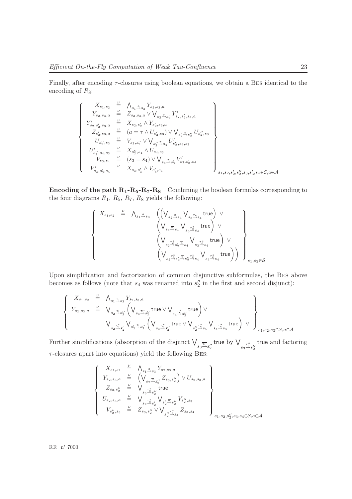Finally, after encoding  $\tau$ -closures using boolean equations, we obtain a BES identical to the encoding of  $R_8$ :

$$
\begin{cases}\nX_{s_1,s_2} & \stackrel{\nu}{=} \bigwedge_{s_1 \stackrel{a}{\to} s_3} Y_{s_2,s_3,a} \\
Y_{s_2,s_3,a} & \stackrel{\nu}{=} Z_{s_2,s_3,a} \vee \bigvee_{s_2 \stackrel{\tau}{\to} s'_2} Y'_{s_2,s'_2,s_3,a} \\
Y'_{s_2,s'_2,s_3,a} & \stackrel{\nu}{=} X_{s_2,s'_2} \wedge Y_{s'_2,s_3,a} \\
Z_{s'_2,s_3,a} & \stackrel{\nu}{=} (a = \tau \wedge U_{s'_2,s_3}) \vee \bigvee_{s'_2 \stackrel{a}{\to} s''_2} U_{s''_2,s_3} \\
U'_{s''_2,s_3} & \stackrel{\nu}{=} Y_{s_3,s''_2} \vee \bigvee_{s''_2 \stackrel{\tau}{\to} s_4} U'_{s''_2,s_4,s_3} \\
U'_{s_2,s_4,s_3} & \stackrel{\nu}{=} X_{s_2',s_4} \wedge U_{s_4,s_3} \\
V_{s_3,s_4} & \stackrel{\nu}{=} X_{s_3,s'_3} \wedge V_{s'_3,s_4}\n\end{cases}
$$
\n
$$
\begin{cases}\nX_{s_1,s_2} & \stackrel{\nu}{\to} \\
\downarrow \\
s_1, s_2, s'_2, s''_2, s_3, s'_3, s_4 \in S, a \in A\n\end{cases}
$$

**Encoding of the path**  $R_1-R_5-R_7-R_8$  Combining the boolean formulas corresponding to the four diagrams  $R_1$ ,  $R_5$ ,  $R_7$ ,  $R_8$  yields the following:

$$
\left\{\begin{array}{ccl}X_{s_1,s_2}&\stackrel{\nu}{=}&\bigwedge_{s_1\stackrel{a}{\rightarrow}s_3}\right.\left(\left(\bigvee_{\stackrel{\pi}{s_2\stackrel{a}{\rightarrow}s_4}}\bigvee_{\stackrel{\pi}{s_3\stackrel{r_*}{\rightarrow}s_4}}\text{true}\right)\;\vee\\ & & & & \left(\bigvee_{\stackrel{\pi}{s_2\stackrel{a}{\rightarrow}s_4}}\bigvee_{\stackrel{\pi^*_s}{s_3\stackrel{r_*}{\rightarrow}s_4}}\text{true}\right)\;\vee\\ & & & & \left(\bigvee_{\stackrel{\pi^*_s}{s_2\stackrel{r_*}{\rightarrow}s_2'\stackrel{\pi}{\rightarrow}s_4}}\bigvee_{\stackrel{\pi^*_s}{s_3\stackrel{r_*}{\rightarrow}s_4}}\text{true}\right)\;\vee\\ & & & & \left(\bigvee_{\stackrel{\pi^*_s}{s_2\stackrel{r_*}{\rightarrow}s_2'\stackrel{\pi}{\rightarrow}s_2'\stackrel{\pi^*_s}{\rightarrow}s_4}}\bigvee_{\stackrel{\pi^*_s}{s_3\stackrel{r_*}{\rightarrow}s_4}}\text{true}\right)\right)\end{array}\right\}_{s_1,s_2\in\mathcal{S}}
$$

Upon simplification and factorization of common disjunctive subformulas, the Bes above becomes as follows (note that  $s_4$  was renamed into  $s_2''$  in the first and second disjunct):

$$
\left\{\begin{array}{ccc} X_{s_1,s_2} & \stackrel{\nu}{=} & \bigwedge_{s_1 \stackrel{a}{\rightarrow} s_3} Y_{s_2,s_3,a} \\ Y_{s_2,s_3,a} & \stackrel{\nu}{=} & \bigvee_{s_2 \stackrel{\overline{a}}{\rightarrow} s_2^{\prime\prime}} \left(\bigvee_{s_3 \stackrel{\overline{\tau}_c}{\rightarrow} s_2^{\prime\prime}} \text{true} \vee \bigvee_{s_3 \stackrel{\tau^*_c}{\rightarrow} s_2^{\prime\prime}} \text{true} \right) \vee \\ V_{s_2 \stackrel{\tau^*_c}{\rightarrow} s_2^{\prime}} \bigvee_{s_2^{\prime} \stackrel{\overline{a}}{\rightarrow} s_2^{\prime\prime}} \left(\bigvee_{s_3 \stackrel{\tau^*_c}{\rightarrow} s_2^{\prime\prime}} \text{true} \vee \bigvee_{s_2^{\prime\prime} \stackrel{\tau^*_c}{\rightarrow} s_4} \bigvee_{s_3 \stackrel{\tau^*_c}{\rightarrow} s_4} \text{true}\right) \end{array}\right\} \right\}_{s_1,s_2,s_3 \in \mathcal{S}, a \in \mathcal{A}
$$

Further simplifications (absorption of the disjunct  $\bigvee_{s_3 \stackrel{\overline{\tau_c}}{\rightarrow} s_2''}$  true by  $\bigvee_{s_3 \stackrel{\tau_c^*}{\rightarrow} s_2''}$ true and factoring  $\tau$ -closures apart into equations) yield the following BES:

$$
\left\{\begin{array}{c} X_{s_1,s_2} \xrightarrow{\nu} \left(\bigvee_{s_1\xrightarrow{a}s_3} Y_{s_2,s_3,a} \right.\hspace{1cm} \\ Y_{s_2,s_3,a} \xrightarrow{\nu} \left(\bigvee_{s_2\xrightarrow{\overline{a}}s_2''} Z_{s_3,s_2''}\right) \vee U_{s_2,s_3,a} \\ Z_{s_3,s_2''} \xrightarrow{\nu} \left.\bigvee_{s_3\xrightarrow{\tau^*_{s}s_2''} \atop{S_2\xrightarrow{\tau^*_{s}}}} \bigvee_{s_2'\xrightarrow{\overline{a}}s_2''} V_{s_2'',s_3} \right.\hspace{1cm} \\ V_{s_2'',s_3} \xrightarrow{\nu} \left.\begin{array}{ccc} \left.\bigvee_{s_2\xrightarrow{\tau^*_{s}}} \left(\bigvee_{s_2'\xrightarrow{\overline{a}}s_2''} V_{s_2'',s_3} \right.\right. \\ \left.\bigvee_{s_2''\xrightarrow{\tau^*_{s}} } Z_{s_3,s_4} \right. \end{array}\right\}_{s_1,s_2,s_2'',s_3,s_4 \in \mathcal{S}, a \in \mathcal{A}} \end{array}\right.
$$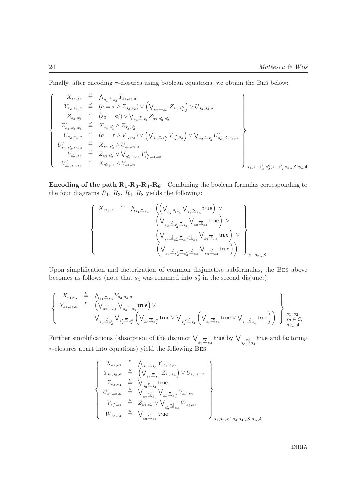Finally, after encoding  $\tau$ -closures using boolean equations, we obtain the BES below:

$$
\begin{cases}\nX_{s_1,s_2} & \stackrel{\nu}{=} \bigwedge_{s_1 \stackrel{a}{\rightarrow} s_3} Y_{s_2,s_3,a} \\
Y_{s_2,s_3,a} & \stackrel{\nu}{=} (a = \tau \wedge Z_{s_3,s_2}) \vee \left( \bigvee_{s_2 \stackrel{a}{\rightarrow} s_2''} Z_{s_3,s_2''} \right) \vee U_{s_2,s_3,a} \\
Z_{s_3,s_2''} & \stackrel{\nu}{=} (s_3 = s_2'') \vee \bigvee_{s_3 \stackrel{\tau}{\rightarrow} s_3'} Z'_{s_3,s_3',s_2''} \\
Z'_{s_3,s_3',s_2''} & \stackrel{\nu}{=} X_{s_3,s_3'} \wedge Z_{s_3',s_2''} \\
U_{s_2,s_3,a} & \stackrel{\nu}{=} (a = \tau \wedge V_{s_2,s_3}) \vee \left( \bigvee_{s_2 \stackrel{a}{\rightarrow} s_2''} V_{s_2',s_3} \right) \vee \bigvee_{s_2 \stackrel{\tau}{\rightarrow} s_2'} U'_{s_2,s_2',s_3,a} \\
U'_{s_2',s_3,a} & \stackrel{\nu}{=} Z_{s_3,s_2''} \vee \bigvee_{s_2'' \stackrel{\tau}{\rightarrow} s_4} V'_{s_2'',s_4,s_3} \\
V'_{s_2'',s_4,s_3} & \stackrel{\nu}{=} X_{s_2'',s_4} \wedge V_{s_4,s_3}\n\end{cases}
$$

**Encoding of the path**  $R_1-R_3-R_4-R_8$  Combining the boolean formulas corresponding to the four diagrams  $R_1$ ,  $R_3$ ,  $R_4$ ,  $R_8$  yields the following:

$$
\left\{\begin{array}{ccl}X_{s_1,s_2}&\stackrel{\nu}{=}&\bigwedge_{s_1\stackrel{a}{\rightarrow}s_3}\;\left(\left(\bigvee_{s_2\stackrel{\overline{\alpha}}{\rightarrow}s_4}\bigvee_{s_3\stackrel{\overline{\gamma_c}}{\rightarrow}s_4}\text{true}\right)\;\vee\right.\\&\left.\left(\bigvee_{s_2\stackrel{\tau_c^*}{\rightarrow}s_2'\stackrel{\overline{\alpha}}{\rightarrow}s_4}\bigvee_{s_3\stackrel{\overline{\gamma_c}}{\rightarrow}s_4}\text{true}\right)\;\vee\right.\\&\left.\left(\bigvee_{s_2\stackrel{\tau_c^*}{\rightarrow}s_2'\stackrel{\overline{\alpha}}{\rightarrow}s_2'\stackrel{\tau_c^*}{\rightarrow}s_4}\bigvee_{s_3\stackrel{\overline{\gamma_c}}{\rightarrow}s_4}\text{true}\right)\;\vee\right\}\\\left(\bigvee_{s_2\stackrel{\tau_c^*}{\rightarrow}s_2'\stackrel{\overline{\alpha}}{\rightarrow}s_2'\stackrel{\tau_c^*}{\rightarrow}s_4}\bigvee_{s_3\stackrel{\tau_c^*}{\rightarrow}s_4}\text{true}\right)\right)\end{array}\right\}_{s_1,s_2\in\mathcal{S}}
$$

Upon simplification and factorization of common disjunctive subformulas, the Bes above becomes as follows (note that  $s_4$  was renamed into  $s_2''$  in the second disjunct):

$$
\left\{\begin{array}{ccc} X_{s_1,s_2} & \stackrel{\nu}{=} & \bigwedge_{s_1 \stackrel{a}{\rightarrow} s_3} Y_{s_2,s_3,a} \\ Y_{s_2,s_3,a} & \stackrel{\nu}{=} & \left(\bigvee_{s_2 \stackrel{\pi}{\rightarrow} s_4} \bigvee_{s_3 \stackrel{\pi}{\rightarrow} s_4} \text{true} \right) \vee \\ & & \bigvee_{s_2 \stackrel{\tau^*}{\rightarrow} s_2'} \bigvee_{s_2' \stackrel{\pi}{\rightarrow} s_2''} \left( \bigvee_{s_3 \stackrel{\pi}{\rightarrow} s_2''} \text{true} \vee \bigvee_{s_2'' \stackrel{\tau^*}{\rightarrow} s_4} \left( \bigvee_{s_3 \stackrel{\pi}{\rightarrow} s_4} \text{true} \vee \bigvee_{s_3 \stackrel{\tau^*}{\rightarrow} s_4} \text{true} \right) \right) \end{array}\right\} \mathop{\rm s_1, s_2,} {s_1, s_2,} \label{eq:3}
$$

Further simplifications (absorption of the disjunct  $\bigvee_{s_3} \frac{1}{\tau_{\infty}} s_4$  true by  $\bigvee_{s_3} \frac{1}{\tau_{\infty}} s_4$  true and factoring  $\tau$ -closures apart into equations) yield the following BES:

$$
\left\{\begin{array}{c} X_{s_1,s_2} \xrightarrow{\nu} \left\langle \bigvee_{s_1 \xrightarrow{\alpha}_{s_3}} Y_{s_2,s_3,a} \right. \\ Y_{s_2,s_3,a} \xrightarrow{\nu} \left( \bigvee_{s_2 \xrightarrow{\alpha}_{s_4}} Z_{s_3,s_4} \right) \vee U_{s_2,s_3,a} \\ Z_{s_3,s_4} \xrightarrow{\nu} \left\langle \bigvee_{s_3 \xrightarrow{\tau}_{s_4}} Y_{s_2} \right. \\ U_{s_2,s_3,a} \xrightarrow{\nu} \left\langle \bigvee_{s_2 \xrightarrow{\tau}_{s_2}^*} \bigvee_{s_2' \xrightarrow{\alpha}_{s_2}^*} Y_{s_2'',s_3} \right. \\ V_{s_2'',s_3} \xrightarrow{\nu} \left. Z_{s_3,s_2''} \vee \bigvee_{s_2'' \xrightarrow{\tau}_{s_4}^*} W_{s_3,s_4} \right. \\ W_{s_3,s_4} \xrightarrow{\nu} \left. \bigvee_{s_3 \xrightarrow{\tau}_{s_4}^*} \text{true} \right\}_{s_1,s_2,s_2'',s_3,s_4 \in \mathcal{S}, a \in \mathcal{A}} \end{array} \right\}
$$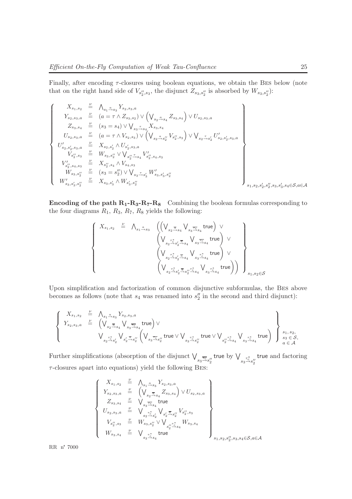Finally, after encoding  $\tau$ -closures using boolean equations, we obtain the BES below (note that on the right hand side of  $V_{s''_2,s_3}$ , the disjunct  $Z_{s_3,s''_2}$  is absorbed by  $W_{s_3,s''_2}$ :

$$
\left\{\begin{array}{lll} &X_{s_1,s_2} & \stackrel{\nu}{=} & \bigwedge_{s_1 \stackrel{a}{\rightarrow} s_3} Y_{s_2,s_3,a} \\ &Y_{s_2,s_3,a} & \stackrel{\nu}{=} & (a = \tau \wedge Z_{s_3,s_2}) \vee \left( \bigvee_{s_2 \stackrel{a}{\rightarrow} s_4} Z_{s_3,s_4} \right) \vee U_{s_2,s_3,a} \\ &Z_{s_3,s_4} & \stackrel{\nu}{=} & (s_3 = s_4) \vee \bigvee_{s_3 \stackrel{\tau}{\rightarrow} s_4} X_{s_3,s_4} \\ &U_{s_2,s_3,a} & \stackrel{\nu}{=} & (a = \tau \wedge V_{s_2,s_3}) \vee \left( \bigvee_{s_2 \stackrel{a}{\rightarrow} s_2''} V_{s_2'',s_3} \right) \vee \bigvee_{s_2 \stackrel{\tau}{\rightarrow} s_2'} U'_{s_2,s_2',s_3,a} \\ &U'_{s_2,s_2',s_3,a} & \stackrel{\nu}{=} & X_{s_2,s_2'} \wedge U_{s_2',s_3,a} \\ &V_{s_2'',s_4} & \stackrel{\nu}{=} & W_{s_3,s_2''} \vee \bigvee_{s_2 \stackrel{\tau}{\rightarrow} s_4} V'_{s_2',s_4,s_3} \\ &W'_{s_3,s_2''} & \stackrel{\nu}{=} & (s_3 = s_2'') \vee \bigvee_{s_3 \stackrel{\tau}{\rightarrow} s_3'} W'_{s_3,s_3',s_2''} \\ &W'_{s_3,s_3',s_3''} & \stackrel{\nu}{=} & X_{s_3,s_3'} \wedge W_{s_3',s_2''} \end{array}\right\}
$$

**Encoding of the path**  $R_1-R_3-R_7-R_8$  Combining the boolean formulas corresponding to the four diagrams  $R_1$ ,  $R_3$ ,  $R_7$ ,  $R_8$  yields the following:

$$
\left\{\begin{array}{ccl}X_{s_1,s_2}&\stackrel{\nu}{=}&\bigwedge_{s_1\stackrel{a}{\rightarrow}s_3}&\left(\left(\bigvee_{s_2\stackrel{\overline{a}}{\rightarrow}s_4}\bigvee_{s_3\stackrel{\overline{a}}{\rightarrow}s_4}\text{true}\right)\;\vee\right.\\&\left.\left(\bigvee_{s_2\stackrel{\tau_{c}^*}{\rightarrow}s_2'\stackrel{\overline{a}}{\rightarrow}s_4}\bigvee_{s_3\stackrel{\overline{a}}{\rightarrow}s_4}\text{true}\right)\;\vee\right.\\\left(\bigvee_{s_2\stackrel{\tau_{c}^*}{\rightarrow}s_2'\stackrel{\overline{a}}{\rightarrow}s_4}\bigvee_{s_3\stackrel{\tau_{c}^*}{\rightarrow}s_4'}\text{true}\right)\;\vee\\\left(\bigvee_{s_2\stackrel{\tau_{c}^*}{\rightarrow}s_2'\stackrel{\overline{a}}{\rightarrow}s_2'\stackrel{\tau_{c}^*}{\rightarrow}s_4}\bigvee_{s_3\stackrel{\tau_{c}^*}{\rightarrow}s_4}\text{true}\right)\right)\end{array}\right\}_{s_1,s_2\in\mathcal{S}}
$$

Upon simplification and factorization of common disjunctive subformulas, the Bes above becomes as follows (note that  $s_4$  was renamed into  $s_2''$  in the second and third disjunct):

$$
\left\{\begin{array}{ccc} X_{s_1,s_2} & \stackrel{\nu}{=} & \bigwedge_{s_1 \stackrel{a}{\rightarrow} s_3} Y_{s_2,s_3,a} \\ Y_{s_2,s_3,a} & \stackrel{\nu}{=} & \left(\bigvee_{s_2 \stackrel{\pi}{\rightarrow} s_4} \bigvee_{s_3 \stackrel{\pi}{\rightarrow} s_4} \text{true} \right) \vee \\ & & \bigvee_{s_2 \stackrel{\tau^*}{\rightarrow} s_2'} \bigvee_{s_2' \stackrel{\pi}{\rightarrow} s_2''} \left(\bigvee_{s_3 \stackrel{\pi}{\rightarrow} s_2''} \text{true} \vee \bigvee_{s_3 \stackrel{\tau^*}{\rightarrow} s_2''} \text{true} \vee \bigvee_{s_2' \stackrel{\tau^*}{\rightarrow} s_4} \bigvee_{s_3 \stackrel{\tau^*}{\rightarrow} s_4} \text{true}\right) \end{array}\right\} \text{ s}_1, \text{ s}_2,
$$

Further simplifications (absorption of the disjunct  $\bigvee_{s_3 \stackrel{\overline{\tau_c}}{\rightarrow} s_2''}$  true by  $\bigvee_{s_3 \stackrel{\tau_c^*}{\rightarrow} s_2''}$ true and factoring  $\tau$ -closures apart into equations) yield the following BES:

$$
\left\{\begin{array}{c} X_{s_1,s_2} \stackrel{\nu}{=} \bigwedge_{s_1 \stackrel{a}{\to} s_3} Y_{s_2,s_3,a} \\ Y_{s_2,s_3,a} \stackrel{\nu}{=} \left(\bigvee_{s_2 \stackrel{\pi}{\to} s_4} Z_{s_3,s_4}\right) \vee U_{s_2,s_3,a} \\ Z_{s_3,s_4} \stackrel{\nu}{=} \bigvee_{s_3 \stackrel{\pi}{\to} s_4} \text{true} \\ U_{s_2,s_3,a} \stackrel{\nu}{=} \bigvee_{s_2 \stackrel{\tau}{\to} s_2'} \bigvee_{s_2' \stackrel{\pi}{\to} s_2''} V_{s_2'',s_3} \\ V_{s_2'',s_3} \stackrel{\nu}{=} W_{s_3,s_2''} \vee \bigvee_{s_2'' \stackrel{\tau}{\to} s_4} W_{s_3,s_4} \\ W_{s_3,s_4} \stackrel{\nu}{=} \bigvee_{s_3 \stackrel{\tau}{\to} s_4} \text{true} \end{array}\right\}_{s_1,s_2,s_2'',s_3,s_4 \in \mathcal{S}, a \in \mathcal{A}}
$$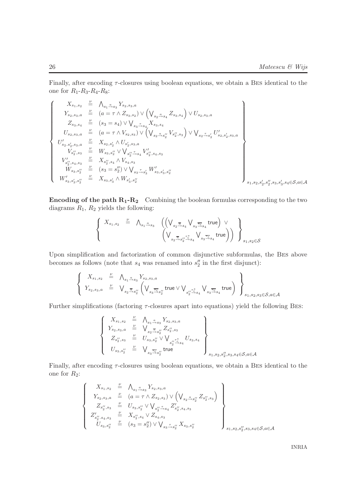Finally, after encoding  $\tau$ -closures using boolean equations, we obtain a BES identical to the one for  $R_1 - R_3 - R_4 - R_8$ :

$$
\left\{\begin{array}{lll} &X_{s_1,s_2}&\stackrel{\nu}{=}&\bigwedge_{s_1\stackrel{a}{\to}s_3}Y_{s_2,s_3,a}\\ &Y_{s_2,s_3,a}&\stackrel{\nu}{=}&(a=\tau\wedge Z_{s_3,s_2})\vee\left(\bigvee_{s_2\stackrel{a}{\to}s_4}Z_{s_3,s_4}\right)\vee U_{s_2,s_3,a}\\ &Z_{s_3,s_4}&\stackrel{\nu}{=}&(s_3=s_4)\vee\bigvee_{s_3\stackrel{\tau}{\to}s_4}X_{s_3,s_4}\\ &U_{s_2,s_3,a}&\stackrel{\nu}{=}&(a=\tau\wedge V_{s_2,s_3})\vee\left(\bigvee_{s_2\stackrel{a}{\to}s_2''}V_{s_2',s_3}\right)\vee\bigvee_{s_2\stackrel{\tau}{\to}s_2'}U'_{s_2,s_2',s_3,a}\\ &U'_{s_2',s_3,a}&\stackrel{\nu}{=}&X_{s_2,s_2'}\wedge U_{s_2',s_3,a}\\ &V_{s_2'',s_4}&\stackrel{\nu}{=}&X_{s_2'',s_4}\wedge V_{s_4,s_3}\\ &V'_{s_2',s_4,s_3}&\stackrel{\nu}{=}&X_{s_2'',s_4}\wedge V_{s_4,s_3}\\ &W_{s_3,s_2''}&\stackrel{\nu}{=}&(s_3=s_2'')\vee\bigvee_{s_3\stackrel{\tau}{\to}s_3'}W'_{s_3,s_3',s_2''} \\ &W'_{s_3,s_3',s_3''}&\stackrel{\nu}{=}&X_{s_3,s_3'}\wedge W_{s_3',s_2''}\end{array}\right\}
$$

**Encoding of the path**  $R_1-R_2$  Combining the boolean formulas corresponding to the two diagrams  $R_1$ ,  $R_2$  yields the following:

$$
\left\{\n\begin{array}{ccc}\nX_{s_1,s_2} & \stackrel{\nu}{=} & \bigwedge_{s_1 \stackrel{a}{\rightarrow} s_3} & \left(\left(\bigvee_{s_2 \stackrel{\pi}{\rightarrow} s_4} \bigvee_{s_3 \stackrel{\pi}{\rightarrow} s_4} \text{true}\right) \vee \\
& \left(\bigvee_{s_2 \stackrel{\pi}{\rightarrow} s_2'' \stackrel{\tau^*}{\leftarrow} s_4} \bigvee_{s_3 \stackrel{\pi}{\rightarrow} s_4} \text{true}\right)\right)\n\end{array}\n\right\}_{s_1,s_2 \in \mathcal{S}
$$

Upon simplification and factorization of common disjunctive subformulas, the Bes above becomes as follows (note that  $s_4$  was renamed into  $s_2''$  in the first disjunct):

$$
\begin{cases}\nX_{s_1,s_2} = \Lambda_{s_1 \stackrel{a}{\rightarrow} s_3} Y_{s_2,s_3,a \\
Y_{s_2,s_3,a} = \bigvee_{s_2 \stackrel{\overline{a}}{\rightarrow} s_2^{\prime\prime}} \left( \bigvee_{s_3 \stackrel{\overline{a}}{\rightarrow} s_2^{\prime\prime}} \text{true} \vee \bigvee_{s_3^{\prime\prime} \stackrel{\overline{a}}{\rightarrow} s_4} \bigvee_{s_3 \stackrel{\overline{a}}{\rightarrow} s_4} \text{true} \right)\n\end{cases}\n\right\}_{s_1,s_2,s_3 \in \mathcal{S}, a \in \mathcal{A}
$$

Further simplifications (factoring  $\tau$ -closures apart into equations) yield the following BES:

$$
\left\{\begin{array}{ccl} X_{s_1,s_2} & \xrightarrow{\nu} & \bigwedge_{s_1 \xrightarrow{\alpha} s_3} Y_{s_2,s_3,a} \\ Y_{s_2,s_3,a} & \xrightarrow{\nu} & \bigvee_{s_2 \xrightarrow{\pi} s_2'} Z_{s_2'',s_3} \\ Z_{s_2'',s_3} & \xrightarrow{\nu} & U_{s_3,s_2''} \vee \bigvee_{s_2'' \xrightarrow{\tau^*}_{s_4}} U_{s_3,s_4} \\ U_{s_3,s_2''} & \xrightarrow{\nu} & \bigvee_{s_3 \xrightarrow{\tau_{c}} s_2''} \text{true} \end{array}\right\}_{s_1,s_2,s_2'',s_3,s_4 \in \mathcal{S}, a \in \mathcal{A}}
$$

Finally, after encoding  $\tau$ -closures using boolean equations, we obtain a BES identical to the one for  $R_2$ :

$$
\begin{cases}\nX_{s_1,s_2} & \stackrel{\nu}{=} \bigwedge_{s_1 \stackrel{a}{\to} s_3} Y_{s_2,s_3,a} \\
Y_{s_2,s_3,a} & \stackrel{\nu}{=} (a = \tau \wedge Z_{s_2,s_3}) \vee (\bigvee_{s_2 \stackrel{a}{\to} s_2''} Z_{s_2'',s_3}) \\
Z_{s_2'',s_3} & \stackrel{\nu}{=} U_{s_3,s_2''} \vee \bigvee_{s_2'' \stackrel{\tau}{\to} s_4} Z'_{s_2'',s_4,s_3} \\
Z'_{s_2'',s_4,s_3} & \stackrel{\nu}{=} X_{s_2'',s_4} \vee Z_{s_4,s_3} \\
U_{s_3,s_2''} & \stackrel{\nu}{=} (s_3 = s_2'') \vee \bigvee_{s_3 \stackrel{\tau}{\to} s_2''} X_{s_3,s_2''}\n\end{cases}
$$

INRIA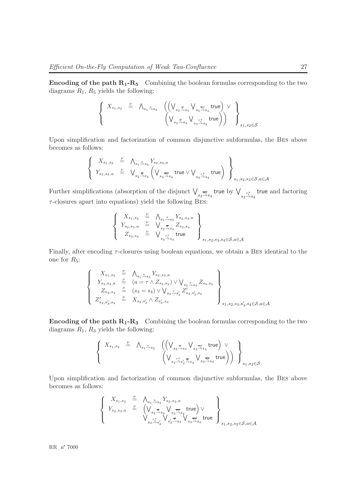**Encoding of the path**  $R_1-R_5$  Combining the boolean formulas corresponding to the two diagrams  $R_1$ ,  $R_5$  yields the following:

$$
\left\{\begin{array}{ccc} X_{s_1,s_2} & \stackrel{\nu}{=} & \bigwedge_{s_1 \stackrel{a}{\rightarrow} s_3} & \left(\left(\bigvee_{s_2 \stackrel{\overline{a}}{\rightarrow} s_4} \bigvee_{s_3 \stackrel{\overline{a}}{\rightarrow} s_4} \text{true}\right) \vee \\ & \left(\bigvee_{s_2 \stackrel{\overline{a}}{\rightarrow} s_4} \bigvee_{s_3 \stackrel{\tau}{\rightarrow} s_4} \text{true}\right)\right) & \right\}_{s_1,s_2 \in \mathcal{S}} \end{array}\right.
$$

Upon simplification and factorization of common disjunctive subformulas, the Bes above becomes as follows:

$$
\left\{\begin{array}{ccc} X_{s_1,s_2} & \stackrel{\nu}{=} & \bigwedge_{s_1 \stackrel{a}{\rightarrow} s_3} Y_{s_2,s_3,a} \\ Y_{s_2,s_3,a} & \stackrel{\nu}{=} & \bigvee_{s_2 \stackrel{\overline{a}}{\rightarrow} s_4} \left( \bigvee_{s_3 \stackrel{\overline{a}}{\rightarrow} s_4} \text{true} \vee \bigvee_{s_3 \stackrel{\tau^*}{\rightarrow} s_4} \text{true} \right) \end{array}\right\}_{s_1,s_2,s_3 \in \mathcal{S}, a \in \mathcal{A}}
$$

Further simplifications (absorption of the disjunct  $\bigvee_{s_3\overline{\tau} \underset{s}{\to}_{s_4}}$  true by  $\bigvee_{s_3\overline{\tau} \underset{s}{\to}_{s_4}}$  true and factoring  $\tau$ -closures apart into equations) yield the following BES:

$$
\left\{\begin{array}{ccc} X_{s_1,s_2} & \stackrel{\nu}{=} & \bigwedge_{s_1 \stackrel{a}{\to} s_3} Y_{s_2,s_3,a} \\ Y_{s_2,s_3,a} & \stackrel{\nu}{=} & \bigvee_{s_2 \stackrel{\overline{a}}{\to} s_4} Z_{s_3,s_4} \\ Z_{s_3,s_4} & \stackrel{\nu}{=} & \bigvee_{s_3 \stackrel{\tau^*}{\to} s_4} \text{true} \end{array}\right\}_{s_1,s_2,s_3,s_4 \in \mathcal{S}, a \in \mathcal{A}}
$$

Finally, after encoding  $\tau$ -closures using boolean equations, we obtain a BES identical to the one for  $R_5$ :

$$
\begin{cases}\nX_{s_1,s_2} = \bigwedge_{s_1 \xrightarrow{\alpha}_{s_3}} Y_{s_2,s_3,a} \\
Y_{s_2,s_3,a} = (a = \tau \wedge Z_{s_3,s_2}) \vee \bigvee_{s_2 \xrightarrow{\alpha}_{s_4}} Z_{s_3,s_4} \\
Z_{s_3,s_4} = (s_3 = s_4) \vee \bigvee_{s_3 \xrightarrow{\tau}_{s'_3}} Z'_{s_3,s'_3,s_4} \\
Z'_{s_3,s'_3,s_4} = X_{s_3,s'_3} \wedge Z_{s'_3,s_4}\n\end{cases}
$$

**Encoding of the path**  $R_1-R_3$  Combining the boolean formulas corresponding to the two diagrams  $R_1$ ,  $R_3$  yields the following:

$$
\left\{\begin{array}{ccc} X_{s_1,s_2} & \stackrel{\nu}{=} & \bigwedge_{s_1 \stackrel{a}{\rightarrow} s_3} & \left(\left(\bigvee_{s_2 \stackrel{\pi}{\rightarrow} s_4} \bigvee_{s_3 \stackrel{\pi}{\rightarrow} s_4} \text{true}\right) \vee \\ & \left(\bigvee_{s_2 \stackrel{\tau^*}{\rightarrow} s_2' \stackrel{\pi}{\rightarrow} s_4} \bigvee_{s_3 \stackrel{\pi}{\rightarrow} s_4} \text{true}\right)\right) \end{array}\right\}_{s_1,s_2 \in \mathcal{S}}
$$

Upon simplification and factorization of common disjunctive subformulas, the Bes above becomes as follows:

$$
\left\{\begin{array}{c}X_{s_1,s_2} \stackrel{\nu}{=} \left. \bigwedge_{s_1 \stackrel{a}{\rightarrow} s_3} Y_{s_2,s_3,a} \atop Y_{s_2,s_3,a} \stackrel{\nu}{=} \left. \left(\bigvee_{\substack{s_2 \stackrel{\pi}{\rightarrow} s_4}} \bigvee_{\substack{s_3 \stackrel{\pi}{\rightarrow} s_4}} \text{true} \right) \vee \atop \bigvee_{\substack{s_2 \stackrel{\tau}{\leftarrow} s_4 \\ s_2 \stackrel{\tau}{\rightarrow} s_2'}} \bigvee_{\substack{s_2' \stackrel{\pi}{\rightarrow} s_4}} \bigvee_{\substack{s_3 \stackrel{\pi}{\rightarrow} s_4}} \text{true}\right\}_{s_1,s_2,s_3 \in \mathcal{S}, a \in \mathcal{A}}\end{array}\right\}
$$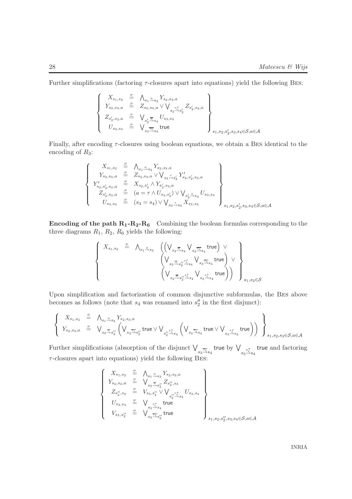Further simplifications (factoring  $\tau$ -closures apart into equations) yield the following BES:

$$
\begin{Bmatrix}\nX_{s_1,s_2} & \xrightarrow{\nu} & \wedge_{s_1 \xrightarrow{s_3} } Y_{s_2,s_3,a} \\
Y_{s_2,s_3,a} & \xrightarrow{\nu} & Z_{s_2,s_3,a} \vee \bigvee_{s_2 \xrightarrow{\tau^*_{c}} s'_2} Z_{s'_2,s_3,a} \\
Z_{s'_2,s_3,a} & \xrightarrow{\nu} & \bigvee_{s'_2 \xrightarrow{\pi} s_4} U_{s_3,s_4} \\
U_{s_3,s_4} & \xrightarrow{\nu} & \bigvee_{s_3 \xrightarrow{\tau} s_4} \text{true}\n\end{Bmatrix}_{s_1,s_2,s'_2,s_3,s_4 \in \mathcal{S}, a \in \mathcal{A}}
$$

Finally, after encoding  $\tau$ -closures using boolean equations, we obtain a BES identical to the encoding of  $R_3$ :

$$
\begin{cases}\nX_{s_1,s_2} & \stackrel{\nu}{=} \bigwedge_{s_1 \stackrel{a}{\to} s_3} Y_{s_2,s_3,a} \\
Y_{s_2,s_3,a} & \stackrel{\nu}{=} Z_{s_2,s_3,a} \vee \bigvee_{s_2 \stackrel{\tau}{\to} s'_2} Y'_{s_2,s'_2,s_3,a} \\
Y'_{s_2,s'_2,s_3,a} & \stackrel{\nu}{=} X_{s_2,s'_2} \wedge Y_{s'_2,s_3,a} \\
Z_{s'_2,s_3,a} & \stackrel{\nu}{=} (a = \tau \wedge U_{s_3,s'_2}) \vee \bigvee_{s'_2 \stackrel{a}{\to} s_4} U_{s_3,s_4} \\
U_{s_3,s_4} & \stackrel{\nu}{=} (s_3 = s_4) \vee \bigvee_{s_3 \stackrel{\tau}{\to} s_4} X_{s_3,s_4}\n\end{cases}
$$

**Encoding of the path**  $R_1-R_2-R_6$  Combining the boolean formulas corresponding to the three diagrams  $R_1$ ,  $R_2$ ,  $R_6$  yields the following:

$$
\left\{\begin{array}{ccl}X_{s_1,s_2}&\stackrel{\nu}{=}&\bigwedge_{s_1\xrightarrow{\alpha}s_3}&\left(\left(\bigvee_{s_2\xrightarrow{\overline{\alpha}}s_4}\bigvee_{s_3\overline{\frac{\alpha}{\cdots}}s_4}\text{true}\right)\vee\right.\right.\\&\left.\left(\bigvee_{s_2\xrightarrow{\overline{\alpha}}s_2''\stackrel{\tau^*_s}{\cdots}s_4}\bigvee_{s_3\overline{\frac{\tau}{\cdots}}s_4}\text{true}\right)\vee\right\}_{s_1,s_2\in\mathcal{S}}\\&\left(\bigvee_{s_2\xrightarrow{\overline{\alpha}}s_2''\stackrel{\tau^*_s}{\cdots}s_4}\bigvee_{s_3\overline{\frac{\tau}{\cdots}}s_4}\text{true}\right)\right)\end{array}\right\}_{s_1,s_2\in\mathcal{S}}
$$

Upon simplification and factorization of common disjunctive subformulas, the Bes above becomes as follows (note that  $s_4$  was renamed into  $s_2''$  in the first disjunct):

$$
\left\{\begin{array}{ccc} X_{s_1,s_2} & \stackrel{\nu}{=} & \bigwedge_{s_1 \stackrel{a}{\to} s_3} Y_{s_2,s_3,a} \\ Y_{s_2,s_3,a} & \stackrel{\nu}{=} & \bigvee_{s_2 \stackrel{\overline{a}}{\to} s_2^{\prime\prime}} \left( \bigvee_{s_3 \stackrel{\overline{\tau}_c}{\to} s_2^{\prime\prime}} \text{true} \vee \bigvee_{s_2^{\prime\prime} \stackrel{\overline{\tau}_c}{\to} s_4} \left( \bigvee_{s_3 \stackrel{\overline{\tau}_c}{\to} s_4} \text{true} \vee \bigvee_{s_3 \stackrel{\overline{\tau}_c}{\to} s_4} \text{true} \right) \right) \end{array}\right\}_{s_1,s_2,s_3 \in \mathcal{S}, a \in \mathcal{A}}
$$

Further simplifications (absorption of the disjunct  $\bigvee_{s_3} \frac{1}{\tau_{\leq s_4}^c}$  true by  $\bigvee_{s_3 \to s_4}$  true and factoring  $\tau$ -closures apart into equations) yield the following BES:

$$
\left\{\begin{array}{c} X_{s_1,s_2} \xrightarrow{\nu} \left\{\begin{array}{c} \lambda_{s_1,s_2} \in \left\{\lambda_{s_1-s_3} Y_{s_2,s_3,a} \right. \\ Y_{s_2,s_3,a} \xrightarrow{\nu} \left\{\begin{array}{c} \nu_{s_2-s_{s_2'}} Z_{s_2'',s_3} \end{array}\right. \\ Z_{s_2'',s_3} \xrightarrow{\nu} \left\{\begin{array}{c} \nu_{s_3,s_2'} \in V_{s_2',s_3} \\ U_{s_3,s_4} \xrightarrow{\nu} \left\{\begin{array}{c} \nu_{s_3-s_4} \text{true} \end{array}\right. \\ V_{s_3,s_2'} \xrightarrow{\nu} \left\{\begin{array}{c} \nu_{s_3-s_4} \text{true} \end{array}\right. \\ V_{s_3,s_2'} \xrightarrow{\nu} \left\{\begin{array}{c} \nu_{s_3-s_2'} \text{true} \end{array}\right. \end{array}\right\}_{s_1,s_2,s_2'',s_3,s_4 \in \mathcal{S}, a \in \mathcal{A}} \end{array}\right.
$$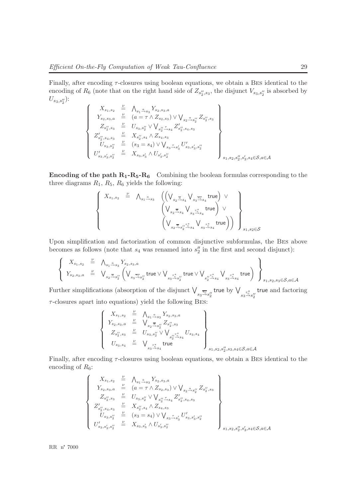Finally, after encoding  $\tau$ -closures using boolean equations, we obtain a BES identical to the encoding of  $R_6$  (note that on the right hand side of  $Z_{s''_2,s_3}$ , the disjunct  $V_{s_3,s''_2}$  is absorbed by  $U_{s_3,s_{2}^{\prime\prime}})$ :

$$
\begin{cases}\nX_{s_1,s_2} & \stackrel{\nu}{=} \bigwedge_{s_1 \stackrel{a}{\to} s_3} Y_{s_2,s_3,a} \\
Y_{s_2,s_3,a} & \stackrel{\nu}{=} (a = \tau \wedge Z_{s_2,s_3}) \vee \bigvee_{s_2 \stackrel{a}{\to} s_2'} Z_{s_2'',s_3} \\
Z_{s_2'',s_3} & \stackrel{\nu}{=} U_{s_3,s_2''} \vee \bigvee_{s_2'' \stackrel{\tau}{\to} s_4} Z'_{s_2'',s_4,s_3} \\
Z'_{s_2'',s_4,s_3} & \stackrel{\nu}{=} X_{s_2'',s_4} \wedge Z_{s_4,s_3} \\
U_{s_3,s_2''} & \stackrel{\nu}{=} (s_3 = s_4) \vee \bigvee_{s_3 \stackrel{\tau}{\to} s_3'} U'_{s_3,s_3',s_2''} \\
S_{1,s_2,s_2'',s_3',s_4 \in \mathcal{S}, a \in \mathcal{A}}\n\end{cases}
$$

**Encoding of the path**  $R_1-R_5-R_6$  Combining the boolean formulas corresponding to the three diagrams  $R_1$ ,  $R_5$ ,  $R_6$  yields the following:

$$
\left\{\begin{array}{ccc}X_{s_1,s_2}&\stackrel{\nu}{=}&\bigwedge_{s_1\xrightarrow[]{a}s_3}&\left(\left(\bigvee_{s_2\xrightarrow[]{\overline{a}}s_4}\bigvee_{s_3\xrightarrow[]{\overline{r}_c}t\text{true}\right)\vee\right.\\&\left.\left(\bigvee_{s_2\xrightarrow[]{\overline{a}}s_4}\bigvee_{s_3\xrightarrow[]{\overline{r}_c^*}s_4}\text{true}\right)\vee\right.\\&\left.\left(\bigvee_{s_2\xrightarrow[]{\overline{a}}s_2'\bigvee_{s_3\xrightarrow[]{\overline{r}_c^*}s_4}\bigvee_{s_3\xrightarrow[]{\overline{r}_c^*}t\text{true}}\right)\right)\end{array}\right\}_{s_1,s_2\in\mathcal{S}}
$$

Upon simplification and factorization of common disjunctive subformulas, the Bes above becomes as follows (note that  $s_4$  was renamed into  $s_2''$  in the first and second disjunct):

$$
\left\{\begin{array}{ccc} X_{s_1,s_2} & \stackrel{\nu}{=} & \bigwedge_{s_1\stackrel{a}{\to}s_3} Y_{s_2,s_3,a} \\ Y_{s_2,s_3,a} & \stackrel{\nu}{=} & \bigvee_{s_2\stackrel{\overline{a}}{\to}s_2''} \left(\bigvee_{s_3\stackrel{\overline{r_6}}{\to}s_2''} \text{true} \vee \bigvee_{s_3\stackrel{\tau}{\to}s_2''} \text{true} \vee \bigvee_{s_3'\stackrel{\tau}{\to}s_4} \bigvee_{s_3\stackrel{\tau}{\to}s_4} \text{true}\right) \end{array}\right\}_{s_1,s_2,s_3 \in \mathcal{S}, a \in \mathcal{A}}
$$

Further simplifications (absorption of the disjunct  $\bigvee_{s_3 \overset{\overline{\tau_c}}{\rightarrow} s_2''}$  true by  $\bigvee_{s_3 \overset{\tau_c^*}{\rightarrow} s_2''}$ true and factoring  $\tau$ -closures apart into equations) yield the following BES:

$$
\begin{cases}\nX_{s_1,s_2} & \stackrel{\nu}{=} \bigwedge_{s_1 \stackrel{a}{\to} s_3} Y_{s_2,s_3,a} \\
Y_{s_2,s_3,a} & \stackrel{\nu}{=} \bigvee_{s_2 \stackrel{\pi}{\to} s_2'} Z_{s_2'',s_3} \\
Z_{s_2'',s_3} & \stackrel{\nu}{=} U_{s_3,s_2''} \vee \bigvee_{s_2'' \stackrel{\tau}{\subset} s_4} U_{s_3,s_4} \\
U_{s_3,s_4} & \stackrel{\nu}{=} \bigvee_{s_3 \stackrel{\tau}{\subset} s_4} \text{true}\n\end{cases}
$$

Finally, after encoding  $\tau$ -closures using boolean equations, we obtain a BES identical to the encoding of  $R_6$ :

$$
\begin{cases}\nX_{s_1,s_2} & \stackrel{\nu}{=} \bigwedge_{s_1 \stackrel{a}{\to} s_3} Y_{s_2,s_3,a} \\
Y_{s_2,s_3,a} & \stackrel{\nu}{=} (a = \tau \wedge Z_{s_2,s_3}) \vee \bigvee_{s_2 \stackrel{a}{\to} s_2'} Z_{s_2',s_3} \\
Z_{s_2',s_3} & \stackrel{\nu}{=} U_{s_3,s_2'} \vee \bigvee_{s_2'' \stackrel{\tau}{\to} s_4} Z'_{s_2',s_4,s_3} \\
Z'_{s_2',s_4,s_3} & \stackrel{\nu}{=} X_{s_2',s_4} \wedge Z_{s_4,s_3} \\
U_{s_3,s_2'} & \stackrel{\nu}{=} (s_3 = s_4) \vee \bigvee_{s_3 \stackrel{\tau}{\to} s_3'} U'_{s_3,s_3',s_2'}\n\end{cases}
$$
\n
$$
\begin{cases}\nX_{s_1,s_2} & \stackrel{\nu}{=} X_{s_3,s_3'} \wedge U_{s_3',s_2'} \\
\downarrow \end{cases}
$$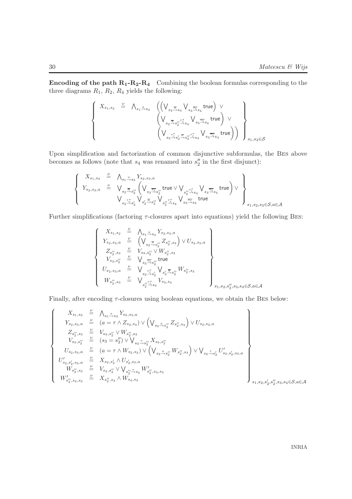**Encoding of the path**  $R_1-R_2-R_4$  Combining the boolean formulas corresponding to the three diagrams  $R_1$ ,  $R_2$ ,  $R_4$  yields the following:

$$
\left\{\begin{array}{ccc} X_{s_1,s_2} & \stackrel{\nu}{=} & \bigwedge_{s_1 \stackrel{a}{\rightarrow} s_3} & \left(\left(\bigvee_{s_2 \stackrel{\overline{a}}{\rightarrow} s_4} \bigvee_{s_3 \stackrel{\overline{\rightarrow}c}{\rightarrow} s_4} \text{true}\right) \vee \\ & \left(\bigvee_{s_2 \stackrel{\overline{a}}{\rightarrow} s_2' \stackrel{\tau^*_c}{\rightarrow} s_4} \bigvee_{s_3 \stackrel{\overline{\rightarrow}c}{\rightarrow} s_4} \text{true}\right) \vee \\ & \left(\bigvee_{s_2 \stackrel{\tau^*_c}{\rightarrow} s_2' \stackrel{\overline{a}}{\rightarrow} s_2' \stackrel{\tau^*_c}{\rightarrow} s_4} \bigvee_{s_3 \stackrel{\overline{\rightarrow}c}{\rightarrow} s_4} \text{true}\right)\right)\end{array}\right\}_{s_1,s_2 \in \mathcal{S}}
$$

Upon simplification and factorization of common disjunctive subformulas, the Bes above becomes as follows (note that  $s_4$  was renamed into  $s_2''$  in the first disjunct):

$$
\left\{\begin{array}{ccc} X_{s_1,s_2} & \stackrel{\nu}{=} & \bigwedge_{s_1 \stackrel{a}{\rightarrow} s_3} Y_{s_2,s_3,a} \\ Y_{s_2,s_3,a} & \stackrel{\nu}{=} & \bigvee_{s_2 \stackrel{\pi}{\rightarrow} s_2^{\prime\prime}} \left( \bigvee_{s_3 \stackrel{\pi}{\rightarrow} s_2^{\prime\prime}} \text{true} \vee \bigvee_{s_2^{\prime\prime} \stackrel{\tau^*_{\leftarrow}}{\rightarrow} s_4} \bigvee_{s_3 \stackrel{\pi}{\rightarrow} s_4} \text{true} \right) \vee \\ \bigvee_{s_2 \stackrel{\tau^*_{\leftarrow}}{\rightarrow} s_2^{\prime}} \bigvee_{s_2^{\prime} \stackrel{\pi}{\rightarrow} s_2^{\prime\prime}} \bigvee_{s_2^{\prime\prime} \stackrel{\tau^*_{\leftarrow}}{\rightarrow} s_4} \text{true} \end{array}\right\} \right\}_{s_1,s_2,s_3 \in \mathcal{S}, a \in \mathcal{A}}
$$

Further simplifications (factoring  $\tau$ -closures apart into equations) yield the following BES:

$$
\left\{\begin{array}{c} X_{s_1,s_2} \stackrel{\nu}{=} \bigwedge_{s_1 \stackrel{a}{\to} s_3} Y_{s_2,s_3,a} \\ Y_{s_2,s_3,a} \stackrel{\nu}{=} \left(\bigvee_{s_2 \stackrel{\pi}{\to} s_2'} Z_{s_2',s_3}\right) \vee U_{s_2,s_3,a} \\ Z_{s_2',s_3} \stackrel{\nu}{=} \bigvee_{s_3,s_2'} \vee W_{s_2',s_3} \\ V_{s_3,s_2'} \stackrel{\nu}{=} \bigvee_{s_3 \stackrel{\pi}{\to} s_2'} \text{true} \\ U_{s_2,s_3,a} \stackrel{\nu}{=} \bigvee_{s_2 \stackrel{\tau}{\to} s_2'} \bigvee_{s_2' \stackrel{\pi}{\to} s_2'} W_{s_2',s_3} \\ W_{s_2'',s_3} \stackrel{\nu}{=} \bigvee_{s_2'' \stackrel{\tau}{\to} s_4} V_{s_3,s_4} \end{array}\right\}_{s_1,s_2,s_2'',s_3,s_4 \in \mathcal{S}, a \in \mathcal{A}}
$$

Finally, after encoding  $\tau$ -closures using boolean equations, we obtain the BES below:

$$
X_{s_1,s_2} \stackrel{\nu}{=} \Lambda_{s_1 \stackrel{a}{\rightarrow} s_3} Y_{s_2,s_3,a}
$$
  
\n
$$
Y_{s_2,s_3,a} \stackrel{\nu}{=} (a = \tau \wedge Z_{s_2,s_3}) \vee (\bigvee_{s_2 \stackrel{a}{\rightarrow} s_2''} Z_{s_2'',s_3}) \vee U_{s_2,s_3,a}
$$
  
\n
$$
Z_{s_2'',s_3} \stackrel{\nu}{=} V_{s_3,s_2''} \vee W_{s_2'',s_3}
$$
  
\n
$$
V_{s_3,s_2''} \stackrel{\nu}{=} (s_3 = s_2'') \vee \bigvee_{s_3 \stackrel{\tau}{\rightarrow} s_2''} X_{s_3,s_2''}
$$
  
\n
$$
U_{s_2,s_3,a} \stackrel{\nu}{=} (a = \tau \wedge W_{s_2,s_3}) \vee (\bigvee_{s_2 \stackrel{a}{\rightarrow} s_2''} W_{s_2'',s_3}) \vee \bigvee_{s_2 \stackrel{\tau}{\rightarrow} s_2'} U'_{s_2,s_2',s_3,a}
$$
  
\n
$$
U'_{s_2,s_2',s_3,a} \stackrel{\nu}{=} X_{s_2,s_2'} \wedge U_{s_2'',s_3,a}
$$
  
\n
$$
W_{s_2'',s_3} \stackrel{\nu}{=} Y_{s_3,s_2''} \vee \bigvee_{s_2'' \stackrel{\tau}{\rightarrow} s_4} W'_{s_2'',s_4,s_3}
$$
  
\n
$$
W_{s_2'',s_4,s_3} \stackrel{\nu}{=} X_{s_2'',s_4} \wedge W_{s_4,s_3}
$$
  
\n
$$
S_{s_1,s_2,s_2',s_2'',s_3,s_4 \in S,a \in A}
$$

 $\sqrt{ }$ 

 $\begin{array}{c} \hline \end{array}$ 

 $\begin{array}{c} \begin{array}{c} \end{array} \\ \begin{array}{c} \end{array} \end{array}$ 

 $\begin{array}{c} \hline \end{array}$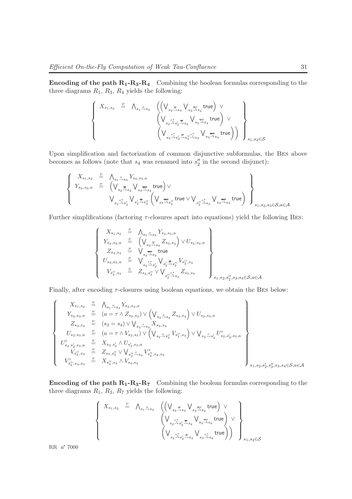**Encoding of the path**  $R_1-R_3-R_4$  Combining the boolean formulas corresponding to the three diagrams  $R_1$ ,  $R_3$ ,  $R_4$  yields the following:

$$
\left\{\begin{array}{ccc} X_{s_1,s_2} & \stackrel{\nu}{=} & \bigwedge_{s_1 \stackrel{a}{\rightarrow} s_3} & \left(\left(\bigvee_{s_2 \stackrel{\overline{\sim}}{\rightarrow} s_4} \bigvee_{s_3 \stackrel{\overline{\sim}}{\rightarrow} s_4} \text{true}\right) \vee \\ & \left(\bigvee_{s_2 \stackrel{\tau^*_c}{\rightarrow} s_2' \stackrel{\overline{a}}{\rightarrow} s_4} \bigvee_{s_3 \stackrel{\overline{\sim}}{\rightarrow} s_4} \text{true}\right) \vee \\ & \left(\bigvee_{s_2 \stackrel{\tau^*_c}{\rightarrow} s_2' \stackrel{\overline{a}}{\rightarrow} s_2'' \stackrel{\tau^*_c}{\rightarrow} s_4} \bigvee_{s_3 \stackrel{\overline{\sim}}{\rightarrow} s_4} \text{true}\right)\right)\end{array}\right\}_{s_1,s_2 \in \mathcal{S}}
$$

Upon simplification and factorization of common disjunctive subformulas, the Bes above becomes as follows (note that  $s_4$  was renamed into  $s_2''$  in the second disjunct):

$$
\left\{\begin{array}{ccl} X_{s_1,s_2}&\stackrel{\nu}{=}&\bigwedge_{s_1\xrightarrow[]{a}s_3}Y_{s_2,s_3,a}\\ Y_{s_2,s_3,a}&\stackrel{\nu}{=}&\left(\bigvee_{s_2\xrightarrow[]{\pi}s_4}\bigvee_{s_3\xrightarrow[]{\pi}\overline{\epsilon}_3} \text{true}\right)\vee\\ &\bigvee_{s_2\xrightarrow[]{\tau^*_s}s_2'}\bigvee_{s_2'\xrightarrow[]{\pi}s_2''}\left(\bigvee_{s_3\xrightarrow[]{\pi}\overline{\epsilon}_5} \text{true}\vee\bigvee_{s_2'\xrightarrow[]{\tau^*_c}s_4} \bigvee_{s_3\xrightarrow[]{\pi}\overline{\epsilon}_3} \text{true}\right)\end{array}\right\}_{s_1,s_2,s_3\in\mathcal{S},a\in\mathcal{A}}
$$

Further simplifications (factoring τ -closures apart into equations) yield the following Bes:

$$
\left\{\begin{array}{c} X_{s_1,s_2} \xrightarrow{\nu} \left\{\begin{array}{c} \left(\bigvee_{s_1\stackrel{a}{\to} s_3} Y_{s_2,s_3,a} \right. \\ Y_{s_2,s_3,a} \xrightarrow{\nu} \left.\begin{array}{c} \left(\bigvee_{s_2\stackrel{\overline{a}}{\to} s_4} Z_{s_3,s_4}\right) \vee U_{s_2,s_3,a} \right. \\ Z_{s_3,s_4} \xrightarrow{\nu} \left.\begin{array}{c} \left(\bigvee_{s_3\stackrel{\overline{a}}{\to} s_4} Z_{s_3,s_4}\right) \vee U_{s_2,s_3,a} \right. \\ \left(U_{s_2,s_3,a} \xrightarrow{\nu} \left.\bigvee_{s_2\stackrel{\tau^*}{\to} s_2'} V_{s_2'\stackrel{\overline{a}}{\to} s_2''} V_{s_2'',s_3} \right. \right. \\ \left. U_{s_2'',s_3} \xrightarrow{\nu} \left.\begin{array}{c} \left(\bigvee_{s_2\stackrel{\tau^*}{\to} s_4} Z_{s_3,s_4} \right. \right) \end{array}\right\}_{s_1,s_2,s_2'',s_3,s_4 \in \mathcal{S}, a \in \mathcal{A}} \end{array}\right.
$$

Finally, after encoding  $\tau$ -closures using boolean equations, we obtain the BES below:

$$
\begin{cases}\nX_{s_1,s_2} & \stackrel{\nu}{=} \bigwedge_{s_1 \stackrel{a}{\to} s_3} Y_{s_2,s_3,a} \\
Y_{s_2,s_3,a} & \stackrel{\nu}{=} (a = \tau \wedge Z_{s_3,s_2}) \vee (\bigvee_{s_2 \stackrel{a}{\to} s_4} Z_{s_3,s_4}) \vee U_{s_2,s_3,a} \\
Z_{s_3,s_4} & \stackrel{\nu}{=} (s_3 = s_4) \vee \bigvee_{s_3 \stackrel{\tau}{\to} s_4} X_{s_3,s_4} \\
U_{s_2,s_3,a} & \stackrel{\nu}{=} (a = \tau \wedge V_{s_2,s_3}) \vee (\bigvee_{s_2 \stackrel{a}{\to} s_2''} V_{s_2'',s_3}) \vee \bigvee_{s_2 \stackrel{\tau}{\to} s_2'} U'_{s_2,s_2',s_3,a} \\
V'_{s_2,s_3,a} & \stackrel{\nu}{=} Z_{s_3,s_2''} \vee U_{s_2'' \stackrel{\tau}{\to} s_4} V'_{s_2'',s_4,s_3} \\
V''_{s_2'',s_4,s_3} & \stackrel{\nu}{=} X_{s_2'',s_4} \wedge V_{s_4,s_3} \\
s_{1,s_2,s_2',s_2'',s_3,s_4 \in S,a \in A}\n\end{cases}
$$

**Encoding of the path**  $R_1-R_3-R_7$  Combining the boolean formulas corresponding to the three diagrams  $R_1$ ,  $R_3$ ,  $R_7$  yields the following:

$$
\left\{\begin{array}{ccc} X_{s_1,s_2} & \stackrel{\nu}{=} & \bigwedge_{s_1 \stackrel{a}{\rightarrow} s_3} & \left(\left(\bigvee_{s_2 \frac{\pi}{\rightarrow} s_4} \bigvee_{s_3 \stackrel{\overline{\leftarrow}_{s}}{\rightarrow} s_4} \text{true}\right) \vee \right.\\ & \left. \left(\bigvee_{s_2 \stackrel{\tau^*_c}{\rightarrow} s_2 \stackrel{\tau}{\rightarrow} s_4} \bigvee_{s_3 \stackrel{\overline{\leftarrow}_{c}}{\rightarrow} s_4} \text{true}\right)\right. \vee \right.\\ & \left. \left(\bigvee_{s_2 \stackrel{\tau^*_c}{\rightarrow} s_2 \stackrel{\tau}{\rightarrow} s_4} \bigvee_{s_3 \stackrel{\tau^*_c}{\rightarrow} s_4} \text{true}\right)\right) \end{array}\right\}_{s_1,s_2 \in \mathcal{S}}
$$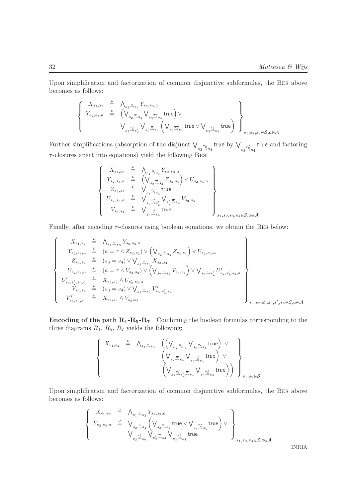Upon simplification and factorization of common disjunctive subformulas, the Bes above becomes as follows:

$$
\left\{\begin{array}{ccl} X_{s_1,s_2}&\stackrel{\nu}{=}&\bigwedge_{s_1\xrightarrow{\alpha}s_3}Y_{s_2,s_3,a}\\ Y_{s_2,s_3,a}&\stackrel{\nu}{=}&\left(\bigvee_{s_2\xrightarrow{\overline{\alpha}}s_4}\bigvee_{s_3\xrightarrow{\overline{\alpha}}s_4}\text{true}\right)\vee\\ &\qquad\qquad\vee\qquad\qquad\vee\qquad\qquad\vee\qquad\qquad\vee\qquad\qquad\qquad\vee\qquad\qquad\qquad\wedge\qquad\qquad\qquad\qquad\wedge\qquad\qquad\qquad\wedge\qquad\qquad\qquad\wedge\qquad\qquad\qquad\wedge\qquad\qquad\qquad\wedge\qquad\qquad\qquad\wedge\qquad\qquad\wedge\qquad\qquad\wedge\qquad\qquad\wedge\qquad\qquad\wedge\qquad\qquad\wedge\qquad\qquad\wedge\qquad\qquad\wedge\qquad\qquad\wedge\qquad\qquad\wedge\qquad\qquad\wedge\qquad\qquad\wedge\qquad\qquad\wedge\qquad\qquad\wedge\qquad\qquad\wedge\qquad\qquad\wedge\qquad\qquad\wedge\qquad\qquad\wedge\qquad\qquad\wedge\qquad\qquad\wedge\qquad\qquad\wedge\qquad\qquad\wedge\qquad\qquad\wedge\qquad\qquad\wedge\qquad\qquad\wedge\qquad\qquad\wedge\qquad\qquad\wedge\qquad\qquad\wedge\qquad\qquad\wedge\qquad\qquad\wedge\qquad\wedge\qquad\qquad\wedge\qquad\wedge\qquad\wedge\qquad\wedge\qquad\wedge\qquad\wedge\qquad\wedge\qquad\wedge\qquad\wedge\qquad\wedge\qquad\wedge\qquad\wedge\qquad\wedge\qquad\wedge\qquad\wedge\qquad\wedge\qquad\wedge\qquad\wedge\qquad\wedge\qquad\wedge\qquad\wedge\qquad\wedge\qquad\wedge\qquad\wedge\qquad\wedge\qquad\wedge\qquad\wedge\qquad\wedge\qquad\wedge\qquad\wedge\qquad\wedge\qquad\wedge\qquad\wedge\qquad\wedge\qquad\wedge\qquad\wedge\qquad\wedge\qquad\wedge\qquad\
$$

Further simplifications (absorption of the disjunct  $\bigvee_{s_3\overline{\tau} \underset{s}{\to}_{s_4}}$  true by  $\bigvee_{s_3\overline{\tau} \underset{s}{\to}_{s_4}}$  true and factoring  $\tau$ -closures apart into equations) yield the following BES:

$$
\left\{\begin{array}{c} X_{s_1,s_2} \stackrel{\nu}{=} \bigwedge_{s_1 \stackrel{a}{\to} s_3} Y_{s_2,s_3,a} \\ Y_{s_2,s_3,a} \stackrel{\nu}{=} \left(\bigvee_{s_2 \stackrel{\pi}{\to} s_4} Z_{s_3,s_4}\right) \vee U_{s_2,s_3,a} \\ Z_{s_3,s_4} \stackrel{\nu}{=} \bigvee_{s_3 \stackrel{\pi}{\to} s_4} \text{true} \\ U_{s_2,s_3,a} \stackrel{\nu}{=} \bigvee_{s_2 \stackrel{\tau}{\to} s_2'} \bigvee_{s_2' \stackrel{\pi}{\to} s_4} V_{s_3,s_4} \\ W_{s_3,s_4} \stackrel{\nu}{=} \bigvee_{s_3 \stackrel{\tau}{\to} s_4} \text{true} \end{array}\right\}_{s_1,s_2,s_3,s_4 \in \mathcal{S}, a \in \mathcal{A}}
$$

Finally, after encoding  $\tau$ -closures using boolean equations, we obtain the BES below:

$$
\begin{cases}\nX_{s_1,s_2} = \Lambda_{s_1-s_3} Y_{s_2,s_3,a} \\
Y_{s_2,s_3,a} = (a = \tau \wedge Z_{s_3,s_2}) \vee (\bigvee_{s_2-s_4} Z_{s_3,s_4}) \vee U_{s_2,s_3,a} \\
Z_{s_3,s_4} = (s_3 = s_4) \vee \bigvee_{s_3-s_3} Z_{s_3,s_4} \\
U_{s_2,s_3,a} = (a = \tau \wedge V_{s_3,s_2}) \vee (\bigvee_{s_2-s_4} V_{s_3,s_4}) \vee \bigvee_{s_2-s_3} U'_{s_2,s_3',a} \\
U'_{s_2,s_3',a} = X_{s_2,s_2'} \wedge U_{s_2',s_3,a} \\
V_{s_3,s_4} = (s_3 = s_4) \vee \bigvee_{s_3-s_3} Z_{s_3,s_3',s_4} \\
V'_{s_3,s_3',s_4} = X_{s_3,s_3'} \wedge V_{s_3',s_4}\n\end{cases}
$$

**Encoding of the path**  $R_1-R_5-R_7$  Combining the boolean formulas corresponding to the three diagrams  $R_1$ ,  $R_5$ ,  $R_7$  yields the following:

$$
\left\{\begin{array}{ccc} X_{s_1,s_2} & \stackrel{\nu}{=} & \bigwedge_{s_1 \stackrel{a}{\rightarrow} s_3} & \left(\left(\bigvee_{s_2 \stackrel{\overline{a}}{\rightarrow} s_4} \bigvee_{s_3 \stackrel{\overline{\rightarrow} c}{\rightarrow} s_4} \text{true}\right) \vee \\ & \left(\bigvee_{s_2 \stackrel{\overline{a}}{\rightarrow} s_4} \bigvee_{s_3 \stackrel{\tau^*_c}{\rightarrow} s_4} \text{true}\right) \vee \\ & \left(\bigvee_{s_2 \stackrel{\tau^*_c}{\rightarrow} s_4} \bigvee_{s_3 \stackrel{\tau^*_c}{\rightarrow} s_4} \text{true}\right)\right) \end{array}\right\}_{s_1,s_2 \in \mathcal{S}}
$$

Upon simplification and factorization of common disjunctive subformulas, the Bes above becomes as follows:

$$
\left\{\begin{array}{ccc} X_{s_1,s_2} & \stackrel{\nu}{=} & \bigwedge_{s_1 \stackrel{a}{\rightarrow} s_3} Y_{s_2,s_3,a} \\ Y_{s_2,s_3,a} & \stackrel{\nu}{=} & \bigvee_{s_2 \stackrel{\overline{a}}{\rightarrow} s_4} \left(\bigvee_{s_3 \stackrel{\overline{a}}{\rightarrow} s_4} \text{true} \vee \bigvee_{s_3 \stackrel{\tau^*_s}{\rightarrow} s_4} \text{true} \right) \vee \\ \bigvee_{s_2 \stackrel{\tau^*_s}{\rightarrow} s_2} \bigvee_{s_2' \stackrel{\overline{a}}{\rightarrow} s_4} \vee_{s_3 \stackrel{\tau^*_c}{\rightarrow} s_4} \text{true} \end{array}\right\}_{s_1,s_2,s_3 \in \mathcal{S}, a \in \mathcal{A}}
$$

INRIA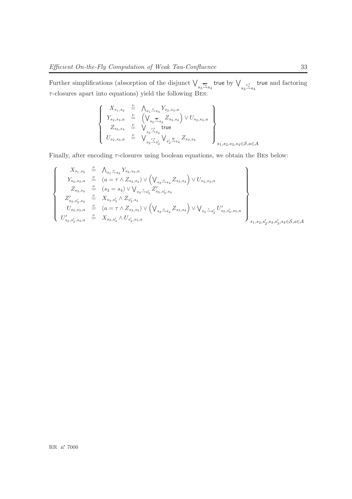Further simplifications (absorption of the disjunct  $\bigvee_{s_3} \frac{1}{\tau_{\leq s_4}^c}$  true by  $\bigvee_{s_3} \frac{1}{\tau_{\leq s_4}^s}$  true and factoring  $\tau$ -closures apart into equations) yield the following BES:

$$
\left\{\begin{array}{c} X_{s_1,s_2} \xrightarrow{\nu} \left\{ \begin{array}{c} \lambda_{s_1,s_3} \sum_{s_3}^S Y_{s_2,s_3,a} \\ Y_{s_2,s_3,a} \xrightarrow{\nu} \left( \bigvee_{s_2 \xrightarrow{s} s_4} Z_{s_3,s_4} \right) \vee U_{s_2,s_3,a} \\ Z_{s_3,s_4} \xrightarrow{\nu} \left\{ \begin{array}{c} \lambda_{s_3 \xrightarrow{s} s_4} \\ \lambda_{s_3 \xrightarrow{s} s_4} \\ \lambda_{s_2 \xrightarrow{s} s_2} \end{array} \right\} \\ U_{s_2,s_3,a} \xrightarrow{\nu} \left\{ \begin{array}{c} \lambda_{s_1 \xrightarrow{s} s_4} \\ \lambda_{s_2 \xrightarrow{s} s_4} \end{array} \right\}_{s_1,s_2,s_3,s_4 \in \mathcal{S}, a \in \mathcal{A}} \end{array} \right\}
$$

Finally, after encoding  $\tau$ -closures using boolean equations, we obtain the BES below:

$$
\left\{\begin{array}{c}X_{s_1,s_2} \xrightarrow{\underline{\nu}} \bigwedge_{s_1 \xrightarrow{\alpha}_{s_3}} Y_{s_2,s_3,a} \\ Y_{s_2,s_3,a} \xrightarrow{\underline{\nu}} \ (a = \tau \wedge Z_{s_3,s_2}) \vee \left( \bigvee_{s_2 \xrightarrow{\alpha}_{s_4}} Z_{s_3,s_4} \right) \vee U_{s_2,s_3,a} \\ Z_{s_3,s_4} \xrightarrow{\underline{\nu}} \ (s_3 = s_4) \vee \bigvee_{s_3 \xrightarrow{\tau}_{s'_3}} Z'_{s_3,s'_3,s_4} \\ Z'_{s_3,s'_3,s_4} \xrightarrow{\underline{\nu}} X_{s_3,s'_3} \wedge Z_{s'_3,s_4} \\ U_{s_2,s_3,a} \xrightarrow{\underline{\nu}} \ (a = \tau \wedge Z_{s_3,s_2}) \vee \left( \bigvee_{s_2 \xrightarrow{\alpha}_{s_4}} Z_{s_3,s_4} \right) \vee \bigvee_{s_2 \xrightarrow{\tau}_{s'_2}} U'_{s_2,s'_2,s_3,a} \\ U'_{s_2,s'_2,s_3,a} \xrightarrow{\underline{\nu}} X_{s_2,s'_2} \wedge U_{s'_2,s_3,a} \end{array}\right\}
$$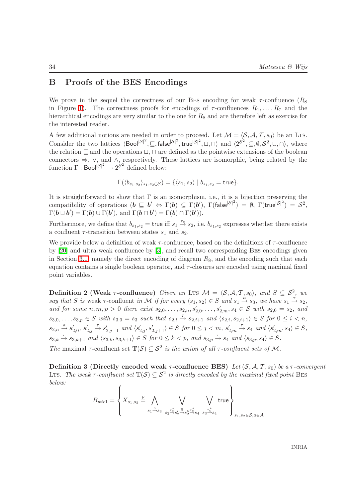## <span id="page-35-0"></span>B Proofs of the BES Encodings

We prove in the sequel the correctness of our BES encoding for weak  $\tau$ -confluence ( $R_8$ ) in Figure [1\)](#page-7-0). The correctness proofs for encodings of  $\tau$ -confluences  $R_1, \ldots, R_7$  and the hierarchical encodings are very similar to the one for  $R_8$  and are therefore left as exercise for the interested reader.

A few additional notions are needed in order to proceed. Let  $\mathcal{M} = \langle \mathcal{S}, \mathcal{A}, \mathcal{T}, s_0 \rangle$  be an LTs. Consider the two lattices  $\langle \text{Bool}^{|\mathcal{S}|^2}, \sqsubseteq, \text{false}^{|\mathcal{S}|^2}, \text{true}^{|\mathcal{S}|^2}, \sqcup, \sqcap \rangle$  and  $\langle 2^{\mathcal{S}^2}, \subseteq, \emptyset, \mathcal{S}^2, \cup, \cap \rangle$ , where the relation ⊑ and the operations ⊔, ⊓ are defined as the pointwise extensions of the boolean connectors ⇒, ∨, and ∧, respectively. These lattices are isomorphic, being related by the function  $\Gamma : \text{Bool}^{|S|^2} \to 2^{S^2}$  defined below:

$$
\Gamma(\langle b_{s_1,s_2} \rangle_{s_1,s_2 \in \mathcal{S}}) = \{ \langle s_1, s_2 \rangle \mid b_{s_1,s_2} = \text{true} \}.
$$

It is straightforward to show that  $\Gamma$  is an isomorphism, i.e., it is a bijection preserving the compatibility of operations  $(b \sqsubseteq b' \Leftrightarrow \Gamma(b) \subseteq \Gamma(b')$ ,  $\Gamma(\text{false}^{|\mathcal{S}|^2}) = \emptyset$ ,  $\Gamma(\text{true}^{|\mathcal{S}|^2}) = \mathcal{S}^2$ ,  $\Gamma(b \sqcup b') = \Gamma(b) \cup \Gamma(b')$ , and  $\Gamma(b \sqcap b') = \Gamma(b) \cap \Gamma(b')$ ).

Furthermore, we define that  $b_{s_1,s_2}$  = true iff  $s_1 \stackrel{\tau_c}{\rightarrow} s_2$ , i.e.  $b_{s_1,s_2}$  expresses whether there exists a confluent  $\tau$ -transition between states  $s_1$  and  $s_2$ .

We provide below a definition of weak  $\tau$ -confluence, based on the definitions of  $\tau$ -confluence by [\[20\]](#page-17-2) and ultra weak confluence by [\[3\]](#page-15-1), and recall two corresponding Bes encodings given in Section [3.1,](#page-7-1) namely the direct encoding of diagram  $R_8$ , and the encoding such that each equation contains a single boolean operator, and  $\tau$ -closures are encoded using maximal fixed point variables.

<span id="page-35-1"></span>**Definition 2 (Weak**  $\tau$ **-confluence)** Given an LTS  $\mathcal{M} = \langle \mathcal{S}, \mathcal{A}, \mathcal{T}, s_0 \rangle$ , and  $S \subseteq S^2$ , we say that S is weak  $\tau$ -confluent in M if for every  $\langle s_1, s_2 \rangle \in S$  and  $s_1 \stackrel{a}{\rightarrow} s_3$ , we have  $s_1 \stackrel{\tau}{\rightarrow} s_2$ , and for some  $n, m, p > 0$  there exist  $s_{2,0}, \ldots, s_{2,n}, s'_{2,0}, \ldots, s'_{2,m}, s_4 \in S$  with  $s_{2,0} = s_2$ , and  $s_{3,0},\ldots,s_{3,p}\in\mathcal{S}$  with  $s_{3,0}=s_3$  such that  $s_{2,i}\stackrel{\tau}{\rightarrow}s_{2,i+1}$  and  $\langle s_{2,i},s_{2,i+1}\rangle\in S$  for  $0\leq i< n$ ,  $s_{2,n} \stackrel{\overline{a}}{\rightarrow} s'_{2,0}, s'_{2,j} \stackrel{\tau}{\rightarrow} s'_{2,j+1}$  and  $\langle s'_{2,j}, s'_{2,j+1} \rangle \in S$  for  $0 \leq j < m$ ,  $s'_{2,m} \stackrel{\tau}{\rightarrow} s_4$  and  $\langle s'_{2,m}, s_4 \rangle \in S$ ,  $s_{3,k} \stackrel{\tau}{\rightarrow} s_{3,k+1}$  and  $\langle s_{3,k}, s_{3,k+1} \rangle \in S$  for  $0 \le k < p$ , and  $s_{3,p} \stackrel{\tau}{\rightarrow} s_4$  and  $\langle s_{3,p}, s_4 \rangle \in S$ .

The maximal  $\tau$ -confluent set  $\mathbb{T}(\mathcal{S}) \subseteq \mathcal{S}^2$  is the union of all  $\tau$ -confluent sets of M.

<span id="page-35-2"></span>Definition 3 (Directly encoded weak  $\tau$ -confluence BES) Let  $(S, \mathcal{A}, \mathcal{T}, s_0)$  be a  $\tau$ -convergent LTS. The weak  $\tau$ -confluent set  $\mathbb{T}(\mathcal{S}) \subseteq \mathcal{S}^2$  is directly encoded by the maximal fixed point BES below:

$$
B_{wtc1} = \left\{ X_{s_1, s_2} \stackrel{\nu}{=} \bigwedge_{s_1 \stackrel{a}{\rightarrow} s_3} \bigvee_{s_2 \stackrel{\tau_s^*}{\rightarrow} s_2' \stackrel{\overline{a}}{\rightarrow} s_2'' \stackrel{\tau_s^*}{\rightarrow} s_4} \bigvee_{s_3 \stackrel{\tau_s^*}{\rightarrow} s_4} \text{true} \right\}_{s_1, s_2 \in \mathcal{S}, a \in \mathcal{A}}
$$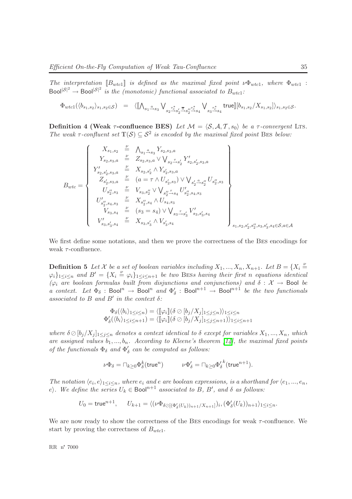The interpretation  $[[B_{wtc1}]]$  is defined as the maximal fixed point  $\nu\Phi_{wtc1}$ , where  $\Phi_{wtc1}$ :  $\mathsf{Bool}^{|S|^2} \to \mathsf{Bool}^{|S|^2}$  is the (monotonic) functional associated to  $B_{wtc1}$ :

$$
\Phi_{wtc1}(\langle b_{s_1,s_2}\rangle_{s_1,s_2 \in \mathcal{S}}) \;\; = \;\; \langle [\![\bigwedge_{s_1 \xrightarrow{a}_{s3}} \bigvee_{s_2 \xrightarrow{\tau_c^*} s'_2 \xrightarrow{\overline{a}} s''_2 \xrightarrow{\tau_c^*} s_4} \bigvee_{s_3 \xrightarrow{\tau_c^*} s_4} \text{true} ]\!][b_{s_1,s_2}/X_{s_1,s_2}]\rangle_{s_1,s_2 \in \mathcal{S}}.
$$

<span id="page-36-0"></span>Definition 4 (Weak  $\tau$ -confluence BES) Let  $\mathcal{M} = \langle \mathcal{S}, \mathcal{A}, \mathcal{T}, s_0 \rangle$  be a  $\tau$ -convergent Lts. The weak  $\tau$ -confluent set  $\mathbb{T}(\mathcal{S}) \subseteq \mathcal{S}^2$  is encoded by the maximal fixed point BES below:

$$
B_{wtc} = \left\{\begin{array}{c} X_{s_1,s_2} \stackrel{\underline{\nu}}{=} \bigwedge_{s_1 \stackrel{a}{\rightarrow} s_3} Y_{s_2,s_3,a} \\ Y_{s_2,s_3,a} \stackrel{\underline{\nu}}{=} Z_{s_2,s_3,a} \vee \bigvee_{s_2 \stackrel{\tau}{\rightarrow} s'_2} Y'_{s_2,s'_2,s_3,a} \\ Y'_{s_2,s'_2,s_3,a} \stackrel{\underline{\nu}}{=} X_{s_2,s'_2} \wedge Y_{s'_2,s_3,a} \\ Z_{s'_2,s_3,a} \stackrel{\underline{\nu}}{=} (a = \tau \wedge U_{s'_2,s_3}) \vee \bigvee_{s'_2 \stackrel{a}{\rightarrow} s''_2} U_{s''_2,s_3} \\ U_{s''_2,s_3} \stackrel{\underline{\nu}}{=} Y_{s_3,s''_2} \vee \bigvee_{s''_2 \stackrel{\tau}{\rightarrow} s_4} U'_{s''_2,s_4,s_3} \\ V'_{s_3,s_4} \stackrel{\underline{\nu}}{=} (s_3 = s_4) \vee \bigvee_{s_3 \stackrel{\tau}{\rightarrow} s'_3} V'_{s_3,s'_3,s_4} \\ V'_{s_1,s_2,s'_2,s''_2,s_3,s'_3,s_4 \in \mathcal{S}, a \in \mathcal{A}} \end{array}\right\}
$$

We first define some notations, and then we prove the correctness of the Bes encodings for weak  $\tau$ -confluence.

**Definition 5** Let X be a set of boolean variables including  $X_1, ..., X_n, X_{n+1}$ . Let  $B = \{X_i \stackrel{\nu}{=}$  $\{\varphi_i\}_{1\leq i\leq n}$  and  $B'=\{X_i\overset{\nu}{=}\varphi_i\}_{1\leq i\leq n+1}$  be two BESs having their first n equations identical  $(\varphi_i \text{ are boolean formulas built from disjunctions and conjunctions) and } \delta : \mathcal{X} \to \mathsf{Bool}$  be a context. Let  $\Phi_{\delta}$  : Bool<sup>n</sup>  $\to$  Bool<sup>n</sup> and  $\Phi'_{\delta}$  : Bool<sup>n+1</sup>  $\to$  Bool<sup>n+1</sup> be the two functionals associated to  $B$  and  $B'$  in the context  $\delta$ :

$$
\Phi_{\delta}(\langle b_i \rangle_{1 \leq i \leq n}) = \langle [\![\varphi_i]\!](\delta \oslash [b_j / X_j]_{1 \leq j \leq n}) \rangle_{1 \leq i \leq n}
$$
  

$$
\Phi'_{\delta}(\langle b_i \rangle_{1 \leq i \leq n+1}) = \langle [\![\varphi_i]\!](\delta \oslash [b_j / X_j]_{1 \leq j \leq n+1}) \rangle_{1 \leq i \leq n+1}
$$

where  $\delta \oslash [b_j/X_j]_{1 \leq j \leq n}$  denotes a context identical to  $\delta$  except for variables  $X_1, ..., X_n$ , which are assigned values  $b_1, ..., b_n$ . According to Kleene's theorem [\[14\]](#page-16-13), the maximal fixed points of the functionals  $\Phi_{\delta}$  and  $\Phi'_{\delta}$  can be computed as follows:

$$
\nu\Phi_\delta=\square_{k\geq 0}\Phi_\delta^k(\mathsf{true}^n)\qquad\quad \nu\Phi'_\delta=\square_{k\geq 0}{\Phi'_\delta}^k(\mathsf{true}^{n+1}).
$$

The notation  $\langle e_i, e \rangle_{1 \leq i \leq n}$ , where  $e_i$  and e are boolean expressions, is a shorthand for  $\langle e_1, ..., e_n, e \rangle$ e). We define the series  $U_k \in \text{Bool}^{n+1}$  associated to B, B', and  $\delta$  as follows:

$$
U_0=\mathrm{true}^{n+1},\quad \ \ U_{k+1}=\langle (\nu\Phi_{\delta\oslash [(\Phi'_\delta(U_k))_{n+1}/X_{n+1}]})_i, (\Phi'_\delta(U_k))_{n+1}\rangle_{1\leq i\leq n}.
$$

We are now ready to show the correctness of the BES encodings for weak  $\tau$ -confluence. We start by proving the correctness of  $B_{wtc1}$ .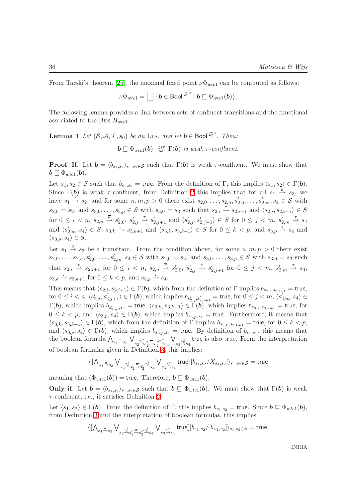From Tarski's theorem [\[25\]](#page-17-7), the maximal fixed point  $\nu\Phi_{wtc1}$  can be computed as follows:

$$
\nu\Phi_{wtc1} = \bigsqcup \{ \boldsymbol{b} \in \mathsf{Bool}^{|\mathcal{S}|2} \mid \boldsymbol{b} \sqsubseteq \Phi_{wtc1}(\boldsymbol{b}) \}.
$$

<span id="page-37-0"></span>The following lemma provides a link between sets of confluent transitions and the functional associated to the BES  $B_{wtc1}$ .

**Lemma 1** Let  $(S, \mathcal{A}, \mathcal{T}, s_0)$  be an LTS, and let  $\mathbf{b} \in \mathsf{Bool}^{|S|^2}$ . Then:

$$
\mathbf{b} \sqsubseteq \Phi_{wtc1}(\mathbf{b}) \quad \text{iff} \quad \Gamma(\mathbf{b}) \text{ is weak } \tau\text{-confluent}.
$$

**Proof If.** Let  $b = \langle b_{s_1,s_2} \rangle_{s_1,s_2 \in \mathcal{S}}$  such that  $\Gamma(b)$  is weak  $\tau$ -confluent. We must show that  $\mathbf{b} \sqsubseteq \Phi_{wtc1}(\mathbf{b}).$ 

Let  $s_1, s_2 \in \mathcal{S}$  such that  $b_{s_1, s_2}$  = true. From the definition of Γ, this implies  $\langle s_1, s_2 \rangle \in \Gamma(b)$ . Since  $\Gamma(b)$  is weak  $\tau$ -confluent, from Definition [2](#page-35-1) this implies that for all  $s_1 \stackrel{a}{\rightarrow} s_3$ , we have  $s_1 \stackrel{\sim}{\rightarrow} s_2$ , and for some  $n, m, p > 0$  there exist  $s_{2,0}, \ldots, s_{2,n}, s'_{2,0}, \ldots, s'_{2,m}, s_4 \in S$  with  $s_{2,0} = s_2$ , and  $s_{3,0},\ldots,s_{3,p} \in \mathcal{S}$  with  $s_{3,0} = s_3$  such that  $s_{2,i} \stackrel{\tau}{\rightarrow} s_{2,i+1}$  and  $\langle s_{2,i}, s_{2,i+1} \rangle \in \mathcal{S}$  $\text{for } 0 \leq i \leq n, s_{2,n} \stackrel{\overline{a}}{\rightarrow} s'_{2,0}, s'_{2,j} \stackrel{\tau}{\rightarrow} s'_{2,j+1} \text{ and } \langle s'_{2,j}, s'_{2,j+1} \rangle \in S \text{ for } 0 \leq j \leq m, s'_{2,m} \stackrel{\tau}{\rightarrow} s_{4,m}$ and  $\langle s'_{2,m}, s_4 \rangle \in S$ ,  $s_{3,k} \stackrel{\tau}{\rightarrow} s_{3,k+1}$  and  $\langle s_{3,k}, s_{3,k+1} \rangle \in S$  for  $0 \le k < p$ , and  $s_{3,p} \stackrel{\tau}{\rightarrow} s_4$  and  $\langle s_{3,n}, s_4 \rangle \in S$ .

Let  $s_1 \stackrel{a}{\rightarrow} s_3$  be a transition. From the condition above, for some  $n, m, p > 0$  there exist  $s_{2,0},\ldots,s_{2,n},s'_{2,0},\ldots,s'_{2,m},s_4\in\mathcal{S}$  with  $s_{2,0}=s_2$ , and  $s_{3,0},\ldots,s_{3,p}\in\mathcal{S}$  with  $s_{3,0}=s_3$  such that  $s_{2,i} \stackrel{\tau}{\to} s_{2,i+1}$  for  $0 \le i < n$ ,  $s_{2,n} \stackrel{\overline{a}}{\to} s'_{2,0}$ ,  $s'_{2,j} \stackrel{\tau}{\to} s'_{2,j+1}$  for  $0 \le j < m$ ,  $s'_{2,m} \stackrel{\tau}{\to} s_4$ ,  $s_{3,k} \stackrel{\tau}{\rightarrow} s_{3,k+1}$  for  $0 \leq k < p$ , and  $s_{3,p} \stackrel{\tau}{\rightarrow} s_4$ .

This means that  $\langle s_{2,i}, s_{2,i+1} \rangle \in \Gamma(\mathbf{b})$ , which from the definition of Γ implies  $b_{s_{2,i}, s_{2,i+1}} =$  true,  $\text{for } 0 \leq i < n, \, \langle s'_{2,j}, s'_{2,j+1} \rangle \in \Gamma(\boldsymbol{b}), \, \text{which implies } b_{s'_{2,j}, s'_{2,j+1}} = \text{true}, \, \text{for } 0 \leq j < m, \, \langle s'_{2,m}, s_4 \rangle \in \Gamma(\boldsymbol{b}), \, \text{which implies}$  $\Gamma(b)$ , which implies  $b_{s'_{2,m}, s_4} = \text{true}, \langle s_{3,k}, s_{3,k+1} \rangle \in \Gamma(b)$ , which implies  $b_{s_{3,k}, s_{3,k+1}} = \text{true}$ , for  $0 \leq k < p$ , and  $\langle s_{3,p}, s_4 \rangle \in \Gamma(b)$ , which implies  $b_{s_{3,p}, s_4}$  = true. Furthermore, it means that  $\langle s_{3,k}, s_{3,k+1} \rangle \in \Gamma(b)$ , which from the definition of Γ implies  $b_{s_{3,k}, s_{3,k+1}} =$  true, for  $0 \le k < p$ , and  $\langle s_{3,p}, s_4 \rangle \in \Gamma(b)$ , which implies  $b_{s_{3,p}, s_4}$  = true. By definition of  $b_{s_1,s_2}$ , this means that the boolean formula  $\bigwedge_{s_1 \stackrel{a}{\to} s_3} \bigvee_{s_2 \stackrel{\tau_c^*}{\to} s_4' \stackrel{\overline{\tau}_c}{\to} s_4''} \bigvee_{s_3 \stackrel{\tau_c^*}{\to} s_4}$  true is also true. From the interpretation of boolean formulas given in Definition [3,](#page-35-2) this implies:

$$
\langle [\![\bigwedge_{s_1 \overset{a}{\rightarrow} s_3} \bigvee_{s_2 \overset{\tau_c^*}{\rightarrow} s_2' \overset{\overline{a}}{\rightarrow} s_2'' \overset{\tau_c^*}{\rightarrow} s_4 } \bigvee_{s_3 \overset{\tau_c^*}{\rightarrow} s_4} \text{true}]\!][b_{s_1,s_2} / X_{s_1,s_2}]\rangle_{s_1,s_2 \in \mathcal{S}} = \text{true}
$$

meaning that  $(\Phi_{wtc1}(\boldsymbol{b})) =$  true. Therefore,  $\boldsymbol{b} \sqsubseteq \Phi_{wtc1}(\boldsymbol{b})$ .

**Only if.** Let  $\mathbf{b} = \langle b_{s_1,s_2} \rangle_{s_1,s_2 \in \mathcal{S}}$  such that  $\mathbf{b} \subseteq \Phi_{wtc}(b)$ . We must show that  $\Gamma(b)$  is weak  $\tau$ -confluent, i.e., it satisfies Definition [2.](#page-35-1)

Let  $\langle s_1, s_2 \rangle \in \Gamma(b)$ . From the definition of Γ, this implies  $b_{s_1, s_2}$  = true. Since  $b \sqsubseteq \Phi_{wtc1}(b)$ , from Definition [3](#page-35-2) and the interpretation of boolean formulas, this implies:

$$
\langle [\textstyle \bigwedge_{s_1\xrightarrow{a} s_3} \bigvee_{s_2\xrightarrow{\tau_{\mathcal{C}}^*} s_2'\xrightarrow{\pi} s_2''\xrightarrow{\tau_{\mathcal{C}}^*} s_4} \bigvee_{s_3\xrightarrow{\tau_{\mathcal{C}}^*} s_4} \mathsf{true}][\textstyle b_{s_1,s_2}/X_{s_1,s_2}]\rangle_{s_1,s_2\in \mathcal{S}} = \mathsf{true}.
$$

INRIA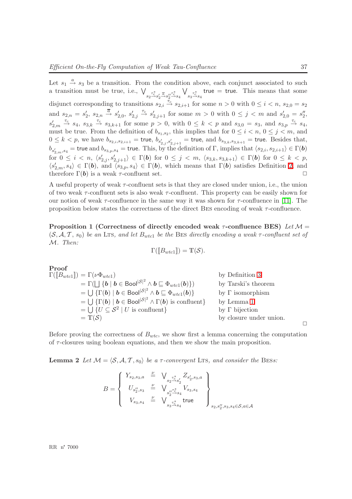Let  $s_1 \stackrel{a}{\rightarrow} s_3$  be a transition. From the condition above, each conjunct associated to such a transition must be true, i.e.,  $\bigvee_{s_2 \to s_2' \to s_2' \to s_3'' \to s_4} \bigvee_{s_3 \to s_4} \mathsf{true} = \mathsf{true}.$  This means that some disjunct corresponding to transitions  $s_{2,i} \stackrel{\tilde{\tau}_c}{\rightarrow} s_{2,i+1}$  for some  $n > 0$  with  $0 \leq i < n$ ,  $s_{2,0} = s_2$ and  $s_{2,n} = s'_2$ ,  $s_{2,n} \stackrel{\overline{a}}{\rightarrow} s'_{2,0}$ ,  $s'_{2,j} \stackrel{\tau_c}{\rightarrow} s'_{2,j+1}$  for some  $m > 0$  with  $0 \le j < m$  and  $s'_{2,0} = s''_2$ ,  $s'_{2,m} \stackrel{\tau_c}{\rightarrow} s_4$ ,  $s_{3,k} \stackrel{\tau_c}{\rightarrow} s_{3,k+1}$  for some  $p > 0$ , with  $0 \le k < p$  and  $s_{3,0} = s_3$ , and  $s_{3,p} \stackrel{\tau_c}{\rightarrow} s_4$ , must be true. From the definition of  $b_{s_1,s_2}$ , this implies that for  $0 \le i \le n, 0 \le j \le m$ , and  $0 \le k < p$ , we have  $b_{s_{2,i},s_{2,i+1}} =$  true,  $b_{s'_{2,j},s'_{2,j+1}} =$  true, and  $b_{s_{3,k},s_{3,k+1}} =$  true. Besides that,  $b_{s'_{2,m},s_4}$  = true and  $b_{s_{3,p},s_4}$  = true. This, by the definition of  $\Gamma$ , implies that  $\langle s_{2,i}, s_{2,i+1} \rangle \in \Gamma(b)$ for  $0 \leq i \leq n$ ,  $\langle s'_{2,j}, s'_{2,j+1} \rangle \in \Gamma(b)$  for  $0 \leq j \leq m$ ,  $\langle s_{3,k}, s_{3,k+1} \rangle \in \Gamma(b)$  for  $0 \leq k \leq p$ ,  $\langle s'_{2,m}, s_4 \rangle \in \Gamma(b)$ , and  $\langle s_{3,p}, s_4 \rangle \in \Gamma(b)$ , which means that  $\Gamma(b)$  satisfies Definition [2,](#page-35-1) and therefore  $\Gamma(\boldsymbol{b})$  is a weak  $\tau$ -confluent set.  $\Box$ 

A useful property of weak  $\tau$ -confluent sets is that they are closed under union, i.e., the union of two weak  $\tau$ -confluent sets is also weak  $\tau$ -confluent. This property can be easily shown for our notion of weak  $\tau$ -confluence in the same way it was shown for  $\tau$ -confluence in [\[11\]](#page-16-4). The proposition below states the correctness of the direct BES encoding of weak  $\tau$ -confluence.

<span id="page-38-0"></span>Proposition 1 (Correctness of directly encoded weak  $\tau$ -confluence BES) Let  $\mathcal{M} =$  $(S, \mathcal{A}, \mathcal{T}, s_0)$  be an LTS, and let  $B_{wtc1}$  be the BES directly encoding a weak  $\tau$ -confluent set of M. Then:

$$
\Gamma([\![B_{wtc1}]\!])=\mathbb{T}(\mathcal{S}).
$$

**Proof**  
\n
$$
\Gamma([B_{wtc1}]) = \Gamma(\nu \Phi_{wtc1})
$$
\n
$$
= \Gamma(\bigsqcup \{b \mid b \in \text{Bool}^{|\mathcal{S}|^2} \land b \sqsubseteq \Phi_{wtc1}(b)\})
$$
\n
$$
= \bigcup \{\Gamma(b) \mid b \in \text{Bool}^{|\mathcal{S}|^2} \land b \sqsubseteq \Phi_{wtc1}(b)\}
$$
\n
$$
= \bigcup \{\Gamma(b) \mid b \in \text{Bool}^{|\mathcal{S}|^2} \land \Gamma(b) \text{ is confluent}\}
$$
\n
$$
= \bigcup \{U \subseteq \mathcal{S}^2 \mid U \text{ is confluent}\}
$$
\n
$$
= \mathbb{T}(\mathcal{S})
$$
\nby  $\Gamma$  isomorphism  
\nby Lemma 1  
\nby  $\Gamma$  bijection  
\nby  $\Gamma$  bijection  
\nby  $\Gamma$  bijection  
\nby closure under union.

<span id="page-38-1"></span>Before proving the correctness of  $B_{wtc}$ , we show first a lemma concerning the computation of  $\tau$ -closures using boolean equations, and then we show the main proposition.

**Lemma 2** Let  $\mathcal{M} = \langle \mathcal{S}, \mathcal{A}, \mathcal{T}, s_0 \rangle$  be a  $\tau$ -convergent LTS, and consider the BESS:

$$
B = \left\{ \begin{array}{ccc} Y_{s_2,s_3,a} & \stackrel{\nu}{=} & \bigvee_{\substack{s_2 \stackrel{\tau_a^*}{\smile} s_2'}} Z_{s_2',s_3,a} \\ U_{s_2'',s_3} & \stackrel{\nu}{=} & \bigvee_{\substack{s_2'' \stackrel{\tau_a^*}{\smile} s_4}} V_{s_3,s_4} \\ V_{s_3,s_4} & \stackrel{\nu}{=} & \bigvee_{\substack{s_3 \stackrel{\tau_a^*}{\smile} s_4}} \text{true} \end{array} \right\}_{s_2,s_2'',s_3,s_4 \in \mathcal{S}, a \in \mathcal{A}}
$$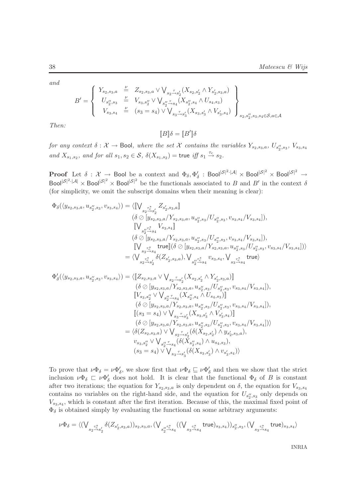and

$$
B' = \begin{Bmatrix} Y_{s_2,s_3,a} & \stackrel{\nu}{=} & Z_{s_2,s_3,a} \vee \bigvee_{s_2 \xrightarrow{\tau}_{s_2}} (X_{s_2,s_2'} \wedge Y_{s_2',s_3,a}) \\ U_{s_2',s_3} & \stackrel{\nu}{=} & V_{s_3,s_2''} \vee \bigvee_{s_2'' \xrightarrow{\tau}_{s_4}} (X_{s_2'',s_4} \wedge U_{s_4,s_3}) \\ V_{s_3,s_4} & \stackrel{\nu}{=} & (s_3 = s_4) \vee \bigvee_{s_3 \xrightarrow{\tau}_{s_3}} (X_{s_3,s_3'} \wedge V_{s_3',s_4}) \end{Bmatrix}_{s_2,s_2'',s_3,s_4 \in \mathcal{S}, a \in \mathcal{A}}
$$

Then:

 $[[B]\delta = [[B']]\delta$ 

for any context  $\delta: \mathcal{X} \to \mathsf{Bool}$ , where the set  $\mathcal{X}$  contains the variables  $Y_{s_2,s_3,a}$ ,  $U_{s_2',s_3}$ ,  $V_{s_3,s_4}$ and  $X_{s_1,s_2}$ , and for all  $s_1, s_2 \in S$ ,  $\delta(X_{s_1,s_2})$  = true iff  $s_1 \stackrel{\tau_c}{\rightarrow} s_2$ .

**Proof** Let  $\delta: \mathcal{X} \to \mathsf{Bool}$  be a context and  $\Phi_{\delta}, \Phi'_{\delta}$  :  $\mathsf{Bool}^{|\mathcal{S}|^2 \cdot |\mathcal{A}|} \times \mathsf{Bool}^{|\mathcal{S}|^2} \times \mathsf{Bool}^{|\mathcal{S}|^2} \to$ Bool $|S|^2 \cdot |A| \times$  Bool $|S|^2 \times$  Bool $|S|^2$  be the functionals associated to B and B' in the context  $\delta$ (for simplicity, we omit the subscript domains when their meaning is clear):

$$
\Phi_{\delta}(\langle y_{s_2,s_3,a}, u_{s_2'',s_3}, v_{s_3,s_4} \rangle) = \langle \mathbb{I}_{\bigvee_{s_2 \xrightarrow{s} s_2'}} Z_{s_2',s_3,a} \mathbb{I}_{\bigotimes_{s_2 \xrightarrow{s} s_4}} \left( \delta \oslash [y_{s_2,s_3,a} / Y_{s_2,s_3,a}, u_{s_2'',s_3} / U_{s_2'',s_3}, v_{s_3,s_4} / V_{s_3,s_4}] \right),
$$
\n
$$
\mathbb{I}_{\bigvee_{s_2 \xrightarrow{r_{\mathbb{C}}^* s_4}} V_{s_3,s_4} \mathbb{I}} \left( \delta \oslash [y_{s_2,s_3,a} / Y_{s_2,s_3,a}, u_{s_2'',s_3} / U_{s_2'',s_3}, v_{s_3,s_4} / V_{s_3,s_4}] \right),
$$
\n
$$
\mathbb{I}_{\bigvee_{s_3 \xrightarrow{s} s_4}} \text{true} \mathbb{I}(\delta \oslash [y_{s_2,s_3,a} / Y_{s_2,s_3,a} / Y_{s_2,s_3,a}, u_{s_2'',s_3} / U_{s_2'',s_3}, v_{s_3,s_4} / V_{s_3,s_4}] \rangle \rangle
$$
\n
$$
= \langle \bigvee_{s_2 \xrightarrow{r_{\mathbb{C}}^* s_2'}} \delta(Z_{s_2',s_3,a}), \bigvee_{s_2 \xrightarrow{r_{\mathbb{C}}^* s_4}} v_{s_3,s_4}, \bigvee_{s_3 \xrightarrow{s} s_4} \text{true} \rangle
$$

$$
\Phi'_{\delta}(\langle y_{s_2,s_3,a}, u_{s_2',s_3}, v_{s_3,s_4} \rangle) = \langle \llbracket Z_{s_2,s_3,a} \vee \bigvee_{s_2 \xrightarrow{\tau} s_2'} (X_{s_2,s_2'} \wedge Y_{s_2',s_3,a}) \rrbracket \n(\delta \oslash [y_{s_2,s_3,a}/Y_{s_2,s_3,a}, u_{s_2'',s_3}/U_{s_2'',s_3}, v_{s_3,s_4}/V_{s_3,s_4}]),\llbracket V_{s_3,s_2'} \vee \bigvee_{s_2' \xrightarrow{\tau} s_4} (X_{s_2'',s_4} \wedge U_{s_4,s_3}) \rrbracket \n(\delta \oslash [y_{s_2,s_3,a}/Y_{s_2,s_3,a}, u_{s_2'',s_3}/U_{s_2'',s_3}, v_{s_3,s_4}/V_{s_3,s_4}]),\llbracket (s_3 = s_4) \vee \bigvee_{s_3 \xrightarrow{\tau} s_3'} (X_{s_3,s_3'} \wedge V_{s_3',s_4}) \rrbracket \n= \langle \delta(Z_{s_2,s_3,a}) \vee \bigvee_{s_2 \xrightarrow{\tau} s_2'} (\delta(X_{s_2,s_2'}) \wedge y_{s_2',s_3,a}),\nu_{s_3,s_2'} \vee \bigvee_{s_3' \xrightarrow{\tau} s_3'} (\delta(X_{s_2'',s_4}) \wedge u_{s_4,s_3}),\n(s_3 = s_4) \vee \bigvee_{s_3 \xrightarrow{\tau} s_3'} (\delta(X_{s_3,s_3'}) \wedge v_{s_3',s_4}) \rangle
$$

To prove that  $\nu\Phi_{\delta} = \nu\Phi'_{\delta}$ , we show first that  $\nu\Phi_{\delta} \sqsubseteq \nu\Phi'_{\delta}$  and then we show that the strict inclusion  $\nu\Phi_\delta \subset \nu\Phi'_\delta$  does not hold. It is clear that the functional  $\Phi_\delta$  of B is constant after two iterations; the equation for  $Y_{s_2,s_3,a}$  is only dependent on  $\delta$ , the equation for  $V_{s_3,s_4}$ contains no variables on the right-hand side, and the equation for  $U_{s_2'',s_3}$  only depends on  $V_{s_3,s_4}$ , which is constant after the first iteration. Because of this, the maximal fixed point of  $\Phi_\delta$  is obtained simply by evaluating the functional on some arbitrary arguments:

$$
\nu\Phi_{\delta}=\langle (\bigvee_{s_{2}\overset{\tau_{c}^{*}}{\rightarrow} s'_{2}}\delta(Z_{s'_{2},s_{3},a}))_{s_{2},s_{3},a},(\bigvee_{s_{2}'\overset{\tau_{c}^{*}}{\rightarrow} s_{4}}((\bigvee_{s_{3}\overset{\tau_{c}^{*}}{\rightarrow} s_{4}} \text{true})_{s_{3},s_{4}}))_{s''_{2},s_{3}},(\bigvee_{s_{3}\overset{\tau_{c}^{*}}{\rightarrow} s_{4}} \text{true})_{s_{3},s_{4}}\rangle
$$

INRIA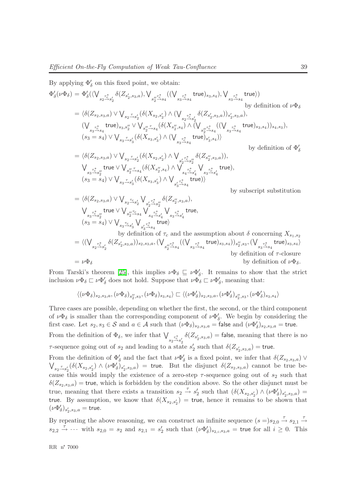By applying  $\Phi'_\delta$  on this fixed point, we obtain:

$$
\begin{array}{ll} \Phi'_\delta(\nu\Phi_\delta)=\Phi'_\delta(\langle\bigvee_{s_2\stackrel{\tau^*_{s}}{s_3\stackrel{\tau^*_{s}}{s_3\stackrel{\tau^*_{s}}{s_3}}}\delta(Z_{s'_2,s_3,a}),\bigvee_{s'_2\stackrel{\tau^*_{s}}{s_3\stackrel{\tau^*_{s}}{s_3}}}\nu(\bigvee_{s_3\stackrel{\tau^*_{s}}{s_3\stackrel{\tau^*_{s}}{s_3}}}\delta(Z_{s'_2,s_3,a}),\bigvee_{s_3\stackrel{\tau^*_{s}}{s_3\stackrel{\tau^*_{s}}{s_3}}}\nu(\bigvee_{s_2\stackrel{\tau^*_{s}}{s_3\stackrel{\tau^*_{s}}{s_3}}}\delta(Z_{s'_2,s_3,a})\bigvee_{s'_2,s_3,a}),\\ (\bigvee_{s_3\stackrel{\tau^*_{s}}{s_3\stackrel{\tau^*_{s}}{s_3}}}\nu(\bigvee_{s_3\stackrel{\tau^*_{s}}{s_3\stackrel{\tau^*_{s}}{s_3}}}\sqrt{\bigvee_{s'_2\stackrel{\tau^*_{s}}{s_3\stackrel{\tau^*_{s}}{s_3}}}\sqrt{\bigwedge_{s'_3\stackrel{\tau^*_{s}}{s_3\stackrel{\tau^*_{s}}{s_3}}}\nu(\bigvee_{s'_3\stackrel{\tau^*_{s}}{s_3\stackrel{\tau^*_{s}}{s_3}}}\nu(\bigvee_{s'_3\stackrel{\tau^*_{s}}{s_3\stackrel{\tau^*_{s}}{s_3}}}\nu(\bigvee_{s'_3\stackrel{\tau^*_{s}}{s_3\stackrel{\tau^*_{s}}{s_3}}}\nu(\bigvee_{s'_3\stackrel{\tau^*_{s}}{s_3\stackrel{\tau^*_{s}}{s_3}}}\nu(\bigvee_{s'_3\stackrel{\tau^*_{s}}{s_3\stackrel{\tau^*_{s}}{s_3}}}\nu(\bigvee_{s'_3\stackrel{\tau^*_{s}}{s_3\stackrel{\tau^*_{s}}{s_3}}}\nu(\bigvee_{s'_3\stackrel{\tau^*_{s}}{s_3\stackrel{\tau^*_{s}}{s_3}}}\nu(\bigvee_{s'_3\stackrel{\tau^*_{s}}{s_3\stackrel{\tau^*_{s}}{s_3}}}\nu(\bigwedge_{s'_3\stackrel{\tau
$$

From Tarski's theorem [\[25\]](#page-17-7), this implies  $\nu \Phi_{\delta} \subseteq \nu \Phi'_{\delta}$ . It remains to show that the strict inclusion  $\nu\Phi_{\delta} \subset \nu\Phi'_{\delta}$  does not hold. Suppose that  $\nu\Phi_{\delta} \subset \nu\Phi'_{\delta}$ , meaning that:

$$
\langle (\nu\Phi_{\delta})_{s_2,s_3,a},(\nu\Phi_{\delta})_{s_2',s_3},(\nu\Phi_{\delta})_{s_3,s_4}\rangle \sqsubset \langle (\nu\Phi_{\delta}')_{s_2,s_3,a},(\nu\Phi_{\delta}')_{s_2',s_3},(\nu\Phi_{\delta}')_{s_3,s_4}\rangle
$$

Three cases are possible, depending on whether the first, the second, or the third component of  $\nu\Phi_\delta$  is smaller than the corresponding component of  $\nu\Phi'_\delta$ . We begin by considering the first case. Let  $s_2, s_3 \in \mathcal{S}$  and  $a \in \mathcal{A}$  such that  $(\nu \Phi_{\delta})_{s_2, s_3, a} = \text{false}$  and  $(\nu \Phi'_{\delta})_{s_2, s_3, a} = \text{true}$ . From the definition of  $\Phi_{\delta}$ , we infer that  $\bigvee_{s_2 \to s'_2} \delta(Z_{s'_2,s_3,a}) = \text{false}$ , meaning that there is no

 $\tau$ -sequence going out of  $s_2$  and leading to a state  $s'_2$  such that  $\delta(Z_{s'_2,s_3,a})$  = true.

From the definition of  $\Phi'_\delta$  and the fact that  $\nu \Phi'_\delta$  is a fixed point, we infer that  $\delta(Z_{s_2,s_3,a})$   $\vee$  $\bigvee_{s_2 \xrightarrow{\tau} s'_2} (\delta(X_{s_2,s'_2}) \wedge (\nu \Phi'_\delta)_{s'_2,s_3,a}) =$  true. But the disjunct  $\delta(Z_{s_2,s_3,a})$  cannot be true because this would imply the existence of a zero-step  $\tau$ -sequence going out of  $s_2$  such that  $\delta(Z_{s_2,s_3,a})$  = true, which is forbidden by the condition above. So the other disjunct must be true, meaning that there exists a transition  $s_2 \stackrel{\tau}{\rightarrow} s'_2$  such that  $(\delta(X_{s_2,s'_2}) \wedge (\nu \Phi'_\delta)_{s'_2,s_3,a}) =$ true. By assumption, we know that  $\delta(X_{s_2,s'_2})$  = true, hence it remains to be shown that  $(\nu\Phi'_\delta)_{s'_2,s_3,a} = \mathsf{true}.$ 

By repeating the above reasoning, we can construct an infinite sequence  $(s=)s_{2,0} \stackrel{\tau}{\rightarrow} s_{2,1} \stackrel{\tau}{\rightarrow}$  $s_{2,2} \stackrel{\tau}{\rightarrow} \cdots$  with  $s_{2,0} = s_2$  and  $s_{2,1} = s_2'$  such that  $(\nu \Phi_{\delta}')_{s_{2,i},s_3,a} =$  true for all  $i \geq 0$ . This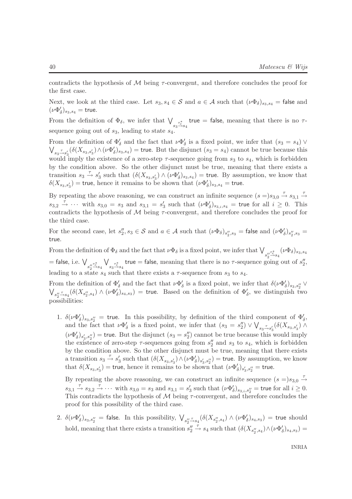contradicts the hypothesis of  $\mathcal M$  being  $\tau$ -convergent, and therefore concludes the proof for the first case.

Next, we look at the third case. Let  $s_3, s_4 \in S$  and  $a \in A$  such that  $(\nu \Phi_{\delta})_{s_3, s_4} = \text{false}$  and  $(\nu \Phi'_\delta)_{s_3, s_4} = \text{true}.$ 

From the definition of  $\Phi_{\delta}$ , we infer that  $\bigvee_{s_3 \stackrel{\tau^*}{\to} s_4}$  true = false, meaning that there is no  $\tau$ sequence going out of  $s_3$ , leading to state  $s_4$ .

From the definition of  $\Phi'_\delta$  and the fact that  $\nu \Phi'_\delta$  is a fixed point, we infer that  $(s_3 = s_4)$   $\vee$  $\bigvee_{s_3\overset{\tau}{\rightarrow} s'_3}(\delta(X_{s_3,s'_3}) \wedge (\nu\Phi'_\delta)_{s_3,s_4}) = \text{true.}$  But the disjunct  $(s_3 = s_4)$  cannot be true because this would imply the existence of a zero-step  $\tau$ -sequence going from  $s_3$  to  $s_4$ , which is forbidden by the condition above. So the other disjunct must be true, meaning that there exists a transition  $s_3 \stackrel{\tau}{\to} s'_3$  such that  $(\delta(X_{s_3,s'_3}) \wedge (\nu \Phi'_\delta)_{s_3,s_4}) =$  true. By assumption, we know that  $\delta(X_{s_3,s'_3})$  = true, hence it remains to be shown that  $(\nu \Phi'_\delta)_{s_3,s_4}$  = true.

By repeating the above reasoning, we can construct an infinite sequence  $(s=)s_{3,0} \stackrel{\tau}{\rightarrow} s_{3,1} \stackrel{\tau}{\rightarrow}$  $s_{3,2} \stackrel{\tau}{\rightarrow} \cdots$  with  $s_{3,0} = s_3$  and  $s_{3,1} = s'_3$  such that  $(\nu \Phi'_\delta)_{s_{3,i},s_4} =$  true for all  $i \geq 0$ . This contradicts the hypothesis of  $M$  being  $\tau$ -convergent, and therefore concludes the proof for the third case.

For the second case, let  $s''_2, s_3 \in \mathcal{S}$  and  $a \in \mathcal{A}$  such that  $(\nu \Phi_{\delta})_{s''_2, s_3} = \text{false}$  and  $(\nu \Phi'_{\delta})_{s''_2, s_3} =$ true.

From the definition of  $\Phi_{\delta}$  and the fact that  $\nu \Phi_{\delta}$  is a fixed point, we infer that  $\bigvee_{s''_2 \stackrel{\tau^*_{\delta}}{\to} s_4} (\nu \Phi_{\delta})_{s_3, s_4}$ = false, i.e.  $\bigvee_{s_2'' \stackrel{\tau_c^*}{\longrightarrow} s_4} \bigvee_{s_3 \stackrel{\tau_c^*}{\longrightarrow} s_4} \text{true} = \text{false},$  meaning that there is no  $\tau$ -sequence going out of  $s_2'',$ leading to a state  $s_4$  such that there exists a  $\tau$ -sequence from  $s_3$  to  $s_4$ .

From the definition of  $\Phi'_\delta$  and the fact that  $\nu \Phi'_\delta$  is a fixed point, we infer that  $\delta(\nu \Phi'_\delta)_{s_3,s_2''}\vee\cdots$  $\bigvee_{s''_2 \to s_4} (\delta(X_{s''_2, s_4}) \wedge (\nu \Phi'_\delta)_{s_4, s_3}) =$  true. Based on the definition of  $\Phi'_\delta$ , we distinguish two possibilities:

1.  $\delta(\nu \Phi'_\delta)_{s_3,s_2''}$  = true. In this possibility, by definition of the third component of  $\Phi'_\delta$ , and the fact that  $\nu \Phi'_{\delta}$  is a fixed point, we infer that  $(s_3 = s_2'') \vee \bigvee_{s_3 \stackrel{\tau}{\rightarrow} s'_3} (\delta(X_{s_3,s'_3}) \wedge$  $(\nu \Phi'_\delta)_{s'_3,s''_2}$  = true. But the disjunct  $(s_3 = s''_2)$  cannot be true because this would imply the existence of zero-step  $\tau$ -sequences going from  $s''_2$  and  $s_3$  to  $s_4$ , which is forbidden by the condition above. So the other disjunct must be true, meaning that there exists a transition  $s_3 \stackrel{\tau}{\rightarrow} s'_3$  such that  $(\delta(X_{s_3,s'_3}) \wedge (\nu \Phi'_s)_{s'_3,s''_2}) =$  true. By assumption, we know that  $\delta(X_{s_3,s'_3})$  = true, hence it remains to be shown that  $(\nu \Phi'_\delta)_{s'_3,s''_2}$  = true.

By repeating the above reasoning, we can construct an infinite sequence  $(s =) s_{3,0} \stackrel{\tau}{\rightarrow}$  $s_{3,1} \stackrel{\tau}{\rightarrow} s_{3,2} \stackrel{\tau}{\rightarrow} \cdots$  with  $s_{3,0} = s_3$  and  $s_{3,1} = s'_3$  such that  $(\nu \Phi'_\delta)_{s_{3,i}, s''_2} =$  true for all  $i \ge 0$ . This contradicts the hypothesis of  $M$  being  $\tau$ -convergent, and therefore concludes the proof for this possibility of the third case.

2.  $\delta(\nu\Phi'_\delta)_{s_3,s_2''}$  = false. In this possibility,  $\bigvee_{s_2''\to s_4} (\delta(X_{s_2'',s_4}) \wedge (\nu\Phi'_\delta)_{s_4,s_3})$  = true should hold, meaning that there exists a transition  $s_2'' \stackrel{\tau}{\rightarrow} s_4$  such that  $(\delta(X_{s_2'',s_4}) \wedge (\nu \Phi'_\delta)_{s_4,s_3}) =$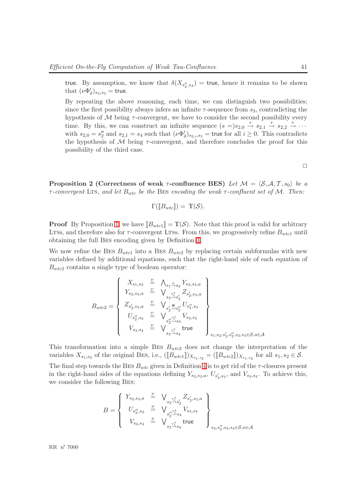true. By assumption, we know that  $\delta(X_{s_2'',s_4})$  = true, hence it remains to be shown that  $(\nu \Phi'_\delta)_{s_4,s_3} = \text{true}.$ 

By repeating the above reasoning, each time, we can distinguish two possibilities; since the first possibility always infers an infinite  $\tau$ -sequence from  $s_3$ , contradicting the hypothesis of  $M$  being  $\tau$ -convergent, we have to consider the second possibility every time. By this, we can construct an infinite sequence  $(s =)s_{2,0} \stackrel{\tau}{\rightarrow} s_{2,1} \stackrel{\tau}{\rightarrow} s_{2,2} \stackrel{\tau}{\rightarrow} \cdots$ with  $s_{2,0} = s_2''$  and  $s_{2,1} = s_4$  such that  $(\nu \Phi'_\delta)_{s_{2,i},s_3} =$  true for all  $i \geq 0$ . This contradicts the hypothesis of  $\mathcal M$  being  $\tau$ -convergent, and therefore concludes the proof for this possibility of the third case.

 $\Box$ 

<span id="page-42-0"></span>Proposition 2 (Correctness of weak  $\tau$ -confluence BES) Let  $\mathcal{M} = \langle \mathcal{S}, \mathcal{A}, \mathcal{T}, s_0 \rangle$  be a  $\tau$ -convergent LTS, and let  $B_{wtc}$  be the BES encoding the weak  $\tau$ -confluent set of M. Then:

$$
\Gamma([\![B_{wtc}]\!]) = \mathbb{T}(\mathcal{S}).
$$

**Proof** By Proposition [1,](#page-38-0) we have  $[B_{wtc1}] = \mathbb{T}(\mathcal{S})$ . Note that this proof is valid for arbitrary LTSs, and therefore also for  $\tau$ -convergent LTSs. From this, we progressively refine  $B_{wtc1}$  until obtaining the full Bes encoding given by Definition [4.](#page-36-0)

We now refine the BES  $B_{wtc1}$  into a BES  $B_{wtc2}$  by replacing certain subformulas with new variables defined by additional equations, such that the right-hand side of each equation of  $B_{wtc2}$  contains a single type of boolean operator:

$$
B_{wtc2} = \begin{Bmatrix} X_{s_1, s_2} & \xrightarrow{\nu} & \wedge_{s_1 \xrightarrow{a} s_3} Y_{s_2, s_3, a} \\ Y_{s_2, s_3, a} & \xrightarrow{\nu} & \vee_{s_2 \xrightarrow{r_{\infty}^*} s_2'} Z_{s_2', s_3, a} \\ Z_{s_2', s_3, a} & \xrightarrow{\nu} & \vee_{s_2' \xrightarrow{a} s_2''} U_{s_2'', s_3} \\ U_{s_2'', s_3} & \xrightarrow{\nu} & \vee_{s_2 \xrightarrow{r_{\infty}^*} s_4} V_{s_3, s_4} \\ V_{s_3, s_4} & \xrightarrow{\nu} & \vee_{s_3 \xrightarrow{r_{\infty}^*} t \text{true}} \end{Bmatrix}_{s_1, s_2, s_2', s_2'', s_3, s_4 \in S, a \in A}
$$

This transformation into a simple BES  $B_{wtc2}$  does not change the interpretation of the variables  $X_{s_1,s_2}$  of the original BES, i.e.,  $(\llbracket B_{wtc1} \rrbracket)_{X_{s_1,s_2}} = (\llbracket B_{wtc2} \rrbracket)_{X_{s_1,s_2}}$  for all  $s_1, s_2 \in \mathcal{S}$ .

The final step towards the BES  $B_{wtc}$  given in Definition [4](#page-36-0) is to get rid of the  $\tau$ -closures present in the right-hand sides of the equations defining  $Y_{s_2,s_3,a}$ ,  $U_{s'_2,s_3}$ , and  $V_{s_3,s_4}$ . To achieve this, we consider the following Bes:

$$
B = \left\{ \begin{array}{ccc} Y_{s_2,s_3,a} & \stackrel{\nu}{=} & \bigvee_{\substack{r_c^* \\ s_2 \to s_2'}} Z_{s_2',s_3,a} \\ U_{s_2'',s_3} & \stackrel{\nu}{=} & \bigvee_{\substack{r_c^* \\ s_2'' \to s_4}} V_{s_3,s_4} \\ V_{s_3,s_4} & \stackrel{\nu}{=} & \bigvee_{\substack{r_c^* \\ s_3 \to s_4}} \text{true} \end{array} \right\}_{s_2,s_2'',s_3,s_4 \in \mathcal{S}, a \in \mathcal{A}}
$$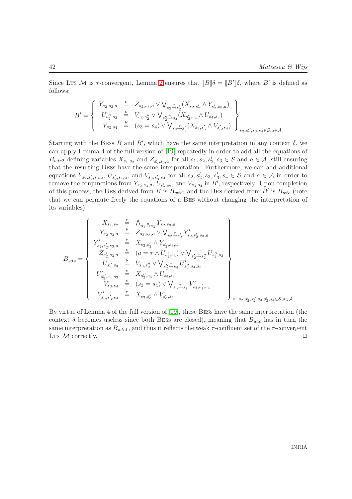Since LTS M is  $\tau$ -convergent, Lemma [2](#page-38-1) ensures that  $[[B]\delta = [[B']]\delta$ , where B' is defined as follows:

$$
B' = \left\{ \begin{array}{ccc} Y_{s_2,s_3,a} & \stackrel{\nu}{=} & Z_{s_2,s_3,a} \vee \bigvee_{s_2 \xrightarrow{\tau}_{s_2'}} (X_{s_2,s_2'} \wedge Y_{s_2',s_3,a}) \\ U_{s_2'',s_3} & \stackrel{\nu}{=} & V_{s_3,s_2''} \vee \bigvee_{s_2'' \xrightarrow{\tau}_{s_4}} (X_{s_2'',s_4} \wedge U_{s_4,s_3}) \\ V_{s_3,s_4} & \stackrel{\nu}{=} & (s_3 = s_4) \vee \bigvee_{s_3 \xrightarrow{\tau}_{s_3'}} (X_{s_3,s_3'} \wedge V_{s_3',s_4}) \end{array} \right\}_{s_2,s_2'',s_3,s_4 \in \mathcal{S}, a \in \mathcal{A}}
$$

Starting with the BESS  $B$  and  $B'$ , which have the same interpretation in any context  $\delta$ , we can apply Lemma 4 of the full version of [\[19\]](#page-17-4) repeatedly in order to add all the equations of  $B_{wtc2}$  defining variables  $X_{s_1,s_2}$  and  $Z_{s'_2,s_3,a}$  for all  $s_1,s_2,s'_2,s_3 \in \mathcal{S}$  and  $a \in \mathcal{A}$ , still ensuring that the resulting Bess have the same interpretation. Furthermore, we can add additional equations  $Y_{s_2,s'_2,s_3,a}$ ,  $U_{s'_2,s_4,a}$ , and  $V_{s_3,s'_3,s_4}$  for all  $s_2,s'_2,s_3,s'_3,s_4 \in S$  and  $a \in A$  in order to remove the conjunctions from  $Y_{s_2,s_3,a}$ ,  $\tilde{U}_{s'_2,s_3}$ , and  $V_{s_3,s_4}$  in  $B'$ , respectively. Upon completion of this process, the BES derived from B is  $B_{wtc2}$  and the BES derived from B' is  $B_{wtc}$  (note that we can permute freely the equations of a Bes without changing the interpretation of its variables):

$$
B_{wtc} = \left\{\begin{array}{c} X_{s_1,s_2} \stackrel{\underline{\nu}}{=} \bigwedge_{s_1 \stackrel{a}{\rightarrow} s_3} Y_{s_2,s_3,a} \\ Y_{s_2,s_3,a} \stackrel{\underline{\nu}}{=} Z_{s_2,s_3,a} \vee \bigvee_{s_2 \stackrel{\tau}{\rightarrow} s'_2} Y'_{s_2,s'_2,s_3,a} \\ Y'_{s_2,s'_2,s_3,a} \stackrel{\underline{\nu}}{=} X_{s_2,s'_2} \wedge Y_{s'_2,s_3,a} \\ Z_{s'_2,s_3,a} \stackrel{\underline{\nu}}{=} (a = \tau \wedge U_{s'_2,s_3}) \vee \bigvee_{s'_2 \stackrel{a}{\rightarrow} s''_2} U_{s''_2,s_3} \\ U'_{s''_2,s_3} \stackrel{\underline{\nu}}{=} Y_{s_3,s''_2} \vee \bigvee_{s''_2 \stackrel{\tau}{\rightarrow} s_4} U'_{s''_2,s_4,s_3} \\ V'_{s_3,s_4} \stackrel{\underline{\nu}}{=} (s_3 = s_4) \vee \bigvee_{s_3 \stackrel{\tau}{\rightarrow} s'_3} V'_{s_3,s'_3,s_4} \\ V'_{s_3,s'_3,s_4} \stackrel{\underline{\nu}}{=} X_{s_3,s'_3} \wedge V_{s'_3,s_4} \end{array}\right\}_{s_1,s_2,s'_2,s''_3,s_3,s'_4 \in \mathcal{S}, a \in \mathcal{A}}
$$

By virtue of Lemma 4 of the full version of [\[19\]](#page-17-4), these Bess have the same interpretation (the context  $\delta$  becomes useless since both BESs are closed), meaning that  $B_{wtc}$  has in turn the same interpretation as  $B_{wtc1}$ , and thus it reflects the weak  $\tau$ -confluent set of the  $\tau$ -convergent Lts  $M$  correctly.  $\Box$